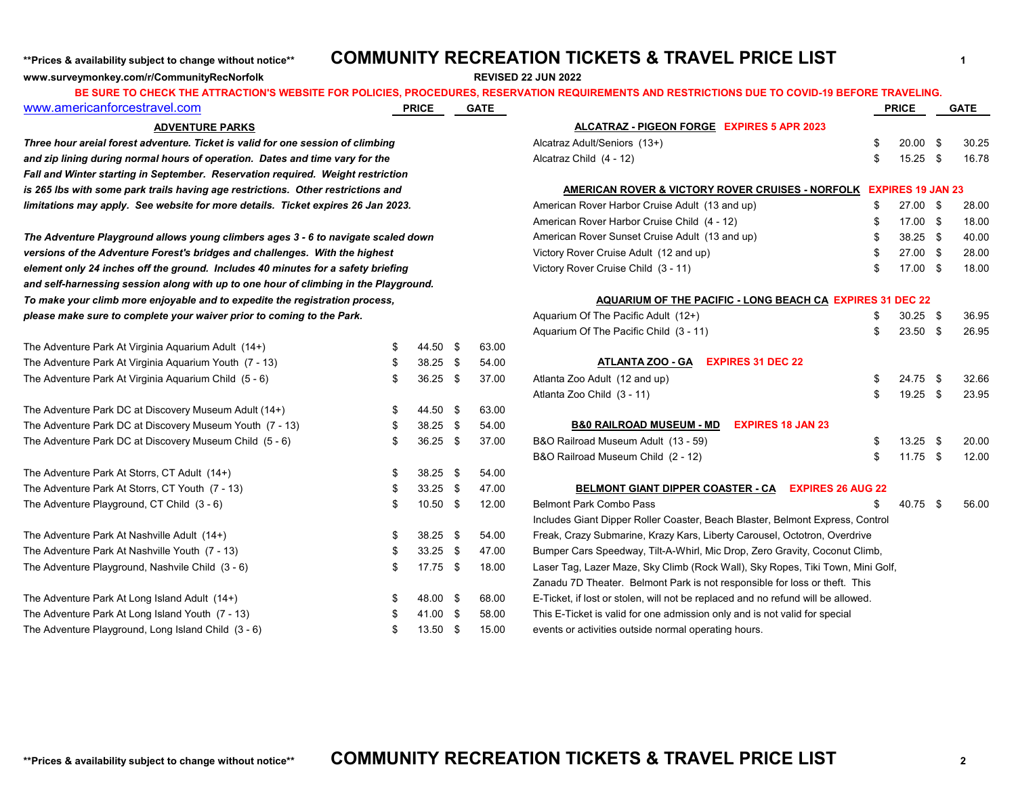**www.surveymonkey.com/r/CommunityRecNorfolk REVISED 22 JUN 2022**

## \*\*Prices & availability subject to change without notice\*\* **COMMUNITY RECREATION TICKETS & TRAVEL PRICE LIST**

| 10 0112011 1112 AT HAV HOR 0 MEDOITET ORT OEIGIED, I<br>www.americanforcestravel.com |    | <b>PRICE</b> | <b>GATE</b> | <u> 100 DUNCU, INCUENTATION NEQUINEMENTO AND NEOTINO HONO DUE TO OOTID-TJ DEI ONE</u> |     | <b>PRICE</b>             | <b>GATE</b> |
|--------------------------------------------------------------------------------------|----|--------------|-------------|---------------------------------------------------------------------------------------|-----|--------------------------|-------------|
| <b>ADVENTURE PARKS</b>                                                               |    |              |             | ALCATRAZ - PIGEON FORGE EXPIRES 5 APR 2023                                            |     |                          |             |
| Three hour areial forest adventure. Ticket is valid for one session of climbing      |    |              |             | Alcatraz Adult/Seniors (13+)                                                          | \$  | $20.00$ \$               | 30.25       |
| and zip lining during normal hours of operation. Dates and time vary for the         |    |              |             | Alcatraz Child (4 - 12)                                                               | \$. | $15.25$ \$               | 16.78       |
| Fall and Winter starting in September. Reservation required. Weight restriction      |    |              |             |                                                                                       |     |                          |             |
| is 265 lbs with some park trails having age restrictions. Other restrictions and     |    |              |             | AMERICAN ROVER & VICTORY ROVER CRUISES - NORFOLK                                      |     | <b>EXPIRES 19 JAN 23</b> |             |
| limitations may apply. See website for more details. Ticket expires 26 Jan 2023.     |    |              |             | American Rover Harbor Cruise Adult (13 and up)                                        | £.  | 27.00 \$                 | 28.00       |
|                                                                                      |    |              |             | American Rover Harbor Cruise Child (4 - 12)                                           | \$  | 17.00 \$                 | 18.00       |
| The Adventure Playground allows young climbers ages 3 - 6 to navigate scaled down    |    |              |             | American Rover Sunset Cruise Adult (13 and up)                                        | \$  | 38.25 \$                 | 40.00       |
| versions of the Adventure Forest's bridges and challenges. With the highest          |    |              |             | Victory Rover Cruise Adult (12 and up)                                                | \$  | 27.00 \$                 | 28.00       |
| element only 24 inches off the ground. Includes 40 minutes for a safety briefing     |    |              |             | Victory Rover Cruise Child (3 - 11)                                                   | \$  | 17.00 \$                 | 18.00       |
| and self-harnessing session along with up to one hour of climbing in the Playground. |    |              |             |                                                                                       |     |                          |             |
| To make your climb more enjoyable and to expedite the registration process,          |    |              |             | AQUARIUM OF THE PACIFIC - LONG BEACH CA EXPIRES 31 DEC 22                             |     |                          |             |
| please make sure to complete your waiver prior to coming to the Park.                |    |              |             | Aquarium Of The Pacific Adult (12+)                                                   |     | $30.25$ \$               | 36.95       |
|                                                                                      |    |              |             | Aquarium Of The Pacific Child (3 - 11)                                                | \$  | $23.50$ \$               | 26.95       |
| The Adventure Park At Virginia Aquarium Adult (14+)                                  | \$ | 44.50 \$     | 63.00       |                                                                                       |     |                          |             |
| The Adventure Park At Virginia Aquarium Youth (7 - 13)                               | \$ | $38.25$ \$   | 54.00       | <b>EXPIRES 31 DEC 22</b><br>ATLANTA ZOO - GA                                          |     |                          |             |
| The Adventure Park At Virginia Aquarium Child (5 - 6)                                | \$ | $36.25$ \$   | 37.00       | Atlanta Zoo Adult (12 and up)                                                         | \$  | 24.75 \$                 | 32.66       |
|                                                                                      |    |              |             | Atlanta Zoo Child (3 - 11)                                                            | \$. | 19.25 \$                 | 23.95       |
| The Adventure Park DC at Discovery Museum Adult (14+)                                | \$ | 44.50 \$     | 63.00       |                                                                                       |     |                          |             |
| The Adventure Park DC at Discovery Museum Youth (7 - 13)                             | \$ | $38.25$ \$   | 54.00       | <b>B&amp;0 RAILROAD MUSEUM - MD</b><br><b>EXPIRES 18 JAN 23</b>                       |     |                          |             |
| The Adventure Park DC at Discovery Museum Child (5 - 6)                              | \$ | $36.25$ \$   | 37.00       | B&O Railroad Museum Adult (13 - 59)                                                   | \$  | $13.25$ \$               | 20.00       |
|                                                                                      |    |              |             | B&O Railroad Museum Child (2 - 12)                                                    | \$  | $11.75$ \$               | 12.00       |
| The Adventure Park At Storrs, CT Adult (14+)                                         | \$ | $38.25$ \$   | 54.00       |                                                                                       |     |                          |             |
| The Adventure Park At Storrs, CT Youth (7 - 13)                                      | S  | $33.25$ \$   | 47.00       | <b>BELMONT GIANT DIPPER COASTER - CA</b><br><b>EXPIRES 26 AUG 22</b>                  |     |                          |             |
| The Adventure Playground, CT Child (3 - 6)                                           | \$ | $10.50$ \$   | 12.00       | <b>Belmont Park Combo Pass</b>                                                        |     | 40.75 \$                 | 56.00       |
|                                                                                      |    |              |             | Includes Giant Dipper Roller Coaster, Beach Blaster, Belmont Express, Control         |     |                          |             |
| The Adventure Park At Nashville Adult (14+)                                          | \$ | $38.25$ \$   | 54.00       | Freak, Crazy Submarine, Krazy Kars, Liberty Carousel, Octotron, Overdrive             |     |                          |             |
| The Adventure Park At Nashville Youth (7 - 13)                                       | \$ | $33.25$ \$   | 47.00       | Bumper Cars Speedway, Tilt-A-Whirl, Mic Drop, Zero Gravity, Coconut Climb,            |     |                          |             |
| The Adventure Playground, Nashvile Child (3 - 6)                                     | \$ | $17.75$ \$   | 18.00       | Laser Tag, Lazer Maze, Sky Climb (Rock Wall), Sky Ropes, Tiki Town, Mini Golf,        |     |                          |             |
|                                                                                      |    |              |             | Zanadu 7D Theater. Belmont Park is not responsible for loss or theft. This            |     |                          |             |
| The Adventure Park At Long Island Adult (14+)                                        | \$ | 48.00 \$     | 68.00       | E-Ticket, if lost or stolen, will not be replaced and no refund will be allowed.      |     |                          |             |
| The Adventure Park At Long Island Youth (7 - 13)                                     | \$ | 41.00 \$     | 58.00       | This E-Ticket is valid for one admission only and is not valid for special            |     |                          |             |
| The Adventure Playground, Long Island Child (3 - 6)                                  | \$ | 13.50 \$     | 15.00       | events or activities outside normal operating hours.                                  |     |                          |             |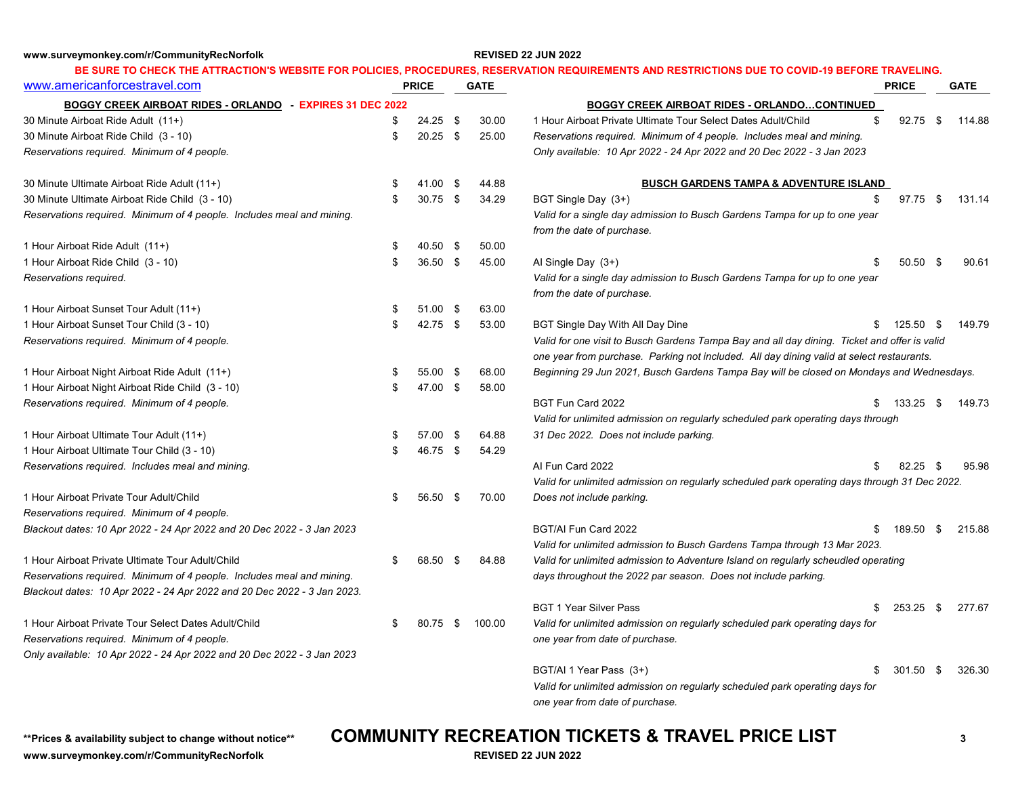**www.surveymonkey.com/r/CommunityRecNorfolk REVISED 22 JUN 2022**

### [www.americanforcestravel.com](http://www.americanforcestravel.com/) **PRICE GATE PRICE GATE BOGGY CREEK AIRBOAT RIDES - ORLANDO - EXPIRES 31 DEC 2022 BE SURE TO CHECK THE ATTRACTION'S WEBSITE FOR POLICIES, PROCEDURES, RESERVATION REQUIREMENTS AND RESTRICTIONS DUE TO COVID-19 BEFORE TRAVELING. BOGGY CREEK AIRBOAT RIDES - ORLANDO…CONTINUED**

| 30 Minute Airboat Ride Adult (11+)                                      | \$<br>$24.25$ \$ |      | 30.00  | \$<br>1 Hour Airboat Private Ultimate Tour Select Dates Adult/Child                           | 92.75      | \$   | 114.88 |
|-------------------------------------------------------------------------|------------------|------|--------|-----------------------------------------------------------------------------------------------|------------|------|--------|
| 30 Minute Airboat Ride Child (3 - 10)                                   | \$<br>$20.25$ \$ |      | 25.00  | Reservations required. Minimum of 4 people. Includes meal and mining.                         |            |      |        |
| Reservations required. Minimum of 4 people.                             |                  |      |        | Only available: 10 Apr 2022 - 24 Apr 2022 and 20 Dec 2022 - 3 Jan 2023                        |            |      |        |
| 30 Minute Ultimate Airboat Ride Adult (11+)                             | \$<br>41.00      | - \$ | 44.88  | <b>BUSCH GARDENS TAMPA &amp; ADVENTURE ISLAND</b>                                             |            |      |        |
| 30 Minute Ultimate Airboat Ride Child (3 - 10)                          | \$<br>30.75 \$   |      | 34.29  | \$<br>BGT Single Day (3+)                                                                     | $97.75$ \$ |      | 131.14 |
| Reservations required. Minimum of 4 people. Includes meal and mining.   |                  |      |        | Valid for a single day admission to Busch Gardens Tampa for up to one year                    |            |      |        |
|                                                                         |                  |      |        | from the date of purchase.                                                                    |            |      |        |
| 1 Hour Airboat Ride Adult (11+)                                         | \$<br>40.50 \$   |      | 50.00  |                                                                                               |            |      |        |
| 1 Hour Airboat Ride Child (3 - 10)                                      | \$<br>36.50 \$   |      | 45.00  | Al Single Day $(3+)$                                                                          | $50.50$ \$ |      | 90.61  |
| Reservations required.                                                  |                  |      |        | Valid for a single day admission to Busch Gardens Tampa for up to one year                    |            |      |        |
|                                                                         |                  |      |        | from the date of purchase.                                                                    |            |      |        |
| 1 Hour Airboat Sunset Tour Adult (11+)                                  | \$<br>$51.00$ \$ |      | 63.00  |                                                                                               |            |      |        |
| 1 Hour Airboat Sunset Tour Child (3 - 10)                               | \$<br>42.75 \$   |      | 53.00  | BGT Single Day With All Day Dine                                                              | 125.50 \$  |      | 149.79 |
| Reservations required. Minimum of 4 people.                             |                  |      |        | Valid for one visit to Busch Gardens Tampa Bay and all day dining. Ticket and offer is valid  |            |      |        |
|                                                                         |                  |      |        | one year from purchase. Parking not included. All day dining valid at select restaurants.     |            |      |        |
| 1 Hour Airboat Night Airboat Ride Adult (11+)                           | \$<br>55.00 \$   |      | 68.00  | Beginning 29 Jun 2021, Busch Gardens Tampa Bay will be closed on Mondays and Wednesdays.      |            |      |        |
| 1 Hour Airboat Night Airboat Ride Child (3 - 10)                        | \$<br>47.00 \$   |      | 58.00  |                                                                                               |            |      |        |
| Reservations required. Minimum of 4 people.                             |                  |      |        | BGT Fun Card 2022                                                                             | 133.25     | - \$ | 149.73 |
|                                                                         |                  |      |        | Valid for unlimited admission on regularly scheduled park operating days through              |            |      |        |
| 1 Hour Airboat Ultimate Tour Adult (11+)                                | \$<br>57.00 \$   |      | 64.88  | 31 Dec 2022. Does not include parking.                                                        |            |      |        |
| 1 Hour Airboat Ultimate Tour Child (3 - 10)                             | \$<br>46.75 \$   |      | 54.29  |                                                                                               |            |      |        |
| Reservations required. Includes meal and mining.                        |                  |      |        | Al Fun Card 2022                                                                              | 82.25      | - \$ | 95.98  |
|                                                                         |                  |      |        | Valid for unlimited admission on regularly scheduled park operating days through 31 Dec 2022. |            |      |        |
| 1 Hour Airboat Private Tour Adult/Child                                 | \$<br>56.50      | - \$ | 70.00  | Does not include parking.                                                                     |            |      |        |
| Reservations required. Minimum of 4 people.                             |                  |      |        |                                                                                               |            |      |        |
| Blackout dates: 10 Apr 2022 - 24 Apr 2022 and 20 Dec 2022 - 3 Jan 2023  |                  |      |        | BGT/AI Fun Card 2022<br>\$.                                                                   | 189.50     | \$   | 215.88 |
|                                                                         |                  |      |        | Valid for unlimited admission to Busch Gardens Tampa through 13 Mar 2023.                     |            |      |        |
| 1 Hour Airboat Private Ultimate Tour Adult/Child                        | \$<br>68.50      | -\$  | 84.88  | Valid for unlimited admission to Adventure Island on regularly scheudled operating            |            |      |        |
| Reservations required. Minimum of 4 people. Includes meal and mining.   |                  |      |        | days throughout the 2022 par season. Does not include parking.                                |            |      |        |
| Blackout dates: 10 Apr 2022 - 24 Apr 2022 and 20 Dec 2022 - 3 Jan 2023. |                  |      |        |                                                                                               |            |      |        |
|                                                                         |                  |      |        | <b>BGT 1 Year Silver Pass</b><br>\$                                                           | 253.25     | \$   | 277.67 |
| 1 Hour Airboat Private Tour Select Dates Adult/Child                    | \$<br>80.75      | -\$  | 100.00 | Valid for unlimited admission on regularly scheduled park operating days for                  |            |      |        |
| Reservations required. Minimum of 4 people.                             |                  |      |        | one year from date of purchase.                                                               |            |      |        |
| Only available: 10 Apr 2022 - 24 Apr 2022 and 20 Dec 2022 - 3 Jan 2023  |                  |      |        |                                                                                               |            |      |        |
|                                                                         |                  |      |        | BGT/AI 1 Year Pass (3+)                                                                       | 301.50     | -\$  | 326.30 |
|                                                                         |                  |      |        | Valid for unlimited admission on regularly scheduled park operating days for                  |            |      |        |

*one year from date of purchase.*

**www.surveymonkey.com/r/CommunityRecNorfolk REVISED 22 JUN 2022**

## **\*\*Prices & availability subject to change without notice\*\* COMMUNITY RECREATION TICKETS & TRAVEL PRICE LIST <sup>3</sup>**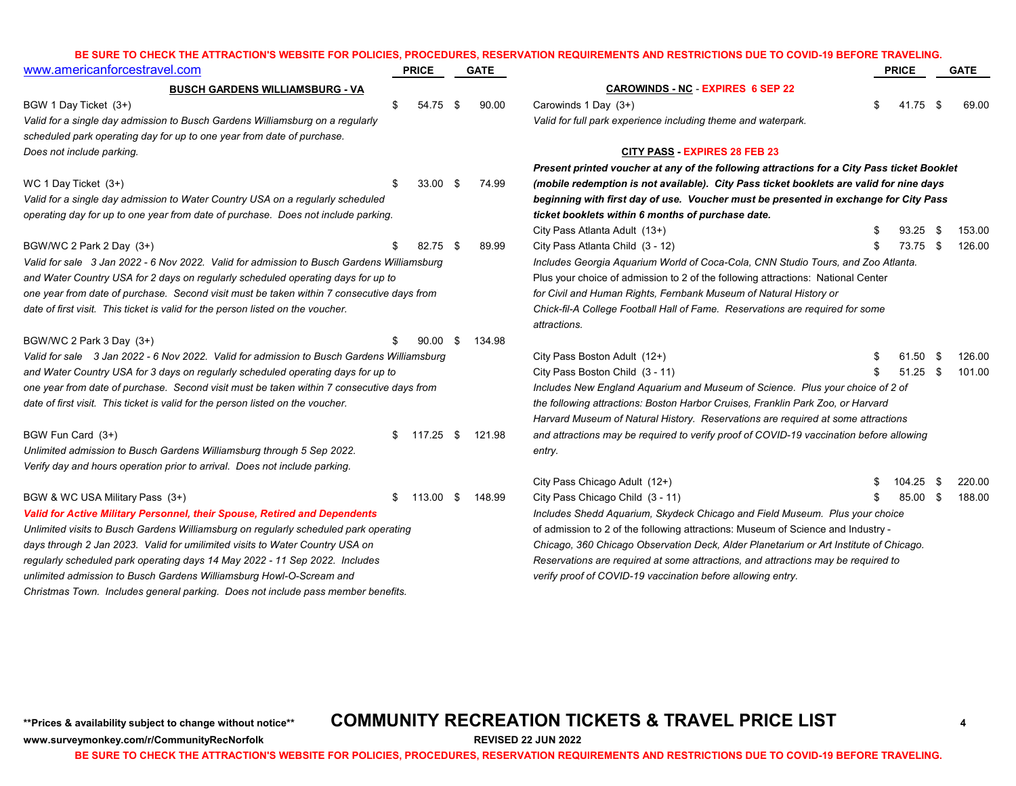### **BE SURE TO CHECK THE ATTRACTION'S WEBSITE FOR POLICIES, PROCEDURES, RESERVATION REQUIREMENTS AND RESTRICTIONS DUE TO COVID-19 BEFORE TRAVELING.**

| www.americanforcestravel.com                                                              | <b>PRICE</b>   |      | <b>GATE</b> |                                                                                            |     | <b>PRICE</b> |      | <b>GATE</b> |  |  |
|-------------------------------------------------------------------------------------------|----------------|------|-------------|--------------------------------------------------------------------------------------------|-----|--------------|------|-------------|--|--|
| <b>BUSCH GARDENS WILLIAMSBURG - VA</b>                                                    |                |      |             | <b>CAROWINDS - NC - EXPIRES 6 SEP 22</b>                                                   |     |              |      |             |  |  |
| BGW 1 Day Ticket (3+)                                                                     | \$<br>54.75 \$ |      | 90.00       | Carowinds 1 Day (3+)                                                                       | \$. | 41.75 \$     |      | 69.00       |  |  |
| Valid for a single day admission to Busch Gardens Williamsburg on a regularly             |                |      |             | Valid for full park experience including theme and waterpark.                              |     |              |      |             |  |  |
| scheduled park operating day for up to one year from date of purchase.                    |                |      |             |                                                                                            |     |              |      |             |  |  |
| Does not include parking.                                                                 |                |      |             | <b>CITY PASS EXPIRES 28 FEB 23</b>                                                         |     |              |      |             |  |  |
|                                                                                           |                |      |             | Present printed voucher at any of the following attractions for a City Pass ticket Booklet |     |              |      |             |  |  |
| WC 1 Day Ticket (3+)                                                                      | 33.00          | - \$ | 74.99       | (mobile redemption is not available). City Pass ticket booklets are valid for nine days    |     |              |      |             |  |  |
| Valid for a single day admission to Water Country USA on a regularly scheduled            |                |      |             | beginning with first day of use. Voucher must be presented in exchange for City Pass       |     |              |      |             |  |  |
| operating day for up to one year from date of purchase. Does not include parking.         |                |      |             | ticket booklets within 6 months of purchase date.                                          |     |              |      |             |  |  |
|                                                                                           |                |      |             | City Pass Atlanta Adult (13+)                                                              |     | 93.25        | -\$  | 153.00      |  |  |
| BGW/WC 2 Park 2 Day (3+)                                                                  | 82.75          | - \$ | 89.99       | City Pass Atlanta Child (3 - 12)                                                           |     | 73.75 \$     |      | 126.00      |  |  |
| Valid for sale 3 Jan 2022 - 6 Nov 2022. Valid for admission to Busch Gardens Williamsburg |                |      |             | Includes Georgia Aquarium World of Coca-Cola, CNN Studio Tours, and Zoo Atlanta.           |     |              |      |             |  |  |
| and Water Country USA for 2 days on regularly scheduled operating days for up to          |                |      |             | Plus your choice of admission to 2 of the following attractions: National Center           |     |              |      |             |  |  |
| one year from date of purchase. Second visit must be taken within 7 consecutive days from |                |      |             | for Civil and Human Rights, Fernbank Museum of Natural History or                          |     |              |      |             |  |  |
| date of first visit. This ticket is valid for the person listed on the voucher.           |                |      |             | Chick-fil-A College Football Hall of Fame. Reservations are required for some              |     |              |      |             |  |  |
|                                                                                           |                |      |             | attractions.                                                                               |     |              |      |             |  |  |
| BGW/WC 2 Park 3 Day (3+)                                                                  | 90.00          | - \$ | 134.98      |                                                                                            |     |              |      |             |  |  |
| Valid for sale 3 Jan 2022 - 6 Nov 2022. Valid for admission to Busch Gardens Williamsburg |                |      |             | City Pass Boston Adult (12+)                                                               |     | 61.50 \$     |      | 126.00      |  |  |
| and Water Country USA for 3 days on regularly scheduled operating days for up to          |                |      |             | City Pass Boston Child (3 - 11)                                                            |     | $51.25$ \$   |      | 101.00      |  |  |
| one year from date of purchase. Second visit must be taken within 7 consecutive days from |                |      |             | Includes New England Aquarium and Museum of Science. Plus your choice of 2 of              |     |              |      |             |  |  |
| date of first visit. This ticket is valid for the person listed on the voucher.           |                |      |             | the following attractions: Boston Harbor Cruises, Franklin Park Zoo, or Harvard            |     |              |      |             |  |  |
|                                                                                           |                |      |             | Harvard Museum of Natural History. Reservations are required at some attractions           |     |              |      |             |  |  |
| BGW Fun Card (3+)                                                                         | $$117.25$ \$   |      | 121.98      | and attractions may be required to verify proof of COVID-19 vaccination before allowing    |     |              |      |             |  |  |
| Unlimited admission to Busch Gardens Williamsburg through 5 Sep 2022.                     |                |      |             | entry.                                                                                     |     |              |      |             |  |  |
| Verify day and hours operation prior to arrival. Does not include parking.                |                |      |             |                                                                                            |     |              |      |             |  |  |
|                                                                                           |                |      |             | City Pass Chicago Adult (12+)                                                              |     | 104.25       | - \$ | 220.00      |  |  |
| BGW & WC USA Military Pass (3+)                                                           | $$113.00$ \$   |      | 148.99      | City Pass Chicago Child (3 - 11)                                                           |     | 85.00 \$     |      | 188.00      |  |  |
| Valid for Active Military Personnel, their Spouse, Retired and Dependents                 |                |      |             | Includes Shedd Aquarium, Skydeck Chicago and Field Museum. Plus your choice                |     |              |      |             |  |  |
| Unlimited visits to Busch Gardens Williamsburg on regularly scheduled park operating      |                |      |             | of admission to 2 of the following attractions: Museum of Science and Industry -           |     |              |      |             |  |  |
| days through 2 Jan 2023. Valid for umilimited visits to Water Country USA on              |                |      |             | Chicago, 360 Chicago Observation Deck, Alder Planetarium or Art Institute of Chicago.      |     |              |      |             |  |  |
| regularly scheduled park operating days 14 May 2022 - 11 Sep 2022. Includes               |                |      |             | Reservations are required at some attractions, and attractions may be required to          |     |              |      |             |  |  |
| unlimited admission to Busch Gardens Williamsburg Howl-O-Scream and                       |                |      |             | verify proof of COVID-19 vaccination before allowing entry.                                |     |              |      |             |  |  |
| Christmas Town. Includes general parking. Does not include pass member benefits.          |                |      |             |                                                                                            |     |              |      |             |  |  |

**www.surveymonkey.com/r/CommunityRecNorfolk REVISED 22 JUN 2022**

## **\*\*Prices & availability subject to change without notice\*\* COMMUNITY RECREATION TICKETS & TRAVEL PRICE LIST <sup>4</sup>**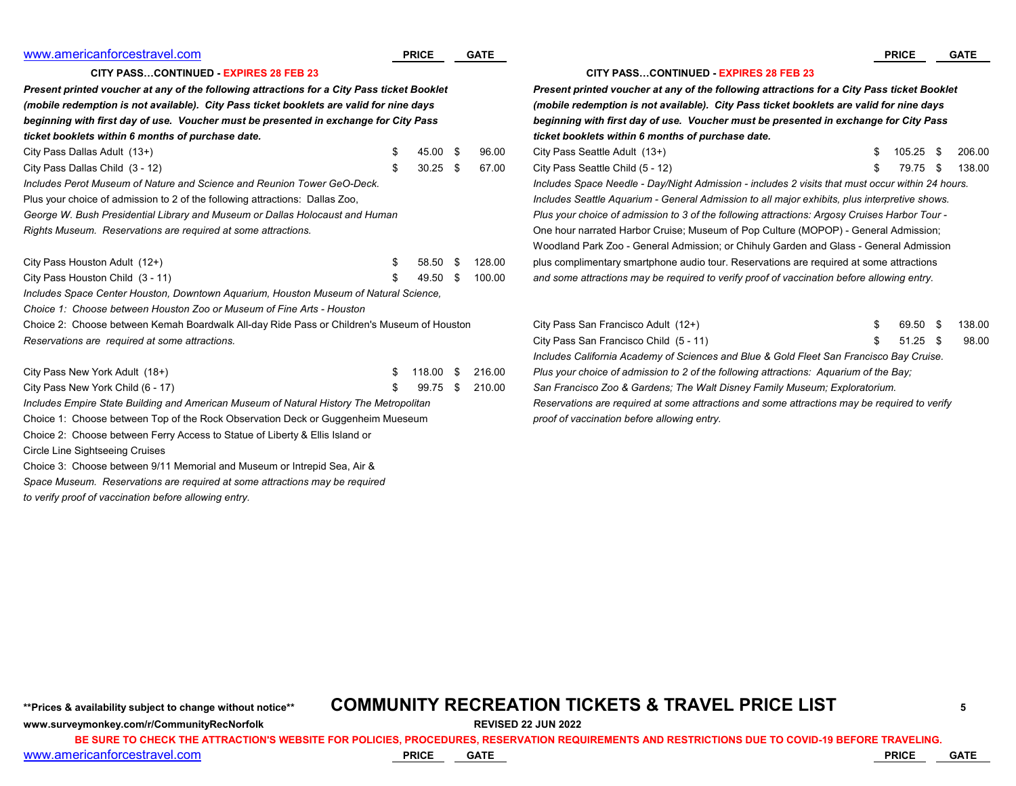| www.americanforcestravel.com                                                               |    | <b>PRICE</b> |                                                                                               | <b>GATE</b>                                                                                |                                                                                                  | <b>PRICE</b>                                  |      | <b>GATE</b> |  |  |  |  |  |
|--------------------------------------------------------------------------------------------|----|--------------|-----------------------------------------------------------------------------------------------|--------------------------------------------------------------------------------------------|--------------------------------------------------------------------------------------------------|-----------------------------------------------|------|-------------|--|--|--|--|--|
| <b>CITY PASSCONTINUED - EXPIRES 28 FEB 23</b>                                              |    |              |                                                                                               |                                                                                            |                                                                                                  | <b>CITY PASSCONTINUED - EXPIRES 28 FEB 23</b> |      |             |  |  |  |  |  |
| Present printed voucher at any of the following attractions for a City Pass ticket Booklet |    |              |                                                                                               | Present printed voucher at any of the following attractions for a City Pass ticket Booklet |                                                                                                  |                                               |      |             |  |  |  |  |  |
| (mobile redemption is not available). City Pass ticket booklets are valid for nine days    |    |              |                                                                                               | (mobile redemption is not available). City Pass ticket booklets are valid for nine days    |                                                                                                  |                                               |      |             |  |  |  |  |  |
| beginning with first day of use. Voucher must be presented in exchange for City Pass       |    |              |                                                                                               |                                                                                            | beginning with first day of use. Voucher must be presented in exchange for City Pass             |                                               |      |             |  |  |  |  |  |
| ticket booklets within 6 months of purchase date.                                          |    |              |                                                                                               |                                                                                            | ticket booklets within 6 months of purchase date.                                                |                                               |      |             |  |  |  |  |  |
| City Pass Dallas Adult (13+)                                                               |    | 45.00 \$     |                                                                                               | 96.00                                                                                      | City Pass Seattle Adult (13+)                                                                    | 105.25                                        | -\$  | 206.00      |  |  |  |  |  |
| City Pass Dallas Child (3 - 12)                                                            |    | $30.25$ \$   |                                                                                               | 67.00                                                                                      | City Pass Seattle Child (5 - 12)                                                                 | 79.75                                         | Яб.  | 138.00      |  |  |  |  |  |
| Includes Perot Museum of Nature and Science and Reunion Tower GeO-Deck.                    |    |              |                                                                                               |                                                                                            | Includes Space Needle - Day/Night Admission - includes 2 visits that must occur within 24 hours. |                                               |      |             |  |  |  |  |  |
| Plus your choice of admission to 2 of the following attractions: Dallas Zoo,               |    |              |                                                                                               |                                                                                            | Includes Seattle Aquarium - General Admission to all major exhibits, plus interpretive shows.    |                                               |      |             |  |  |  |  |  |
| George W. Bush Presidential Library and Museum or Dallas Holocaust and Human               |    |              | Plus your choice of admission to 3 of the following attractions: Argosy Cruises Harbor Tour - |                                                                                            |                                                                                                  |                                               |      |             |  |  |  |  |  |
| Rights Museum. Reservations are required at some attractions.                              |    |              |                                                                                               |                                                                                            | One hour narrated Harbor Cruise; Museum of Pop Culture (MOPOP) - General Admission;              |                                               |      |             |  |  |  |  |  |
|                                                                                            |    |              |                                                                                               |                                                                                            | Woodland Park Zoo - General Admission; or Chihuly Garden and Glass - General Admission           |                                               |      |             |  |  |  |  |  |
| City Pass Houston Adult (12+)                                                              |    | 58.50        | - \$                                                                                          | 128.00                                                                                     | plus complimentary smartphone audio tour. Reservations are required at some attractions          |                                               |      |             |  |  |  |  |  |
| City Pass Houston Child (3 - 11)                                                           |    | 49.50        | - \$                                                                                          | 100.00                                                                                     | and some attractions may be required to verify proof of vaccination before allowing entry.       |                                               |      |             |  |  |  |  |  |
| Includes Space Center Houston, Downtown Aquarium, Houston Museum of Natural Science,       |    |              |                                                                                               |                                                                                            |                                                                                                  |                                               |      |             |  |  |  |  |  |
| Choice 1: Choose between Houston Zoo or Museum of Fine Arts - Houston                      |    |              |                                                                                               |                                                                                            |                                                                                                  |                                               |      |             |  |  |  |  |  |
| Choice 2: Choose between Kemah Boardwalk All-day Ride Pass or Children's Museum of Houston |    |              |                                                                                               |                                                                                            | City Pass San Francisco Adult (12+)                                                              | 69.50 \$                                      |      | 138.00      |  |  |  |  |  |
| Reservations are required at some attractions.                                             |    |              |                                                                                               |                                                                                            | City Pass San Francisco Child (5 - 11)                                                           | 51.25                                         | - \$ | 98.00       |  |  |  |  |  |
|                                                                                            |    |              |                                                                                               |                                                                                            | Includes California Academy of Sciences and Blue & Gold Fleet San Francisco Bay Cruise.          |                                               |      |             |  |  |  |  |  |
| City Pass New York Adult (18+)                                                             | .ፍ | 18.00        | - \$                                                                                          | 216.00                                                                                     | Plus your choice of admission to 2 of the following attractions: Aquarium of the Bay;            |                                               |      |             |  |  |  |  |  |
| City Pass New York Child (6 - 17)                                                          |    | 99.75        | - \$                                                                                          | 210.00                                                                                     | San Francisco Zoo & Gardens; The Walt Disney Family Museum; Exploratorium.                       |                                               |      |             |  |  |  |  |  |
| Includes Empire State Building and American Museum of Natural History The Metropolitan     |    |              |                                                                                               |                                                                                            | Reservations are required at some attractions and some attractions may be required to verify     |                                               |      |             |  |  |  |  |  |
| Choice 1: Choose between Top of the Rock Observation Deck or Guggenheim Mueseum            |    |              |                                                                                               |                                                                                            | proof of vaccination before allowing entry.                                                      |                                               |      |             |  |  |  |  |  |

Choice 2: Choose between Ferry Access to Statue of Liberty & Ellis Island or

Circle Line Sightseeing Cruises

Choice 3: Choose between 9/11 Memorial and Museum or Intrepid Sea, Air &

*Space Museum. Reservations are required at some attractions may be required to verify proof of vaccination before allowing entry.*

|                                                                                                  | <b>PRICE</b> |     | <b>GATE</b> |
|--------------------------------------------------------------------------------------------------|--------------|-----|-------------|
| <b>CITY PASSCONTINUED - EXPIRES 28 FEB 23</b>                                                    |              |     |             |
| Present printed voucher at any of the following attractions for a City Pass ticket Booklet       |              |     |             |
| (mobile redemption is not available). City Pass ticket booklets are valid for nine days          |              |     |             |
| beginning with first day of use. Voucher must be presented in exchange for City Pass             |              |     |             |
| ticket booklets within 6 months of purchase date.                                                |              |     |             |
| City Pass Seattle Adult (13+)                                                                    | \$<br>105.25 | \$. | 206.0       |
| City Pass Seattle Child (5 - 12)                                                                 | \$<br>79.75  | \$  | 138.0       |
| Includes Space Needle - Day/Night Admission - includes 2 visits that must occur within 24 hours. |              |     |             |
| Includes Seattle Aquarium - General Admission to all major exhibits, plus interpretive shows.    |              |     |             |
| Plus your choice of admission to 3 of the following attractions: Argosy Cruises Harbor Tour -    |              |     |             |
| One hour narrated Harbor Cruise; Museum of Pop Culture (MOPOP) - General Admission;              |              |     |             |
| Woodland Park Zoo - General Admission; or Chihuly Garden and Glass - General Admission           |              |     |             |
| plus complimentary smartphone audio tour. Reservations are required at some attractions          |              |     |             |
| and some attractions may be required to verify proof of vaccination before allowing entry.       |              |     |             |
|                                                                                                  |              |     |             |
| City Pass San Francisco Adult (12+)                                                              | \$<br>69.50  | \$  | 138.0       |
| City Pass San Francisco Child (5 - 11)                                                           | \$<br>51 25  | \$. | 98 O        |

## \*\*Prices & availability subject to change without notice\*\* **COMMUNITY RECREATION TICKETS & TRAVEL PRICE LIST**

## **www.surveymonkey.com/r/CommunityRecNorfolk REVISED 22 JUN 2022**

**BE SURE TO CHECK THE ATTRACTION'S WEBSITE FOR POLICIES, PROCEDURES, RESERVATION REQUIREMENTS AND RESTRICTIONS DUE TO COVID-19 BEFORE TRAVELING.**

[www.americanforcestravel.com](http://www.americanforcestravel.com/) **PRICE GATE PRICE GATE**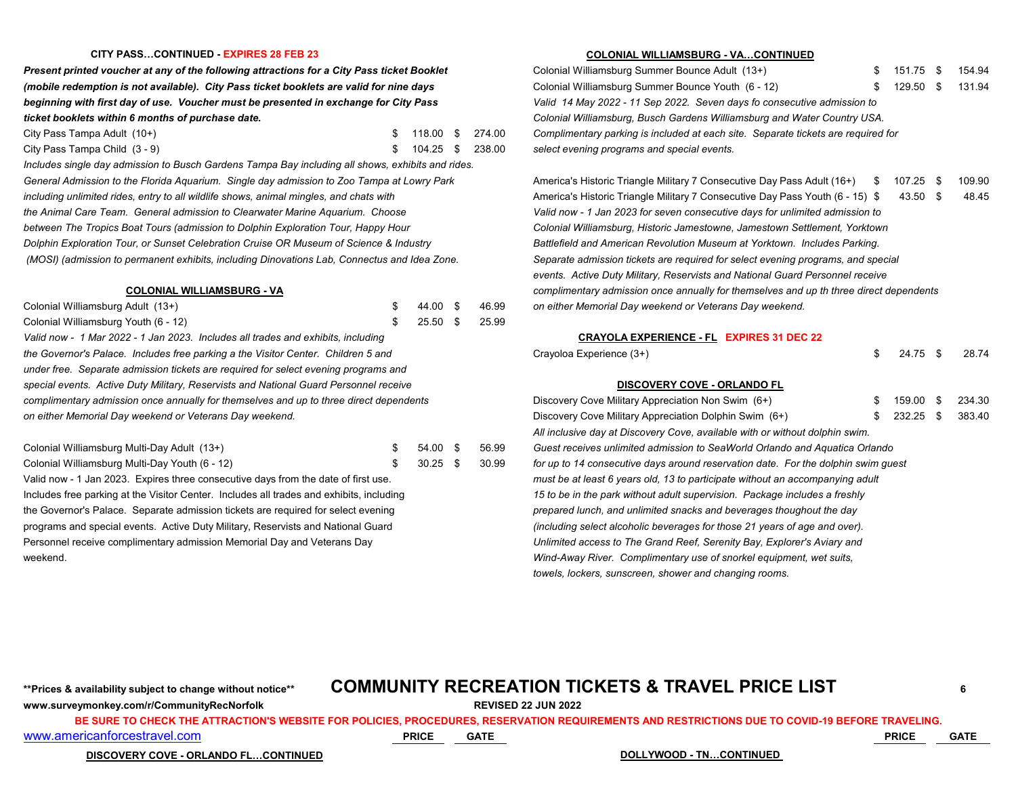### **CITY PASS…CONTINUED - EXPIRES 28 FEB 23 COLONIAL WILLIAMSBURG - VA…CONTINUED**

*Present printed voucher at any of the following attractions for a City Pass ticket Booklet (mobile redemption is not available). City Pass ticket booklets are valid for nine days beginning with first day of use. Voucher must be presented in exchange for City Pass Valid 14 May 2022 - 11 Sep 2022. Seven days fo consecutive admission to ticket booklets within 6 months of purchase date. Colonial Williamsburg, Busch Gardens Williamsburg and Water Country USA.*

| City Pass Tampa Adult (10+)                                                                       | 118.00 \$                                                                        | 274.00 | Complimentary parking is included at each site. Separate tickets are required for |  |  |  |
|---------------------------------------------------------------------------------------------------|----------------------------------------------------------------------------------|--------|-----------------------------------------------------------------------------------|--|--|--|
| City Pass Tampa Child (3 - 9)                                                                     | $104.25$ \$                                                                      | 238.00 | select evening programs and special events.                                       |  |  |  |
| Includes single day admission to Busch Gardens Tampa Bay including all shows, exhibits and rides. |                                                                                  |        |                                                                                   |  |  |  |
| General Admission to the Florida Aquarium. Single day admission to Zoo Tampa at Lowry Park        | America's Historic Triangle Military 7 Consecutive Day Pass Adult (16+) \$ 1     |        |                                                                                   |  |  |  |
| including unlimited rides, entry to all wildlife shows, animal mingles, and chats with            | America's Historic Triangle Military 7 Consecutive Day Pass Youth (6 - 15) \$    |        |                                                                                   |  |  |  |
| the Animal Care Team. General admission to Clearwater Marine Aquarium. Choose                     |                                                                                  |        | Valid now - 1 Jan 2023 for seven consecutive days for unlimited admission to      |  |  |  |
| between The Tropics Boat Tours (admission to Dolphin Exploration Tour, Happy Hour                 |                                                                                  |        | Colonial Williamsburg, Historic Jamestowne, Jamestown Settlement, Yorktown        |  |  |  |
| Dolphin Exploration Tour, or Sunset Celebration Cruise OR Museum of Science & Industry            | Battlefield and American Revolution Museum at Yorktown. Includes Parking.        |        |                                                                                   |  |  |  |
| (MOSI) (admission to permanent exhibits, including Dinovations Lab, Connectus and Idea Zone       | Senarate admission tickets are required for select evening programs, and special |        |                                                                                   |  |  |  |

| Colonial Williamsburg Adult (13+)                                                      | 44.00 \$                                              | 46.99 | on either Memorial Day weekend or Veterans Day weel       |  |  |
|----------------------------------------------------------------------------------------|-------------------------------------------------------|-------|-----------------------------------------------------------|--|--|
| Colonial Williamsburg Youth (6 - 12)                                                   | $25.50$ \$                                            | 25.99 |                                                           |  |  |
| Valid now - 1 Mar 2022 - 1 Jan 2023. Includes all trades and exhibits, including       |                                                       |       | <b>CRAYOLA EXPERIENCE - FL EXPIRES 31</b>                 |  |  |
| the Governor's Palace. Includes free parking a the Visitor Center. Children 5 and      | Crayoloa Experience (3+)                              |       |                                                           |  |  |
| under free. Separate admission tickets are required for select evening programs and    |                                                       |       |                                                           |  |  |
| special events. Active Duty Military, Reservists and National Guard Personnel receive  |                                                       |       | <b>DISCOVERY COVE - ORLANDO FL</b>                        |  |  |
| complimentary admission once annually for themselves and up to three direct dependents |                                                       |       | Discovery Cove Military Appreciation Non Swim (6+)        |  |  |
| on either Memorial Day weekend or Veterans Day weekend.                                | Discovery Cove Military Appreciation Dolphin Swim (6+ |       |                                                           |  |  |
|                                                                                        |                                                       |       | All inclusive day at Discovery Cove, available with or wi |  |  |
|                                                                                        |                                                       |       |                                                           |  |  |

| Colonial Williamsburg Multi-Day Adult (13+)                                        | 54.00 S        | 56.99 | Guest receives unlimited admission to SeaWorld Orlando and Aquatica Orlando       |
|------------------------------------------------------------------------------------|----------------|-------|-----------------------------------------------------------------------------------|
| Colonial Williamsburg Multi-Day Youth (6 - 12)                                     | 30.25 \$ 30.99 |       | for up to 14 consecutive days around reservation date. For the dolphin swim quest |
| Valid now - 1 Jan 2023. Expires three consecutive days from the date of first use. |                |       | must be at least 6 years old, 13 to participate without an accompanying adult     |

| Colonial Williamsburg Summer Bounce Adult (13+).                                  |    | \$151.75 \$ |  | 154.94 |  |  |  |  |  |
|-----------------------------------------------------------------------------------|----|-------------|--|--------|--|--|--|--|--|
| Colonial Williamsburg Summer Bounce Youth (6 - 12)                                | S. | 129.50 \$   |  | 131.94 |  |  |  |  |  |
| Valid 14 May 2022 - 11 Sep 2022. Seven days fo consecutive admission to           |    |             |  |        |  |  |  |  |  |
| Colonial Williamsburg, Busch Gardens Williamsburg and Water Country USA.          |    |             |  |        |  |  |  |  |  |
| Complimentary parking is included at each site. Separate tickets are required for |    |             |  |        |  |  |  |  |  |
| select evening programs and special events.                                       |    |             |  |        |  |  |  |  |  |

*General Admission to the Florida Aquarium. Single day admission to Zoo Tampa at Lowry Park* America's Historic Triangle Military 7 Consecutive Day Pass Adult (16+) \$ 107.25 \$ 109.90 *including unlimited rides, entry to all wildlife shows, animal mingles, and chats with* America's Historic Triangle Military 7 Consecutive Day Pass Youth (6 - 15) \$ 43.50 \$ 48.45 *the Animal Care Team. General admission to Clearwater Marine Aquarium. Choose Valid now - 1 Jan 2023 for seven consecutive days for unlimited admission to between The Tropics Boat Tours (admission to Dolphin Exploration Tour, Happy Hour Colonial Williamsburg, Historic Jamestowne, Jamestown Settlement, Yorktown Dolphin Exploration Tour, or Sunset Celebration Cruise OR Museum of Science & Industry Battlefield and American Revolution Museum at Yorktown. Includes Parking. (MOSI) (admission to permanent exhibits, including Dinovations Lab, Connectus and Idea Zone. Separate admission tickets are required for select evening programs, and special events. Active Duty Military, Reservists and National Guard Personnel receive* **COLONIAL WILLIAMSBURG - VA** *complimentary admission once annually for themselves and up th three direct dependents* Colonial Williamsburg Adult (13+) \$ 44.00 \$ 46.99 *on either Memorial Day weekend or Veterans Day weekend.*

#### *Valid now - 1 Mar 2022 - 1 Jan 2023. Includes all trades and exhibits, including* **CRAYOLA EXPERIENCE - FL EXPIRES 31 DEC 22**

| the Governor's Palace. Includes free parking a the Visitor Center. Children 5 and        | Crayoloa Experience (3+)<br>24.75<br>28.74                                 |      |                                    |                                                                                   |        |  |  |  |  |  |  |
|------------------------------------------------------------------------------------------|----------------------------------------------------------------------------|------|------------------------------------|-----------------------------------------------------------------------------------|--------|--|--|--|--|--|--|
| under free. Separate admission tickets are required for select evening programs and      |                                                                            |      |                                    |                                                                                   |        |  |  |  |  |  |  |
| special events. Active Duty Military, Reservists and National Guard Personnel receive    |                                                                            |      | <b>DISCOVERY COVE - ORLANDO FL</b> |                                                                                   |        |  |  |  |  |  |  |
| complimentary admission once annually for themselves and up to three direct dependents   | Discovery Cove Military Appreciation Non Swim (6+)                         |      | 159.00                             |                                                                                   | 234.30 |  |  |  |  |  |  |
| on either Memorial Day weekend or Veterans Day weekend.                                  | Discovery Cove Military Appreciation Dolphin Swim (6+)<br>383.40<br>232.25 |      |                                    |                                                                                   |        |  |  |  |  |  |  |
|                                                                                          |                                                                            |      |                                    | All inclusive day at Discovery Cove, available with or without dolphin swim.      |        |  |  |  |  |  |  |
| Colonial Williamsburg Multi-Day Adult (13+)                                              | 54.00                                                                      | - \$ | 56.99                              | Guest receives unlimited admission to SeaWorld Orlando and Aquatica Orlando       |        |  |  |  |  |  |  |
| Colonial Williamsburg Multi-Day Youth (6 - 12)                                           | 30.25                                                                      | - \$ | 30.99                              | for up to 14 consecutive days around reservation date. For the dolphin swim quest |        |  |  |  |  |  |  |
| Valid now - 1 Jan 2023. Expires three consecutive days from the date of first use.       |                                                                            |      |                                    | must be at least 6 years old, 13 to participate without an accompanying adult     |        |  |  |  |  |  |  |
| Includes free parking at the Visitor Center. Includes all trades and exhibits, including |                                                                            |      |                                    | 15 to be in the park without adult supervision. Package includes a freshly        |        |  |  |  |  |  |  |
| the Governor's Palace. Separate admission tickets are required for select evening        |                                                                            |      |                                    | prepared lunch, and unlimited snacks and beverages thoughout the day              |        |  |  |  |  |  |  |
| programs and special events. Active Duty Military, Reservists and National Guard         |                                                                            |      |                                    | (including select alcoholic beverages for those 21 years of age and over).        |        |  |  |  |  |  |  |
| Personnel receive complimentary admission Memorial Day and Veterans Day                  |                                                                            |      |                                    | Unlimited access to The Grand Reef, Serenity Bay, Explorer's Aviary and           |        |  |  |  |  |  |  |
| weekend.                                                                                 |                                                                            |      |                                    | Wind-Away River. Complimentary use of snorkel equipment, wet suits,               |        |  |  |  |  |  |  |
|                                                                                          |                                                                            |      |                                    | towels, lockers, sunscreen, shower and changing rooms.                            |        |  |  |  |  |  |  |
|                                                                                          |                                                                            |      |                                    |                                                                                   |        |  |  |  |  |  |  |

## \*\*Prices & availability subject to change without notice\*\* **COMMUNITY RECREATION TICKETS & TRAVEL PRICE LIST**

**www.surveymonkey.com/r/CommunityRecNorfolk REVISED 22 JUN 2022**

[www.americanforcestravel.com](http://www.americanforcestravel.com/) **PRICE GATE PRICE GATE BE SURE TO CHECK THE ATTRACTION'S WEBSITE FOR POLICIES, PROCEDURES, RESERVATION REQUIREMENTS AND RESTRICTIONS DUE TO COVID-19 BEFORE TRAVELING.**

**DISCOVERY COVE - ORLANDO FL…CONTINUED DOLLYWOOD - TN…CONTINUED**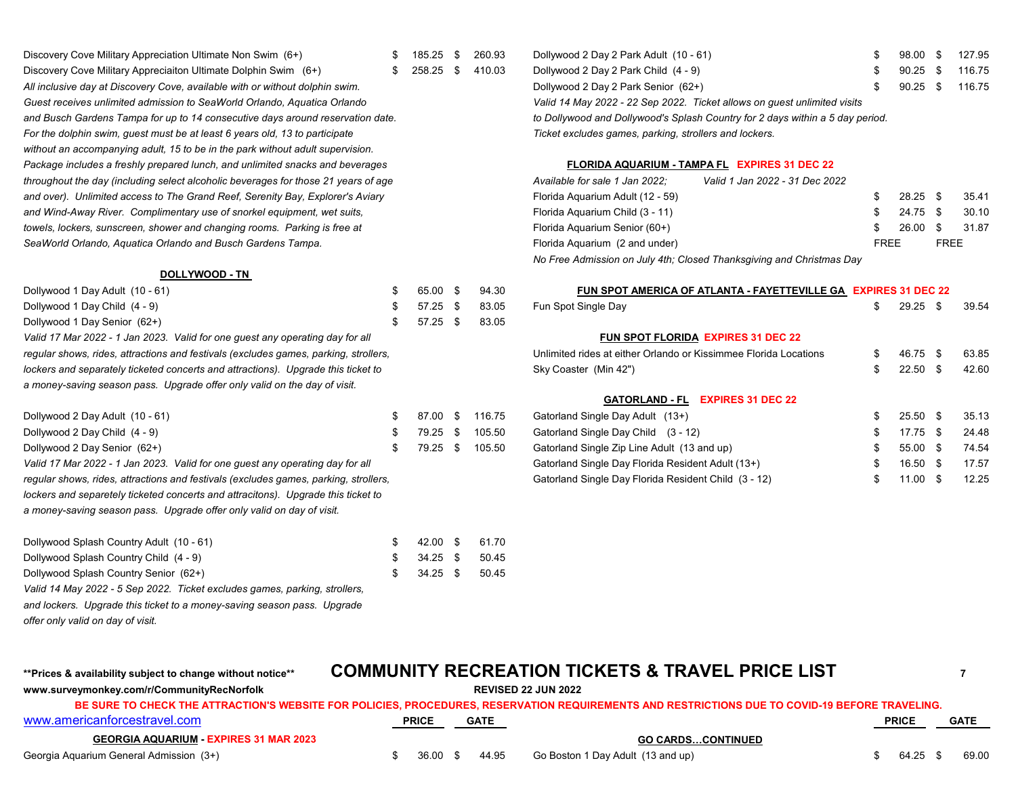| Discovery Cove Military Appreciation Ultimate Non Swim (6+)                        | 185.25 | \$. | 260.93 | Dollywood 2 Day 2 Park Adult (10 - 61)                 |                                                                               |           |
|------------------------------------------------------------------------------------|--------|-----|--------|--------------------------------------------------------|-------------------------------------------------------------------------------|-----------|
| Discovery Cove Military Appreciaiton Ultimate Dolphin Swim (6+)                    | 258.25 | S.  | 410.03 | Dollywood 2 Day 2 Park Child (4 - 9)                   |                                                                               |           |
| All inclusive day at Discovery Cove, available with or without dolphin swim.       |        |     |        | Dollywood 2 Day 2 Park Senior (62+)                    |                                                                               |           |
| Guest receives unlimited admission to SeaWorld Orlando, Aquatica Orlando           |        |     |        |                                                        | Valid 14 May 2022 - 22 Sep 2022. Ticket allows on guest unlimited visits      |           |
| and Busch Gardens Tampa for up to 14 consecutive days around reservation date.     |        |     |        |                                                        | to Dollywood and Dollywood's Splash Country for 2 days within a 5 day period. |           |
| For the dolphin swim, guest must be at least 6 years old, 13 to participate        |        |     |        | Ticket excludes games, parking, strollers and lockers. |                                                                               |           |
| without an accompanying adult, 15 to be in the park without adult supervision.     |        |     |        |                                                        |                                                                               |           |
| Package includes a freshly prepared lunch, and unlimited snacks and beverages      |        |     |        |                                                        | <b>FLORIDA AQUARIUM - TAMPA FL EXPIRES 31 DEC 22</b>                          |           |
| throughout the day (including select alcoholic beverages for those 21 years of age |        |     |        | Available for sale 1 Jan 2022:                         | Valid 1 Jan 2022 - 31 Dec 2022                                                |           |
| and over). Unlimited access to The Grand Reef, Serenity Bay, Explorer's Aviary     |        |     |        | Florida Aquarium Adult (12 - 59)                       |                                                                               |           |
| and Wind-Away River. Complimentary use of snorkel equipment, wet suits.            |        |     |        | Florida Aguarium Child (3 - 11)                        |                                                                               |           |
| towels, lockers, sunscreen, shower and changing rooms. Parking is free at          |        |     |        | Florida Aquarium Senior (60+)                          |                                                                               |           |
| SeaWorld Orlando, Aguatica Orlando and Busch Gardens Tampa.                        |        |     |        | Florida Aguarium (2 and under)                         |                                                                               | <b>FR</b> |

#### **DOLLYWOOD - TN**

| Dollywood 1 Day Adult (10 - 61)                                                      |   | 65.00      | 94.30  | <b>FUN SPOT AMERICA OF ATLANTA - FAYETTEY</b>               |
|--------------------------------------------------------------------------------------|---|------------|--------|-------------------------------------------------------------|
| Dollywood 1 Day Child (4 - 9)                                                        | S | 57.25      | 83.05  | Fun Spot Single Day                                         |
| Dollywood 1 Day Senior (62+)                                                         |   | $57.25$ \$ | 83.05  |                                                             |
| Valid 17 Mar 2022 - 1 Jan 2023. Valid for one quest any operating day for all        |   |            |        | <b>FUN SPOT FLORIDA EXPIRES 31 DEC 22</b>                   |
| requiar shows, rides, attractions and festivals (excludes games, parking, strollers, |   |            |        | Unlimited rides at either Orlando or Kissimmee Florida Loca |
| lockers and separately ticketed concerts and attractions). Upgrade this ticket to    |   |            |        | Sky Coaster (Min 42")                                       |
| a money-saving season pass. Upgrade offer only valid on the day of visit.            |   |            |        |                                                             |
|                                                                                      |   |            |        | <b>EXPIRES 31 DEC 22</b><br><b>GATORLAND - FL</b>           |
| Dollywood 2 Day Adult (10 - 61)                                                      |   | 87.00 \$   | 116.75 | Gatorland Single Day Adult (13+)                            |

| Dollywood 2 Day Child (4 - 9)                                                        | 79.25 \$ | 105.50 | Gatorland Single Day Child (3 - 12)                  | 17.75    | 24.48 |
|--------------------------------------------------------------------------------------|----------|--------|------------------------------------------------------|----------|-------|
| Dollywood 2 Day Senior (62+)                                                         | 79.25 \$ | 105.50 | Gatorland Single Zip Line Adult (13 and up)          | 55.00    | 74.54 |
| Valid 17 Mar 2022 - 1 Jan 2023. Valid for one guest any operating day for all        |          |        | Gatorland Single Day Florida Resident Adult (13+)    | 16.50 \$ | 17.57 |
| regular shows, rides, attractions and festivals (excludes games, parking, strollers, |          |        | Gatorland Single Day Florida Resident Child (3 - 12) | 11.00    | 12.25 |

*lockers and separetely ticketed concerts and attracitons). Upgrade this ticket to* 

*a money-saving season pass. Upgrade offer only valid on day of visit.*

| Dollywood Splash Country Adult (10 - 61)                                   |    | 42.00 \$   | 61.70 |
|----------------------------------------------------------------------------|----|------------|-------|
| Dollywood Splash Country Child (4 - 9)                                     |    | $34.25$ \$ | 50.45 |
| Dollywood Splash Country Senior (62+)                                      | S. | $34.25$ \$ | 50.45 |
| Valid 14 May 2022 - 5 Sep 2022. Ticket excludes games, parking, strollers, |    |            |       |
| and lockers. Upgrade this ticket to a money-saving season pass. Upgrade    |    |            |       |
| offer only valid on day of visit.                                          |    |            |       |

| Discovery Cove Military Appreciation Ultimate Non Swim (6+)                    | 185.25 \$ |               | 260.93 | Dollywood 2 Day 2 Park Adult (10 - 61)                                        | 98.00 | - \$ | 127.95 |
|--------------------------------------------------------------------------------|-----------|---------------|--------|-------------------------------------------------------------------------------|-------|------|--------|
| Discovery Cove Military Appreciaiton Ultimate Dolphin Swim (6+)                | 258.25    | $\mathcal{L}$ | 410.03 | Dollywood 2 Day 2 Park Child (4 - 9)                                          | 90.25 |      | 116.75 |
| All inclusive day at Discovery Cove, available with or without dolphin swim.   |           |               |        | Dollywood 2 Day 2 Park Senior (62+)                                           | 90.25 |      | 116.75 |
| Guest receives unlimited admission to SeaWorld Orlando, Aquatica Orlando       |           |               |        | Valid 14 May 2022 - 22 Sep 2022. Ticket allows on quest unlimited visits      |       |      |        |
| and Busch Gardens Tampa for up to 14 consecutive days around reservation date. |           |               |        | to Dollywood and Dollywood's Splash Country for 2 days within a 5 day period. |       |      |        |
| For the dolphin swim, quest must be at least 6 vears old. 13 to participate    |           |               |        | Ticket excludes games, parking, strollers and lockers.                        |       |      |        |

### *Package includes a freshly prepared lunch, and unlimited snacks and beverages* **FLORIDA AQUARIUM - TAMPA FL EXPIRES 31 DEC 22**

| throughout the day (including select alcoholic beverages for those 21 years of age | Available for sale 1 Jan 2022;<br>Valid 1 Jan 2022 - 31 Dec 2022     |                     |             |       |
|------------------------------------------------------------------------------------|----------------------------------------------------------------------|---------------------|-------------|-------|
| and over). Unlimited access to The Grand Reef, Serenity Bay, Explorer's Aviary     | Florida Aquarium Adult (12 - 59)                                     | $28.25$ \$          |             | 35.41 |
| and Wind-Away River. Complimentary use of snorkel equipment, wet suits,            | Florida Aguarium Child (3 - 11)                                      | 24.75 \$            |             | 30.10 |
| towels, lockers, sunscreen, shower and changing rooms. Parking is free at          | Florida Aquarium Senior (60+)                                        | $26.00 \text{ }$ \$ |             | 31.87 |
| SeaWorld Orlando, Aquatica Orlando and Busch Gardens Tampa.                        | Florida Aquarium (2 and under)                                       | <b>FREE</b>         | <b>FREE</b> |       |
|                                                                                    | No Free Admission on July 4th; Closed Thanksgiving and Christmas Day |                     |             |       |

| Dollywood 1 Day Adult (10 - 61)                                                      |   | 65.00 | - \$ | 94.30  | FUN SPOT AMERICA OF ATLANTA - FAYETTEVILLE GA EXPIRES 31 DEC 22  |     |       |      |       |
|--------------------------------------------------------------------------------------|---|-------|------|--------|------------------------------------------------------------------|-----|-------|------|-------|
| Dollywood 1 Day Child (4 - 9)                                                        |   | 57.25 | - \$ | 83.05  | Fun Spot Single Day                                              | S   | 29.25 | - \$ | 39.54 |
| Dollywood 1 Day Senior (62+)                                                         |   | 57.25 | - \$ | 83.05  |                                                                  |     |       |      |       |
| Valid 17 Mar 2022 - 1 Jan 2023. Valid for one guest any operating day for all        |   |       |      |        | <b>FUN SPOT FLORIDA EXPIRES 31 DEC 22</b>                        |     |       |      |       |
| regular shows, rides, attractions and festivals (excludes games, parking, strollers, |   |       |      |        | Unlimited rides at either Orlando or Kissimmee Florida Locations | S.  | 46.75 | -S   | 63.85 |
| lockers and separately ticketed concerts and attractions). Upgrade this ticket to    |   |       |      |        | Sky Coaster (Min 42")                                            | £.  | 22.50 | -SS  | 42.60 |
| a money-saving season pass. Upgrade offer only valid on the day of visit.            |   |       |      |        |                                                                  |     |       |      |       |
|                                                                                      |   |       |      |        | <b>EXPIRES 31 DEC 22</b><br><b>GATORLAND - FL</b>                |     |       |      |       |
| Dollywood 2 Day Adult (10 - 61)                                                      | S | 87.00 | -S   | 116.75 | Gatorland Single Day Adult (13+)                                 | \$. | 25.50 | -S   | 35.13 |
| Dollywood 2 Day Child (4 - 9)                                                        |   | 79.25 | - \$ | 105.50 | Gatorland Single Day Child (3 - 12)                              |     | 17.75 | -S   | 24.48 |
| Dollywood 2 Day Senior (62+)                                                         |   | 79.25 | - \$ | 105.50 | Gatorland Single Zip Line Adult (13 and up)                      |     | 55.00 | - \$ | 74.54 |
| Valid 17 Mar 2022 - 1 Jan 2023. Valid for one guest any operating day for all        |   |       |      |        | Gatorland Single Day Florida Resident Adult (13+)                | £.  | 16.50 | - \$ | 17.57 |
| reaular shows, rides, attractions and festivals (excludes games, parking, strollers, |   |       |      |        | Gatorland Single Day Florida Resident Child (3 - 12)             |     | 11.00 | - S  | 12.25 |

## **\*\*Prices & availability subject to change without notice\*\* COMMUNITY RECREATION TICKETS & TRAVEL PRICE LIST <sup>7</sup>**

## **www.surveymonkey.com/r/CommunityRecNorfolk REVISED 22 JUN 2022** [www.americanforcestravel.com](http://www.americanforcestravel.com/) **PRICE GATE PRICE GATE GEORGIA AQUARIUM - EXPIRES 31 MAR 2023 GO CARDS…CONTINUED** Georgia Aquarium General Admission (3+) **5 169.00 \$** 36.00 \$ 44.95 Go Boston 1 Day Adult (13 and up) \$ 64.25 \$ 69.00 **BE SURE TO CHECK THE ATTRACTION'S WEBSITE FOR POLICIES, PROCEDURES, RESERVATION REQUIREMENTS AND RESTRICTIONS DUE TO COVID-19 BEFORE TRAVELING.**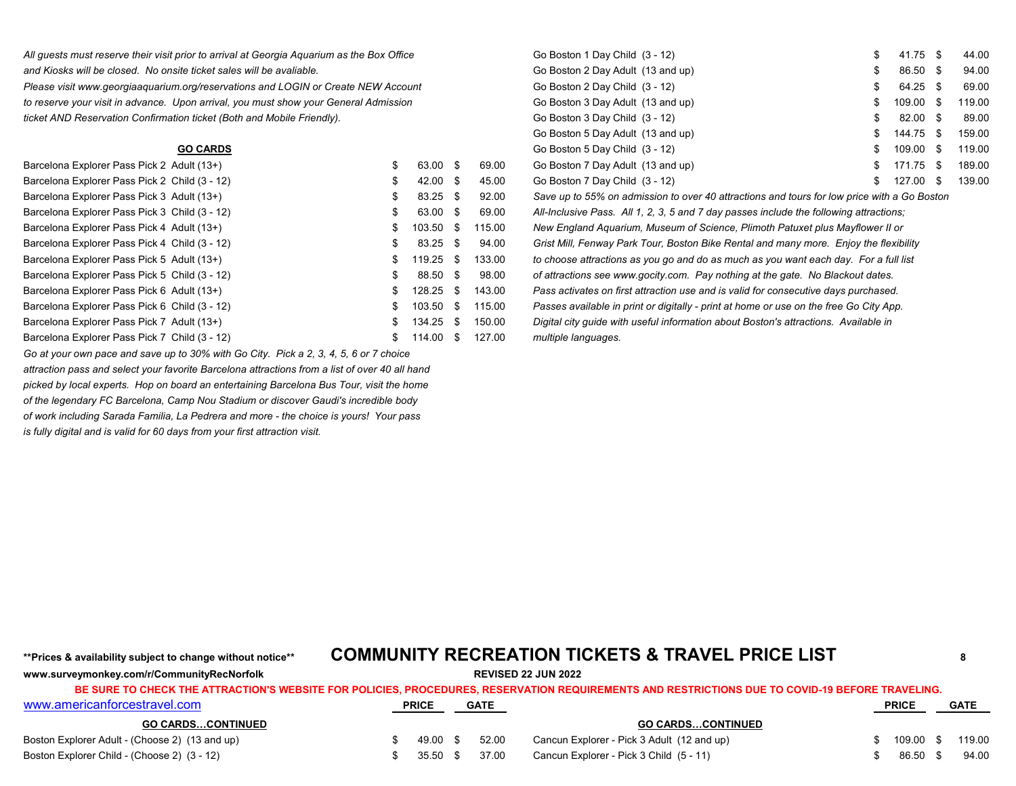*All guests must reserve their visit prior to arrival at Georgia Aquarium as the Box Office* and Kiosks will be closed. No onsite ticket sales will be avaliable.

*Please visit www.georgiaaquarium.org/reservations and LOGIN or Create NEW Account to reserve your visit in advance. Upon arrival, you must show your General Admission ticket AND Reservation Confirmation ticket (Both and Mobile Friendly).* 

| Barcelona Explorer Pass Pick 2 Adult (13+)    |    | 63.00 \$   |      | 69.00  | Go Boston 7 Day Adult (13 and up)                                                           | 171.75    | 189.00 |
|-----------------------------------------------|----|------------|------|--------|---------------------------------------------------------------------------------------------|-----------|--------|
| Barcelona Explorer Pass Pick 2 Child (3 - 12) |    | $42.00$ \$ |      | 45.00  | Go Boston 7 Day Child (3 - 12)                                                              | 127.00 \$ | 139.00 |
| Barcelona Explorer Pass Pick 3 Adult (13+)    |    | 83.25 \$   |      | 92.00  | Save up to 55% on admission to over 40 attractions and tours for low price with a Go Boston |           |        |
| Barcelona Explorer Pass Pick 3 Child (3 - 12) |    | 63.00 \$   |      | 69.00  | All-Inclusive Pass. All 1, 2, 3, 5 and 7 day passes include the following attractions;      |           |        |
| Barcelona Explorer Pass Pick 4 Adult (13+)    |    | 103.50 \$  |      | 115.00 | New England Aquarium, Museum of Science, Plimoth Patuxet plus Mayflower II or               |           |        |
| Barcelona Explorer Pass Pick 4 Child (3 - 12) |    | $83.25$ \$ |      | 94.00  | Grist Mill, Fenway Park Tour, Boston Bike Rental and many more. Enjoy the flexibility       |           |        |
| Barcelona Explorer Pass Pick 5 Adult (13+)    |    | 119.25 \$  |      | 133.00 | to choose attractions as you go and do as much as you want each day. For a full list        |           |        |
| Barcelona Explorer Pass Pick 5 Child (3 - 12) | "Ж | 88.50 \$   |      | 98.00  | of attractions see www.gocity.com. Pay nothing at the gate. No Blackout dates.              |           |        |
| Barcelona Explorer Pass Pick 6 Adult (13+)    |    | 128.25     | - \$ | 143.00 | Pass activates on first attraction use and is valid for consecutive days purchased.         |           |        |
| Barcelona Explorer Pass Pick 6 Child (3 - 12) |    | 103.50 \$  |      | 115.00 | Passes available in print or digitally - print at home or use on the free Go City App.      |           |        |
| Barcelona Explorer Pass Pick 7 Adult (13+)    |    | 134.25     | - \$ | 150.00 | Digital city guide with useful information about Boston's attractions. Available in         |           |        |
| Barcelona Explorer Pass Pick 7 Child (3 - 12) |    | 114.00 \$  |      | 127.00 | multiple languages.                                                                         |           |        |

*Go at your own pace and save up to 30% with Go City. Pick a 2, 3, 4, 5, 6 or 7 choice attraction pass and select your favorite Barcelona attractions from a list of over 40 all hand picked by local experts. Hop on board an entertaining Barcelona Bus Tour, visit the home of the legendary FC Barcelona, Camp Nou Stadium or discover Gaudi's incredible body of work including Sarada Familia, La Pedrera and more - the choice is yours! Your pass is fully digital and is valid for 60 days from your first attraction visit.*

| prior to arrival at Georgia Aquarium as the Box Office |     |                     |      |        | Go Boston 1 Day Child (3 - 12)                                                              |    | 41.75 \$  | 44.00  |
|--------------------------------------------------------|-----|---------------------|------|--------|---------------------------------------------------------------------------------------------|----|-----------|--------|
| ite ticket sales will be avaliable.                    |     |                     |      |        | Go Boston 2 Day Adult (13 and up)                                                           |    | 86.50 \$  | 94.00  |
| org/reservations and LOGIN or Create NEW Account.      |     |                     |      |        | Go Boston 2 Day Child (3 - 12)                                                              | S  | 64.25 \$  | 69.00  |
| Ipon arrival, you must show your General Admission     |     |                     |      |        | Go Boston 3 Day Adult (13 and up)                                                           |    | 109.00 \$ | 119.00 |
| on ticket (Both and Mobile Friendly).                  |     |                     |      |        | Go Boston 3 Day Child (3 - 12)                                                              | \$ | 82.00 \$  | 89.00  |
|                                                        |     |                     |      |        | Go Boston 5 Day Adult (13 and up)                                                           | S  | 144.75 \$ | 159.00 |
| <b>GO CARDS</b>                                        |     |                     |      |        | Go Boston 5 Day Child (3 - 12)                                                              | \$ | 109.00 \$ | 119.00 |
| dult (13+).                                            | \$  | 63.00 \$            |      | 69.00  | Go Boston 7 Day Adult (13 and up)                                                           |    | 171.75 \$ | 189.00 |
| hild (3 - 12)                                          | S   | $42.00 \text{ }$ \$ |      | 45.00  | Go Boston 7 Day Child (3 - 12)                                                              | S  | 127.00 \$ | 139.00 |
| dult (13+).                                            | \$. | 83.25 \$            |      | 92.00  | Save up to 55% on admission to over 40 attractions and tours for low price with a Go Boston |    |           |        |
| hild (3 - 12)                                          | \$. | 63.00 \$            |      | 69.00  | All-Inclusive Pass. All 1, 2, 3, 5 and 7 day passes include the following attractions;      |    |           |        |
| dult (13+).                                            | \$  | 103.50              | - \$ | 115.00 | New England Aquarium, Museum of Science, Plimoth Patuxet plus Mayflower II or               |    |           |        |
| hild (3 - 12)                                          | \$. | $83.25$ \$          |      | 94.00  | Grist Mill, Fenway Park Tour, Boston Bike Rental and many more. Enjoy the flexibility       |    |           |        |
| dult (13+).                                            |     | 119.25 \$           |      | 133.00 | to choose attractions as you go and do as much as you want each day. For a full list        |    |           |        |
| hild (3 - 12)                                          |     | 88.50 \$            |      | 98.00  | of attractions see www.gocity.com. Pay nothing at the gate. No Blackout dates.              |    |           |        |
| .                                                      |     |                     |      |        |                                                                                             |    |           |        |

## **\*\*Prices & availability subject to change without notice\*\* COMMUNITY RECREATION TICKETS & TRAVEL PRICE LIST <sup>8</sup>**

**www.surveymonkey.com/r/CommunityRecNorfolk REVISED 22 JUN 2022** [www.americanforcestravel.com](http://www.americanforcestravel.com/) **PRICE GATE PRICE GATE GO CARDS…CONTINUED GO CARDS…CONTINUED** Boston Explorer Adult - (Choose 2) (13 and up)  $\frac{1}{3}$  49.00 \$ 49.00 \$ 52.00 Cancun Explorer - Pick 3 Adult (12 and up) \$ 109.00 \$ 119.00 Boston Explorer Child - (Choose 2) (3 - 12) **\$** 35.50 \$ 37.00 Cancun Explorer - Pick 3 Child (5 - 11) \$ 86.50 \$ 94.00 **BE SURE TO CHECK THE ATTRACTION'S WEBSITE FOR POLICIES, PROCEDURES, RESERVATION REQUIREMENTS AND RESTRICTIONS DUE TO COVID-19 BEFORE TRAVELING.**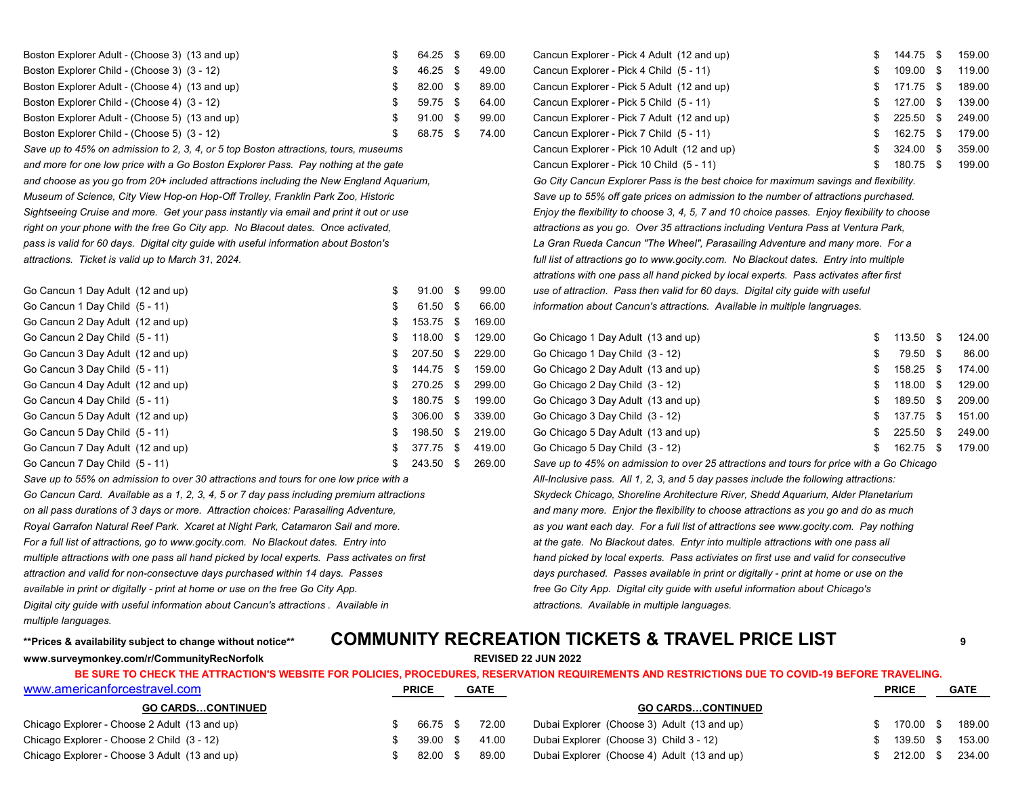| Boston Explorer Adult - (Choose 3) (13 and up) | 64.25 \$ |      | 69.00 |
|------------------------------------------------|----------|------|-------|
| Boston Explorer Child - (Choose 3) (3 - 12)    | 46.25    | - \$ | 49.00 |
| Boston Explorer Adult - (Choose 4) (13 and up) | 82.00    | - \$ | 89.00 |
| Boston Explorer Child - (Choose 4) (3 - 12)    | 59.75 \$ |      | 64.00 |
| Boston Explorer Adult - (Choose 5) (13 and up) | 91.00    | - \$ | 99.00 |
| Boston Explorer Child - (Choose 5) (3 - 12)    | 68.75    |      | 74.00 |

*and choose as you go from 20+ included attractions including the New England Aquarium, Go City Cancun Explorer Pass is the best choice for maximum savings and flexibility. Museum of Science, City View Hop-on Hop-Off Trolley, Franklin Park Zoo, Historic Save up to 55% off gate prices on admission to the number of attractions purchased. Sightseeing Cruise and more. Get your pass instantly via email and print it out or use Enjoy the flexibility to choose 3, 4, 5, 7 and 10 choice passes. Enjoy flexibility to choose* right on your phone with the free Go City app. No Blacout dates. Once activated, and the state of the stractions as you go. Over 35 attractions including Ventura Pass at Ventura Park, *pass is valid for 60 days. Digital city guide with useful information about Boston's La Gran Rueda Cancun "The Wheel", Parasailing Adventure and many more. For a*  attractions. Ticket is valid up to March 31, 2024. *attractions of attractions go to www.gocity.com. No Blackout dates. Entry into multiple* 

| Go Cancun 1 Day Adult (12 and up) |               | $91.00 \text{ }$ \$ | 99.00  | use of attraction. Pass then valid for 60 days. Digital city guide with useful           |           |        |
|-----------------------------------|---------------|---------------------|--------|------------------------------------------------------------------------------------------|-----------|--------|
| Go Cancun 1 Day Child (5 - 11)    |               | 61.50 \$            | 66.00  | information about Cancun's attractions. Available in multiple langruages.                |           |        |
| Go Cancun 2 Day Adult (12 and up) |               | 153.75 \$           | 169.00 |                                                                                          |           |        |
| Go Cancun 2 Day Child (5 - 11)    | Ъ.            | 118.00 \$           | 129.00 | Go Chicago 1 Day Adult (13 and up)                                                       | 113.50 \$ | 124.00 |
| Go Cancun 3 Day Adult (12 and up) |               | 207.50 \$           | 229.00 | Go Chicago 1 Day Child (3 - 12)                                                          | 79.50 \$  | 86.00  |
| Go Cancun 3 Day Child (5 - 11)    |               | 144.75 \$           | 159.00 | Go Chicago 2 Day Adult (13 and up)                                                       | 158.25 \$ | 174.00 |
| Go Cancun 4 Day Adult (12 and up) |               | 270.25 \$           | 299.00 | Go Chicago 2 Day Child (3 - 12)                                                          | 118.00 \$ | 129.00 |
| Go Cancun 4 Day Child (5 - 11)    | $\mathcal{P}$ | 180.75 \$           | 199.00 | Go Chicago 3 Day Adult (13 and up)                                                       | 189.50 \$ | 209.00 |
| Go Cancun 5 Day Adult (12 and up) |               | 306.00 \$           | 339.00 | Go Chicago 3 Day Child (3 - 12)                                                          | 137.75 \$ | 151.00 |
| Go Cancun 5 Day Child (5 - 11)    |               | 198.50 \$           | 219.00 | Go Chicago 5 Day Adult (13 and up)                                                       | 225.50 \$ | 249.00 |
| Go Cancun 7 Day Adult (12 and up) |               | 377.75 \$           | 419.00 | Go Chicago 5 Day Child (3 - 12)                                                          | 162.75 \$ | 179.00 |
| Go Cancun 7 Day Child $(5 - 11)$  |               | 243.50 \$           | 269.00 | Save up to 45% on admission to over 25 attractions and tours for price with a Go Chicago |           |        |

*Go Cancun Card. Available as a 1, 2, 3, 4, 5 or 7 day pass including premium attractions Skydeck Chicago, Shoreline Architecture River, Shedd Aquarium, Alder Planetarium on all pass durations of 3 days or more. Attraction choices: Parasailing Adventure, and many more. Enjor the flexibility to choose attractions as you go and do as much Royal Garrafon Natural Reef Park. Xcaret at Night Park, Catamaron Sail and more. as you want each day. For a full list of attractions see www.gocity.com. Pay nothing* For a full list of attractions, go to www.gocity.com. No Blackout dates. Entry into *at the gate. No Blackout dates. Entyr into multiple attractions with one pass all multiple attractions with one pass all hand picked by local experts. Pass activates on first hand picked by local experts. Pass activiates on first use and valid for consecutive*  attraction and valid for non-consectuve days purchased within 14 days. Passes available in print or digitally - print at home or use on the and the masses available in print or digitally - print at home or use on the *available in print or digitally - print at home or use on the free Go City App. free Go City App. Digital city guide with useful information about Chicago's Digital city guide with useful information about Cancun's attractions . Available in attractions. Available in multiple languages. multiple languages.*

Cancun Explorer - Pick 4 Adult (12 and up)  $\frac{1}{3}$  144.75 \$ 159.00 Boston Explorer Child - (Choose 3) (3 - 12) \$ 46.25 \$ 49.00 Cancun Explorer - Pick 4 Child (5 - 11) \$ 109.00 \$ 119.00 Cancun Explorer - Pick 5 Adult (12 and up)  $\qquad \qquad$  \$ 171.75 \$ 189.00 Cancun Explorer - Pick 5 Child (5 - 11)  $\qquad \qquad$  \$ 127.00 \$ 139.00 Cancun Explorer - Pick 7 Adult (12 and up)  $\qquad \qquad$  \$ 225.50 \$ 249.00 Cancun Explorer - Pick 7 Child (5 - 11)  $\qquad \qquad$  \$ 162.75 \$ 179.00 Save up to 45% on admission to 2, 3, 4, or 5 top Boston attractions, tours, museums **Samual Cancun Explorer - Pick 10 Adult (12 and up)** \$ 324.00 \$ 359.00 \$ 359.00 and more for one low price with a Go Boston Explorer Pass. Pay nothing at the gate **by a computer of the cancula** Cancun Explorer - Pick 10 Child (5 - 11) \$ 180.75 \$ 189.00 *attrations with one pass all hand picked by local experts. Pass activates after first* use of attraction. Pass then valid for 60 days. Digital city guide with useful information about Cancun's attractions. Available in multiple langruages.

| Go Chicago 1 Day Adult (13 and up) | \$  | 113.50 | - \$ | 124.00 |
|------------------------------------|-----|--------|------|--------|
| Go Chicago 1 Day Child (3 - 12)    | S   | 79.50  | -\$  | 86.00  |
| Go Chicago 2 Day Adult (13 and up) | \$. | 158.25 | \$.  | 174.00 |
| Go Chicago 2 Day Child (3 - 12)    | \$. | 118.00 | \$   | 129.00 |
| Go Chicago 3 Day Adult (13 and up) | S.  | 189.50 | \$   | 209.00 |
| Go Chicago 3 Day Child (3 - 12)    | S.  | 137.75 | -S   | 151.00 |
| Go Chicago 5 Day Adult (13 and up) | £.  | 225.50 | \$   | 249.00 |
| Go Chicago 5 Day Child (3 - 12)    | S   | 162.75 | \$   | 179.00 |
|                                    |     |        |      |        |

Save up to 45% on admission to over 25 attractions and tours for price with a Go Chicago Save up to 55% on admission to over 30 attractions and tours for one low price with a *All-Inclusive pass. All 1, 2, 3, and 5 day passes include the following attractions:* 

## **\*\*Prices & availability subject to change without notice\*\* COMMUNITY RECREATION TICKETS & TRAVEL PRICE LIST <sup>9</sup>**

**www.surveymonkey.com/r/CommunityRecNorfolk REVISED 22 JUN 2022**

| www.americanforcestravel.com                  | <b>PRICE</b>        |  | <b>GATE</b> |                                             | <b>PRICE</b> | <b>GATE</b> |
|-----------------------------------------------|---------------------|--|-------------|---------------------------------------------|--------------|-------------|
| <b>GO CARDSCONTINUED</b>                      |                     |  |             | <b>GO CARDSCONTINUED</b>                    |              |             |
| Chicago Explorer - Choose 2 Adult (13 and up) | 66.75 \$            |  | 72.00       | Dubai Explorer (Choose 3) Adult (13 and up) | 170.00 \$    | 189.00      |
| Chicago Explorer - Choose 2 Child (3 - 12)    | $39.00 \text{ }$ \$ |  | 41.00       | Dubai Explorer (Choose 3) Child 3 - 12)     | 139.50 \$    | 153.00      |
| Chicago Explorer - Choose 3 Adult (13 and up) | 82.00 \$            |  | 89.00       | Dubai Explorer (Choose 4) Adult (13 and up) | 212.00       | 234.00      |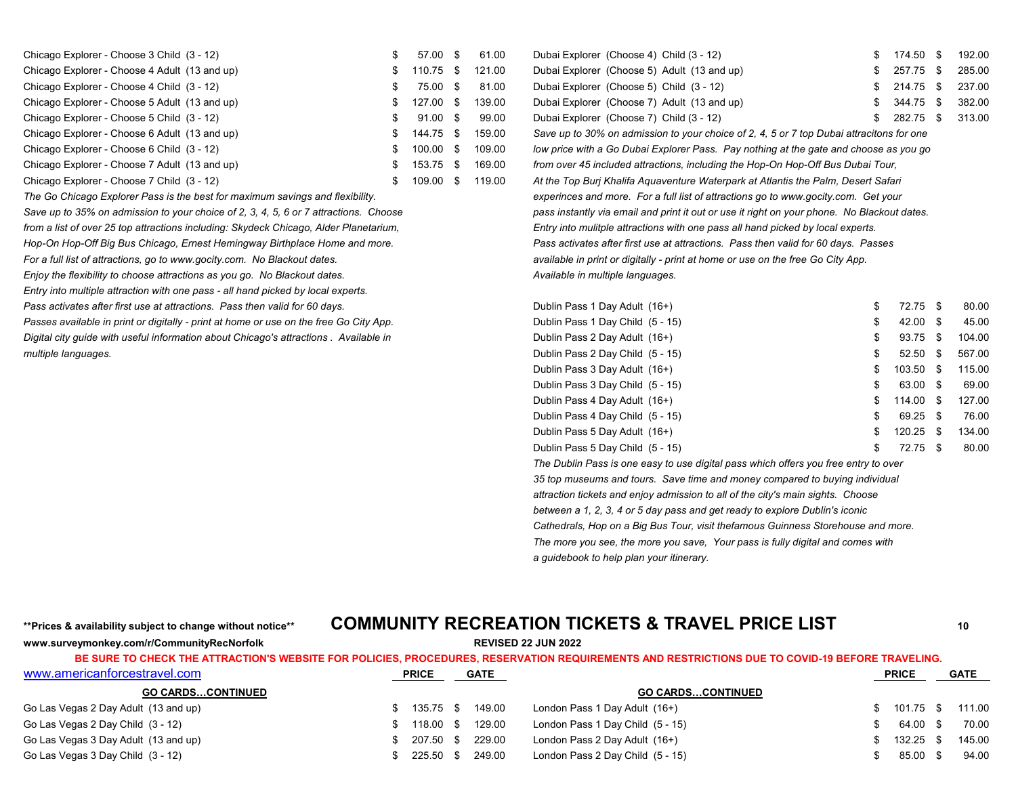| Chicago Explorer - Choose 3 Child (3 - 12)    | 57.00 \$   |      | 61.00  | Dubai Explorer (Choose 4) Child (3 - 12)                                                 | 174.50 \$ | 192.00 |
|-----------------------------------------------|------------|------|--------|------------------------------------------------------------------------------------------|-----------|--------|
| Chicago Explorer - Choose 4 Adult (13 and up) | 110.75 \$  |      | 121.00 | Dubai Explorer (Choose 5) Adult (13 and up)                                              | 257.75 \$ | 285.00 |
| Chicago Explorer - Choose 4 Child (3 - 12)    | 75.00 \$   |      | 81.00  | Dubai Explorer (Choose 5) Child (3 - 12)                                                 | 214.75 \$ | 237.00 |
| Chicago Explorer - Choose 5 Adult (13 and up) | 127.00 \$  |      | 139.00 | Dubai Explorer (Choose 7) Adult (13 and up)                                              | 344.75 \$ | 382.00 |
| Chicago Explorer - Choose 5 Child (3 - 12)    | $91.00$ \$ |      | 99.00  | Dubai Explorer (Choose 7) Child (3 - 12)                                                 | 282.75    | 313.00 |
| Chicago Explorer - Choose 6 Adult (13 and up) | 144.75 \$  |      | 159.00 | Save up to 30% on admission to your choice of 2, 4, 5 or 7 top Dubai attracitons for one |           |        |
| Chicago Explorer - Choose 6 Child (3 - 12)    | 100.00 \$  |      | 109.00 | low price with a Go Dubai Explorer Pass. Pay nothing at the gate and choose as you go    |           |        |
| Chicago Explorer - Choose 7 Adult (13 and up) | 153.75 \$  |      | 169.00 | from over 45 included attractions, including the Hop-On Hop-Off Bus Dubai Tour,          |           |        |
| Chicago Explorer - Choose 7 Child (3 - 12)    | 109.00     | - \$ | 119.00 | At the Top Burj Khalifa Aquaventure Waterpark at Atlantis the Palm, Desert Safari        |           |        |

*Enjoy the flexibility to choose attractions as you go. No Blackout dates.* And the state of the anguages and the state of the state of the state of the state of the state of the state of the state of the state of the stat

*Entry into multiple attraction with one pass - all hand picked by local experts.*

| Dubai Explorer (Choose 4) Child (3 - 12)    | \$ 174.50 \$ 192.00 |  |
|---------------------------------------------|---------------------|--|
| Dubai Explorer (Choose 5) Adult (13 and up) | \$ 257.75 \$ 285.00 |  |
| Dubai Explorer (Choose 5) Child (3 - 12)    | $$214.75$ \$ 237.00 |  |
| Dubai Explorer (Choose 7) Adult (13 and up) | \$ 344.75 \$ 382.00 |  |
| Dubai Explorer (Choose 7) Child (3 - 12)    | \$ 282.75 \$ 313.00 |  |

Save up to 30% on admission to your choice of 2, 4, 5 or 7 top Dubai attracitons for one Iow price with a Go Dubai Explorer Pass. Pay nothing at the gate and choose as you go from over 45 included attractions, including the Hop-On Hop-Off Bus Dubai Tour, At the Top Burj Khalifa Aquaventure Waterpark at Atlantis the Palm, Desert Safari *The Go Chicago Explorer Pass is the best for maximum savings and flexibility. experinces and more. For a full list of attractions go to www.gocity.com. Get your* Save up to 35% on admission to your choice of 2, 3, 4, 5, 6 or 7 attractions. Choose *pass instantly via email and print it out or use it right on your phone. No Blackout dates. from a list of over 25 top attractions including: Skydeck Chicago, Alder Planetarium, Entry into mulitple attractions with one pass all hand picked by local experts. Hop-On Hop-Off Big Bus Chicago, Ernest Hemingway Birthplace Home and more. Pass activates after first use at attractions. Pass then valid for 60 days. Passes*  For a full list of attractions, go to www.gocity.com. No Blackout dates. The match of the section of the free Go City App. And the free Go City App.

| Pass activates after first use at attractions. Pass then valid for 60 days.            | Dublin Pass 1 Day Adult (16+)    | 72.75 \$            |      | 80.00  |
|----------------------------------------------------------------------------------------|----------------------------------|---------------------|------|--------|
| Passes available in print or digitally - print at home or use on the free Go City App. | Dublin Pass 1 Day Child (5 - 15) | $42.00 \text{ }$ \$ |      | 45.00  |
| Digital city quide with useful information about Chicago's attractions . Available in  | Dublin Pass 2 Day Adult (16+)    | 93.75 \$            |      | 104.00 |
| multiple languages.                                                                    | Dublin Pass 2 Day Child (5 - 15) | 52.50               | - \$ | 567.00 |
|                                                                                        | Dublin Pass 3 Day Adult (16+)    | 103.50              | - \$ | 115.00 |
|                                                                                        | Dublin Pass 3 Day Child (5 - 15) | 63.00 \$            |      | 69.00  |
|                                                                                        | Dublin Pass 4 Day Adult (16+)    | 114.00 \$           |      | 127.00 |
|                                                                                        | Dublin Pass 4 Day Child (5 - 15) | 69.25 \$            |      | 76.00  |
|                                                                                        | Dublin Pass 5 Day Adult (16+)    | 120.25              | - \$ | 134.00 |
|                                                                                        | Dublin Pass 5 Day Child (5 - 15) | 72.75 \$            |      | 80.00  |
|                                                                                        |                                  |                     |      |        |

*The Dublin Pass is one easy to use digital pass which offers you free entry to over 35 top museums and tours. Save time and money compared to buying individual attraction tickets and enjoy admission to all of the city's main sights. Choose between a 1, 2, 3, 4 or 5 day pass and get ready to explore Dublin's iconic Cathedrals, Hop on a Big Bus Tour, visit thefamous Guinness Storehouse and more. The more you see, the more you save, Your pass is fully digital and comes with a guidebook to help plan your itinerary.*

## **\*\*Prices & availability subject to change without notice\*\* COMMUNITY RECREATION TICKETS & TRAVEL PRICE LIST <sup>10</sup>**

**www.surveymonkey.com/r/CommunityRecNorfolk REVISED 22 JUN 2022**

| www.americanforcestravel.com         | <b>PRICE</b> | <b>GATE</b> |                                  | <b>PRICE</b> | <b>GATE</b> |
|--------------------------------------|--------------|-------------|----------------------------------|--------------|-------------|
| <b>GO CARDSCONTINUED</b>             |              |             | <b>GO CARDSCONTINUED</b>         |              |             |
| Go Las Vegas 2 Day Adult (13 and up) | 135.75 \$    | 149.00      | London Pass 1 Day Adult (16+)    | 101.75 \$    | 111.00      |
| Go Las Vegas 2 Day Child (3 - 12)    | 118.00 \$    | 129.00      | London Pass 1 Day Child (5 - 15) | 64.00 \$     | 70.00       |
| Go Las Vegas 3 Day Adult (13 and up) | 207.50 \$    | 229.00      | London Pass 2 Day Adult (16+)    | $132.25$ \$  | 145.00      |
| Go Las Vegas 3 Day Child (3 - 12)    | 225.50 \$    | 249.00      | London Pass 2 Day Child (5 - 15) | 85.00 \$     | 94.00       |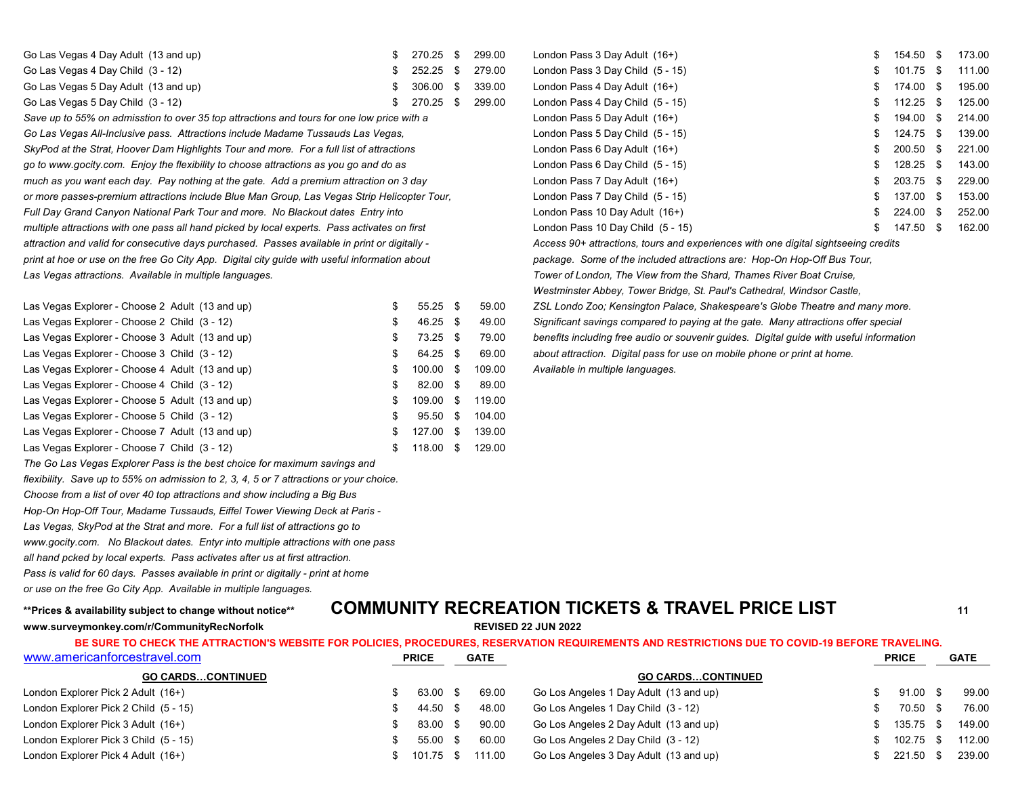| Go Las Vegas 4 Day Adult (13 and up) | 270.25 \$        | 299.00 | London Pass 3 Day Adult (16+)    | 154.50 \$        | 173.00 |
|--------------------------------------|------------------|--------|----------------------------------|------------------|--------|
| Go Las Vegas 4 Day Child (3 - 12)    | 252.25 \$ 279.00 |        | London Pass 3 Day Child (5 - 15) | 101.75 \$ 111.00 |        |
| Go Las Vegas 5 Day Adult (13 and up) | 306.00 \$ 339.00 |        | London Pass 4 Day Adult (16+)    | 174.00 \$        | 195.00 |
| Go Las Vegas 5 Day Child (3 - 12)    | 270.25 \$ 299.00 |        | London Pass 4 Day Child (5 - 15) | 112.25           | 125.00 |

Save up to 55% on admisstion to over 35 top attractions and tours for one low price with a *Go Las Vegas All-Inclusive pass. Attractions include Madame Tussauds Las Vegas,* SkyPod at the Strat, Hoover Dam Highlights Tour and more. For a full list of attractions *go to www.gocity.com. Enjoy the flexibility to choose attractions as you go and do as* London Pass 6 Day Child (5 - 15) \$ 128.25 \$ 143.00 *much as you want each day. Pay nothing at the gate. Add a premium attraction on 3 day or more passes-premium attractions include Blue Man Group, Las Vegas Strip Helicopter Tour,* Full Day Grand Canyon National Park Tour and more. No Blackout dates Entry into *multiple attractions with one pass all hand picked by local experts. Pass activates on first attraction and valid for consecutive days purchased. Passes available in print or digitally - Access 90+ attractions, tours and experiences with one digital sightseeing credits print at hoe or use on the free Go City App. Digital city guide with useful information about package. Some of the included attractions are: Hop-On Hop-Off Bus Tour, Las Vegas attractions. Available in multiple languages. Tower of London, The View from the Shard, Thames River Boat Cruise,*

| Las Vegas Explorer - Choose 2 Adult (13 and up) | \$ | $55.25$ \$ |      | 59.00  |
|-------------------------------------------------|----|------------|------|--------|
| Las Vegas Explorer - Choose 2 Child (3 - 12)    | S  | $46.25$ \$ |      | 49.00  |
| Las Vegas Explorer - Choose 3 Adult (13 and up) | S  | 73.25 \$   |      | 79.00  |
| Las Vegas Explorer - Choose 3 Child (3 - 12)    | S. | 64.25 \$   |      | 69.00  |
| Las Vegas Explorer - Choose 4 Adult (13 and up) | S  | 100.00     | - \$ | 109.00 |
| Las Vegas Explorer - Choose 4 Child (3 - 12)    | \$ | 82.00      | -S   | 89.00  |
| Las Vegas Explorer - Choose 5 Adult (13 and up) | S  | 109.00     | \$   | 119.00 |
| Las Vegas Explorer - Choose 5 Child (3 - 12)    | S  | 95.50      | \$   | 104.00 |
| Las Vegas Explorer - Choose 7 Adult (13 and up) | S  | 127.00     | \$.  | 139.00 |
| Las Vegas Explorer - Choose 7 Child (3 - 12)    | S  | 118.00     | S    | 129.00 |

*The Go Las Vegas Explorer Pass is the best choice for maximum savings and*

*flexibility. Save up to 55% on admission to 2, 3, 4, 5 or 7 attractions or your choice.*

*Choose from a list of over 40 top attractions and show including a Big Bus*

*Hop-On Hop-Off Tour, Madame Tussauds, Eiffel Tower Viewing Deck at Paris -* 

*Las Vegas, SkyPod at the Strat and more. For a full list of attractions go to*

*www.gocity.com. No Blackout dates. Entyr into multiple attractions with one pass*

*all hand pcked by local experts. Pass activates after us at first attraction.* 

*Pass is valid for 60 days. Passes available in print or digitally - print at home*

*or use on the free Go City App. Available in multiple languages.*

# **www.surveymonkey.com/r/CommunityRecNorfolk REVISED 22 JUN 2022**

| London Pass 3 Day Adult (16+)     | \$<br>154.50 | S    | 173.00 |
|-----------------------------------|--------------|------|--------|
| London Pass 3 Day Child (5 - 15)  | \$<br>101.75 | \$   | 111.00 |
| London Pass 4 Day Adult (16+)     | \$<br>174.00 | \$   | 195.00 |
| London Pass 4 Day Child (5 - 15)  | \$<br>112.25 | - \$ | 125.00 |
| London Pass 5 Day Adult (16+)     | \$<br>194.00 | \$   | 214.00 |
| London Pass 5 Day Child (5 - 15)  | \$<br>124.75 | \$   | 139.00 |
| London Pass 6 Day Adult (16+)     | \$<br>200.50 | \$   | 221.00 |
| London Pass 6 Day Child (5 - 15)  | \$<br>128.25 | \$   | 143.00 |
| London Pass 7 Day Adult (16+)     | \$<br>203.75 | \$   | 229.00 |
| London Pass 7 Day Child (5 - 15)  | \$<br>137.00 | \$   | 153.00 |
| London Pass 10 Day Adult (16+)    | \$<br>224.00 | \$   | 252.00 |
| London Pass 10 Day Child (5 - 15) | \$<br>147.50 | \$   | 162.00 |
|                                   |              |      |        |

*Westminster Abbey, Tower Bridge, St. Paul's Cathedral, Windsor Castle,* Las Vegas Explorer - Choose 2 Adult (13 and up) \$ 55.25 \$ 59.00 *ZSL Londo Zoo; Kensington Palace, Shakespeare's Globe Theatre and many more.* Significant savings compared to paying at the gate. Many attractions offer special benefits including free audio or souvenir guides. Digital guide with useful information about attraction. Digital pass for use on mobile phone or print at home. Las Vegas Explorer - Choose 4 Adult (13 and up) \$ 100.00 \$ 109.00 *Available in multiple languages.*

## **\*\*Prices & availability subject to change without notice\*\* COMMUNITY RECREATION TICKETS & TRAVEL PRICE LIST <sup>11</sup>**

### [www.americanforcestravel.com](http://www.americanforcestravel.com/) **PRICE GATE PRICE GATE BE SURE TO CHECK THE ATTRACTION'S WEBSITE FOR POLICIES, PROCEDURES, RESERVATION REQUIREMENTS AND RESTRICTIONS DUE TO COVID-19 BEFORE TRAVELING.**

| <b>GO CARDSCONTINUED</b>              |           |        | <b>GO CARDSCONTINUED</b>               |        |        |
|---------------------------------------|-----------|--------|----------------------------------------|--------|--------|
| London Explorer Pick 2 Adult (16+)    | 63.00 \$  | 69.00  | Go Los Angeles 1 Day Adult (13 and up) | 91.00  | 99.00  |
| London Explorer Pick 2 Child (5 - 15) | 44.50 \$  | 48.00  | Go Los Angeles 1 Day Child (3 - 12)    | 70.50  | 76.00  |
| London Explorer Pick 3 Adult (16+)    | 83.00 \$  | 90.00  | Go Los Angeles 2 Day Adult (13 and up) | 135.75 | 149.00 |
| London Explorer Pick 3 Child (5 - 15) | 55.00 \$  | 60.00  | Go Los Angeles 2 Day Child (3 - 12)    | 102.75 | 112.00 |
| London Explorer Pick 4 Adult (16+)    | 101.75 \$ | 111.00 | Go Los Angeles 3 Day Adult (13 and up) | 221.50 | 239.00 |
|                                       |           |        |                                        |        |        |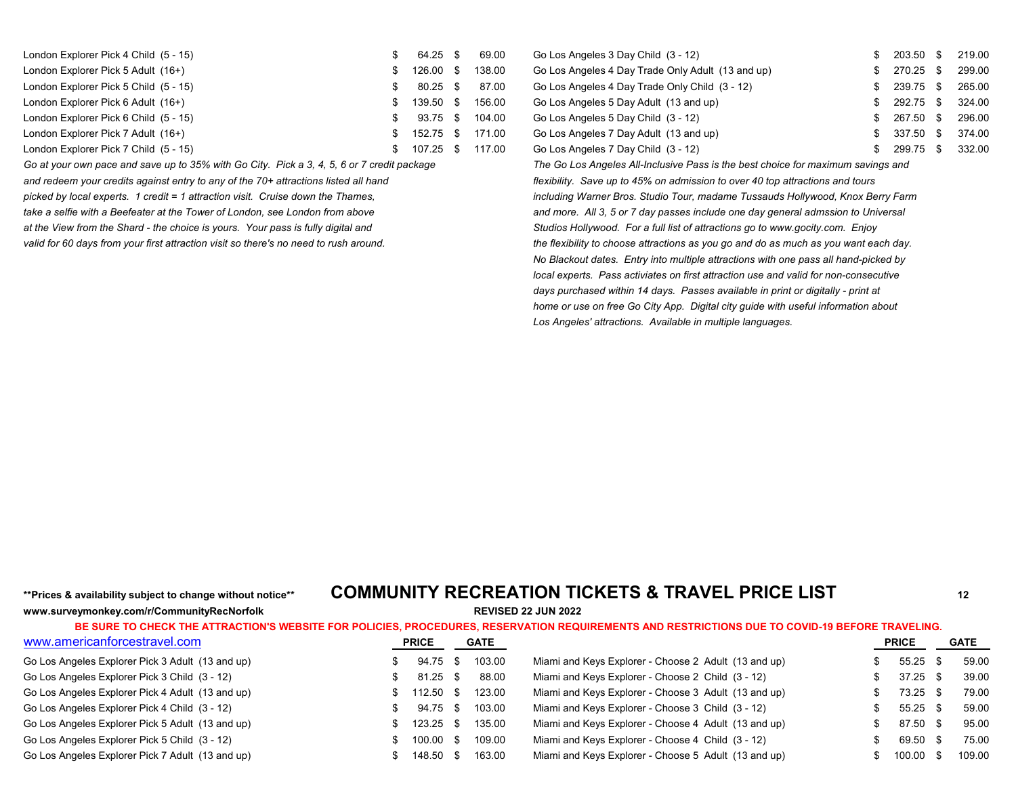| London Explorer Pick 4 Child (5 - 15) | 64.25 \$  | 69.00  | Go Los Angeles 3 Day Child (3 - 12)               | 203.50 | 219.00 |
|---------------------------------------|-----------|--------|---------------------------------------------------|--------|--------|
| London Explorer Pick 5 Adult (16+)    | 126.00 \$ | 138.00 | Go Los Angeles 4 Day Trade Only Adult (13 and up) | 270.25 | 299.00 |
| London Explorer Pick 5 Child (5 - 15) | 80.25 \$  | 87.00  | Go Los Angeles 4 Day Trade Only Child (3 - 12)    | 239.75 | 265.00 |
| London Explorer Pick 6 Adult (16+)    | 139.50 \$ | 156.00 | Go Los Angeles 5 Day Adult (13 and up)            | 292.75 | 324.00 |
| London Explorer Pick 6 Child (5 - 15) | 93.75 \$  | 104.00 | Go Los Angeles 5 Day Child (3 - 12)               | 267.50 | 296.00 |
| London Explorer Pick 7 Adult (16+)    | 152.75 \$ | 171.00 | Go Los Angeles 7 Day Adult (13 and up)            | 337.50 | 374.00 |
| London Explorer Pick 7 Child (5 - 15) | 107.25 \$ | 117.00 | Go Los Angeles 7 Day Child (3 - 12)               | 299.75 | 332.00 |

*Go at your own pace and save up to 35% with Go City. Pick a 3, 4, 5, 6 or 7 credit package The Go Los Angeles All-Inclusive Pass is the best choice for maximum savings and*

*and redeem your credits against entry to any of the 70+ attractions listed all hand flexibility. Save up to 45% on admission to over 40 top attractions and tours* 

| Go Los Angeles 3 Day Child (3 - 12)               | S   | 203.50 | S    | 219.00 |
|---------------------------------------------------|-----|--------|------|--------|
| Go Los Angeles 4 Day Trade Only Adult (13 and up) | S.  | 270.25 | - \$ | 299.00 |
| Go Los Angeles 4 Day Trade Only Child (3 - 12)    | S   | 239.75 | - \$ | 265.00 |
| Go Los Angeles 5 Day Adult (13 and up)            | S   | 292.75 | - \$ | 324.00 |
| Go Los Angeles 5 Day Child (3 - 12)               | \$. | 267.50 | S    | 296.00 |
| Go Los Angeles 7 Day Adult (13 and up)            | S   | 337.50 | \$   | 374.00 |
| Go Los Angeles 7 Day Child (3 - 12)               |     | 299.75 | S    | 332.00 |

*picked by local experts. 1 credit = 1 attraction visit. Cruise down the Thames, including Warner Bros. Studio Tour, madame Tussauds Hollywood, Knox Berry Farm*  take a selfie with a Beefeater at the Tower of London, see London from above *and more. All 3, 5 or 7 day passes include one day general admssion to Universal at the View from the Shard - the choice is yours. Your pass is fully digital and Studios Hollywood. For a full list of attractions go to www.gocity.com. Enjoy valid for 60 days from your first attraction visit so there's no need to rush around. the flexibility to choose attractions as you go and do as much as you want each day. No Blackout dates. Entry into multiple attractions with one pass all hand-picked by local experts. Pass activiates on first attraction use and valid for non-consecutive days purchased within 14 days. Passes available in print or digitally - print at home or use on free Go City App. Digital city guide with useful information about Los Angeles' attractions. Available in multiple languages.*

**www.surveymonkey.com/r/CommunityRecNorfolk REVISED 22 JUN 2022**

## **\*\*Prices & availability subject to change without notice\*\* COMMUNITY RECREATION TICKETS & TRAVEL PRICE LIST <sup>12</sup>**

| www.americanforcestravel.com                     | <b>PRICE</b> | <b>GATE</b> |                                                      | <b>PRICE</b> |      | <b>GATE</b> |
|--------------------------------------------------|--------------|-------------|------------------------------------------------------|--------------|------|-------------|
| Go Los Angeles Explorer Pick 3 Adult (13 and up) | 94.75 \$     | 103.00      | Miami and Keys Explorer - Choose 2 Adult (13 and up) | 55.25        | - \$ | 59.00       |
| Go Los Angeles Explorer Pick 3 Child (3 - 12)    | $81.25$ \$   | 88.00       | Miami and Keys Explorer - Choose 2 Child (3 - 12)    | 37.25        | - \$ | 39.00       |
| Go Los Angeles Explorer Pick 4 Adult (13 and up) | $112.50$ \$  | 123.00      | Miami and Keys Explorer - Choose 3 Adult (13 and up) | $73.25$ \$   |      | 79.00       |
| Go Los Angeles Explorer Pick 4 Child (3 - 12)    | 94.75 \$     | 103.00      | Miami and Keys Explorer - Choose 3 Child (3 - 12)    | 55.25        | - \$ | 59.00       |
| Go Los Angeles Explorer Pick 5 Adult (13 and up) | 123.25 \$    | 135.00      | Miami and Keys Explorer - Choose 4 Adult (13 and up) | 87.50 \$     |      | 95.00       |
| Go Los Angeles Explorer Pick 5 Child (3 - 12)    | 100.00 \$    | 109.00      | Miami and Keys Explorer - Choose 4 Child (3 - 12)    | 69.50 \$     |      | 75.00       |
| Go Los Angeles Explorer Pick 7 Adult (13 and up) | 148.50 \$    | 163.00      | Miami and Keys Explorer - Choose 5 Adult (13 and up) | 100.00       |      | 109.00      |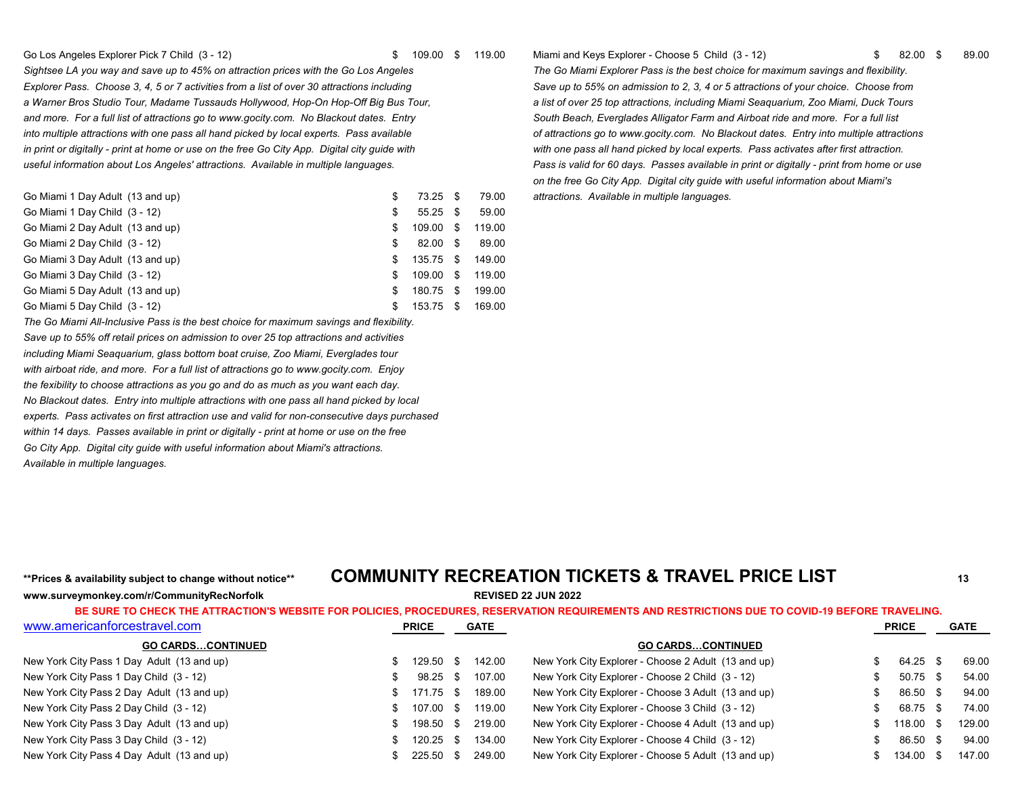#### Go Los Angeles Explorer Pick 7 Child (3 - 12) \$ 109.00 \$ 109.00 \$ 119.00 Miami and Keys Explorer - Choose 5 Child (3 - 12) \$ 82.00 \$ 89.00

*Explorer Pass. Choose 3, 4, 5 or 7 activities from a list of over 30 attractions including Save up to 55% on admission to 2, 3, 4 or 5 attractions of your choice. Choose from*  a Warner Bros Studio Tour, Madame Tussauds Hollywood, Hop-On Hop-Off Big Bus Tour, **and a list of over 25 top attractions, including Miami Seaquarium, Zoo Miami, Duck Tours** and more. For a full list of attractions go to www.gocity.com. No Blackout dates. Entry **South Beach, Everglades Alligator Farm and Airboat ride and more. For a full list** *into multiple attractions with one pass all hand picked by local experts. Pass available of attractions go to www.gocity.com. No Blackout dates. Entry into multiple attractions in print or digitally - print at home or use on the free Go City App. Digital city guide with with one pass all hand picked by local experts. Pass activates after first attraction. useful information about Los Angeles' attractions. Available in multiple languages. Pass is valid for 60 days. Passes available in print or digitally - print from home or use*

| Go Miami 1 Day Adult (13 and up) | S   | $73.25$ \$ |      | 79.00  |
|----------------------------------|-----|------------|------|--------|
| Go Miami 1 Day Child (3 - 12)    | S   | $55.25$ \$ |      | 59.00  |
| Go Miami 2 Day Adult (13 and up) | S   | 109.00     | \$.  | 119.00 |
| Go Miami 2 Day Child (3 - 12)    | S   | 82.00      | -S   | 89.00  |
| Go Miami 3 Day Adult (13 and up) | £.  | 135.75     | - SS | 149.00 |
| Go Miami 3 Day Child (3 - 12)    | \$. | 109.00     | \$.  | 119.00 |
| Go Miami 5 Day Adult (13 and up) | £.  | 180.75     | -S   | 199.00 |
| Go Miami 5 Day Child (3 - 12)    | S   | 153.75     | \$   | 169.00 |

*The Go Miami All-Inclusive Pass is the best choice for maximum savings and flexibility.*

*Save up to 55% off retail prices on admission to over 25 top attractions and activities including Miami Seaquarium, glass bottom boat cruise, Zoo Miami, Everglades tour with airboat ride, and more. For a full list of attractions go to www.gocity.com. Enjoy the fexibility to choose attractions as you go and do as much as you want each day. No Blackout dates. Entry into multiple attractions with one pass all hand picked by local experts. Pass activates on first attraction use and valid for non-consecutive days purchased within 14 days. Passes available in print or digitally - print at home or use on the free Go City App. Digital city guide with useful information about Miami's attractions. Available in multiple languages.*

*Sightsee LA you way and save up to 45% on attraction prices with the Go Los Angeles The Go Miami Explorer Pass is the best choice for maximum savings and flexibility. on the free Go City App. Digital city guide with useful information about Miami's* attractions. Available in multiple languages.

## **\*\*Prices & availability subject to change without notice\*\* COMMUNITY RECREATION TICKETS & TRAVEL PRICE LIST <sup>13</sup>**

**www.surveymonkey.com/r/CommunityRecNorfolk REVISED 22 JUN 2022**

| BE SURE TO CHECK THE ATTRACTION'S WEBSITE FOR POLICIES, PROCEDURES, RESERVATION REQUIREMENTS AND RESTRICTIONS DUE TO COVID-19 BEFORE TRAVELING. |     |              |      |             |                                                     |     |              |      |             |
|-------------------------------------------------------------------------------------------------------------------------------------------------|-----|--------------|------|-------------|-----------------------------------------------------|-----|--------------|------|-------------|
| www.americanforcestravel.com                                                                                                                    |     | <b>PRICE</b> |      | <b>GATE</b> |                                                     |     | <b>PRICE</b> |      | <b>GATE</b> |
| <b>GO CARDSCONTINUED</b>                                                                                                                        |     |              |      |             | <b>GO CARDSCONTINUED</b>                            |     |              |      |             |
| New York City Pass 1 Day Adult (13 and up)                                                                                                      | \$. | 129.50 \$    |      | 142.00      | New York City Explorer - Choose 2 Adult (13 and up) | \$. | 64.25 \$     |      | 69.00       |
| New York City Pass 1 Day Child (3 - 12)                                                                                                         |     | 98.25        | -S   | 107.00      | New York City Explorer - Choose 2 Child (3 - 12)    | \$. | 50.75        | - \$ | 54.00       |
| New York City Pass 2 Day Adult (13 and up)                                                                                                      | \$. | 171.75 \$    |      | 189.00      | New York City Explorer - Choose 3 Adult (13 and up) | S.  | 86.50 \$     |      | 94.00       |
| New York City Pass 2 Day Child (3 - 12)                                                                                                         | \$. | 107.00 \$    |      | 119.00      | New York City Explorer - Choose 3 Child (3 - 12)    | \$. | 68.75        | - \$ | 74.00       |
| New York City Pass 3 Day Adult (13 and up)                                                                                                      | SS. | 198.50 \$    |      | 219.00      | New York City Explorer - Choose 4 Adult (13 and up) |     | 118.00 \$    |      | 129.00      |
| New York City Pass 3 Day Child (3 - 12)                                                                                                         | \$. | 120.25       | - \$ | 134.00      | New York City Explorer - Choose 4 Child (3 - 12)    | \$. | 86.50 \$     |      | 94.00       |
| New York City Pass 4 Day Adult (13 and up)                                                                                                      |     | $225.50$ \$  |      | 249.00      | New York City Explorer - Choose 5 Adult (13 and up) |     | 134.00 \$    |      | 147.00      |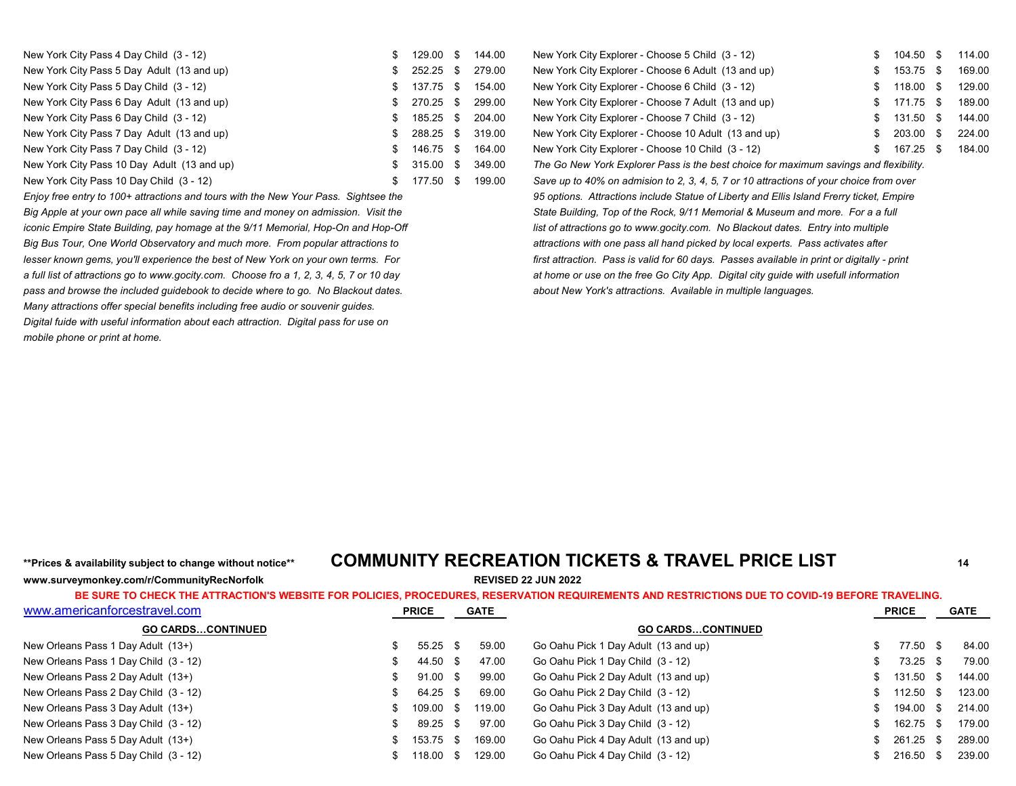| New York City Pass 4 Day Child (3 - 12)     | 129.00 \$    | 144.00 | New York City Explorer - Choose 5 Child (3 - 12)                                       | 104.50    | 114.00 |
|---------------------------------------------|--------------|--------|----------------------------------------------------------------------------------------|-----------|--------|
| New York City Pass 5 Day Adult (13 and up)  | 252.25 \$    | 279.00 | New York City Explorer - Choose 6 Adult (13 and up)                                    | 153.75 \$ | 169.00 |
| New York City Pass 5 Day Child (3 - 12)     | $$137.75$ \$ | 154.00 | New York City Explorer - Choose 6 Child (3 - 12)                                       | 118.00 \$ | 129.00 |
| New York City Pass 6 Day Adult (13 and up)  | $$270.25$ \$ | 299.00 | New York City Explorer - Choose 7 Adult (13 and up)                                    | 171.75 \$ | 189.00 |
| New York City Pass 6 Day Child (3 - 12)     | 185.25 \$    | 204.00 | New York City Explorer - Choose 7 Child (3 - 12)                                       | 131.50 \$ | 144.00 |
| New York City Pass 7 Day Adult (13 and up)  | $$288.25$ \$ | 319.00 | New York City Explorer - Choose 10 Adult (13 and up)                                   | 203.00 \$ | 224.00 |
| New York City Pass 7 Day Child (3 - 12)     | 146.75 \$    | 164.00 | New York City Explorer - Choose 10 Child (3 - 12)                                      | 167.25 \$ | 184.00 |
| New York City Pass 10 Day Adult (13 and up) | $$315.00$ \$ | 349.00 | The Go New York Explorer Pass is the best choice for maximum savings and flexibility.  |           |        |
| New York City Pass 10 Day Child (3 - 12)    | 177.50 \$    | 199.00 | Save up to 40% on admision to 2, 3, 4, 5, 7 or 10 attractions of your choice from over |           |        |

*Enjoy free entry to 100+ attractions and tours with the New Your Pass. Sightsee the Big Apple at your own pace all while saving time and money on admission. Visit the iconic Empire State Building, pay homage at the 9/11 Memorial, Hop-On and Hop-Off Big Bus Tour, One World Observatory and much more. From popular attractions to lesser known gems, you'll experience the best of New York on your own terms. For a full list of attractions go to www.gocity.com. Choose fro a 1, 2, 3, 4, 5, 7 or 10 day pass and browse the included guidebook to decide where to go. No Blackout dates. Many attractions offer special benefits including free audio or souvenir guides. Digital fuide with useful information about each attraction. Digital pass for use on mobile phone or print at home.*

| New York City Explorer - Choose 5 Child (3 - 12)                                            | \$<br>104.50 | \$  | 114.0 |
|---------------------------------------------------------------------------------------------|--------------|-----|-------|
| New York City Explorer - Choose 6 Adult (13 and up)                                         | \$<br>153.75 | \$  | 169.0 |
| New York City Explorer - Choose 6 Child (3 - 12)                                            | \$<br>118.00 | S   | 129.0 |
| New York City Explorer - Choose 7 Adult (13 and up)                                         | \$<br>171.75 | \$. | 189.0 |
| New York City Explorer - Choose 7 Child (3 - 12)                                            | \$<br>131.50 | S   | 144.0 |
| New York City Explorer - Choose 10 Adult (13 and up)                                        | \$<br>203.00 | \$. | 224.0 |
| New York City Explorer - Choose 10 Child (3 - 12)                                           | \$<br>167.25 | \$. | 184.0 |
| The Go New York Explorer Pass is the best choice for maximum savings and flexibility.       |              |     |       |
| Save up to 40% on admision to 2, 3, 4, 5, 7 or 10 attractions of your choice from over      |              |     |       |
| 95 options. Attractions include Statue of Liberty and Ellis Island Frerry ticket, Empire    |              |     |       |
| State Building, Top of the Rock, 9/11 Memorial & Museum and more. For a a full              |              |     |       |
| list of attractions go to www.gocity.com. No Blackout dates. Entry into multiple            |              |     |       |
| attractions with one pass all hand picked by local experts. Pass activates after            |              |     |       |
| first attraction. Pass is valid for 60 days. Passes available in print or digitally - print |              |     |       |
| at home or use on the free Go City App. Digital city guide with usefull information         |              |     |       |
| about New York's attractions. Available in multiple languages.                              |              |     |       |
|                                                                                             |              |     |       |

# **www.surveymonkey.com/r/CommunityRecNorfolk REVISED 22 JUN 2022**

## **\*\*Prices & availability subject to change without notice\*\* COMMUNITY RECREATION TICKETS & TRAVEL PRICE LIST <sup>14</sup>**

| www.americanforcestravel.com          | <b>PRICE</b> | <b>GATE</b> |                                      | <b>PRICE</b> |      | <b>GATE</b> |
|---------------------------------------|--------------|-------------|--------------------------------------|--------------|------|-------------|
| <b>GO CARDSCONTINUED</b>              |              |             | <b>GO CARDSCONTINUED</b>             |              |      |             |
| New Orleans Pass 1 Day Adult (13+)    | $55.25$ \$   | 59.00       | Go Oahu Pick 1 Day Adult (13 and up) | 77.50        | - \$ | 84.00       |
| New Orleans Pass 1 Day Child (3 - 12) | 44.50 \$     | 47.00       | Go Oahu Pick 1 Day Child (3 - 12)    | 73.25        | - \$ | 79.00       |
| New Orleans Pass 2 Day Adult (13+)    | $91.00$ \$   | 99.00       | Go Oahu Pick 2 Day Adult (13 and up) | 131.50       | - \$ | 144.00      |
| New Orleans Pass 2 Day Child (3 - 12) | 64.25 \$     | 69.00       | Go Oahu Pick 2 Day Child (3 - 12)    | 112.50       | - \$ | 123.00      |
| New Orleans Pass 3 Day Adult (13+)    | 109.00 \$    | 119.00      | Go Oahu Pick 3 Day Adult (13 and up) | 194.00       |      | 214.00      |
| New Orleans Pass 3 Day Child (3 - 12) | 89.25 \$     | 97.00       | Go Oahu Pick 3 Day Child (3 - 12)    | 162.75       | . Տ  | 179.00      |
| New Orleans Pass 5 Day Adult (13+)    | 153.75 \$    | 169.00      | Go Oahu Pick 4 Day Adult (13 and up) | \$261.25     |      | 289.00      |
| New Orleans Pass 5 Day Child (3 - 12) | 118.00 \$    | 129.00      | Go Oahu Pick 4 Day Child (3 - 12)    | 216.50       |      | 239.00      |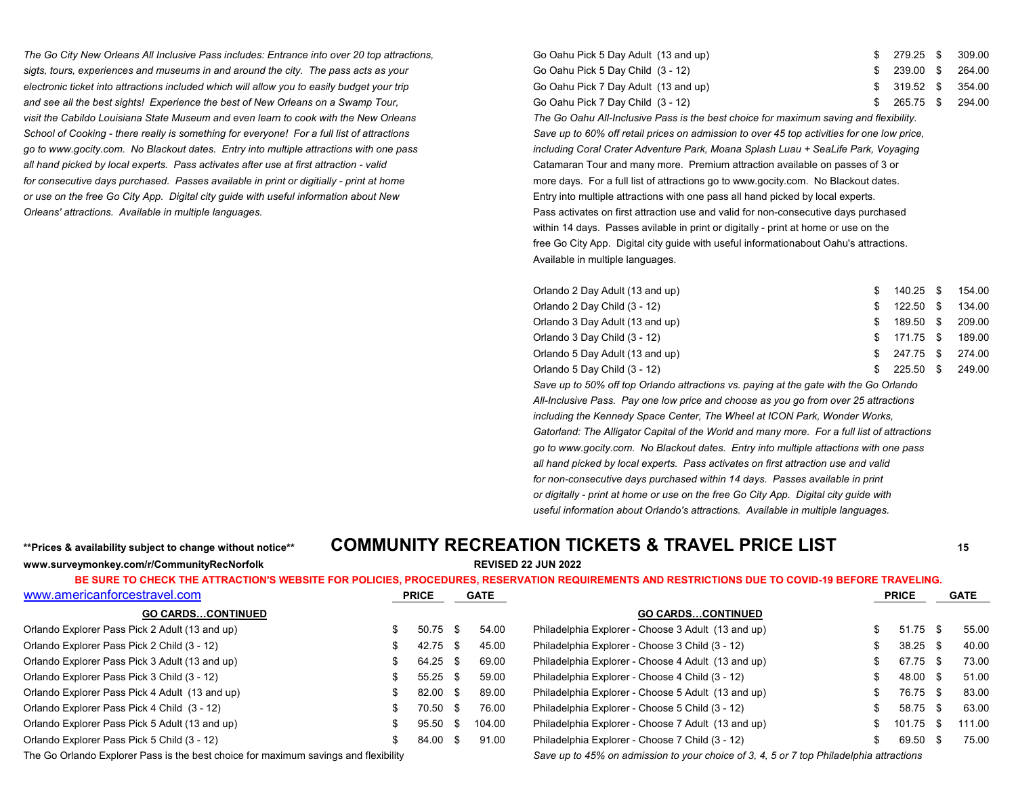*The Go City New Orleans All Inclusive Pass includes: Entrance into over 20 top attractions,* sigts, tours, experiences and museums in and around the city. The pass acts as your *electronic ticket into attractions included which will allow you to easily budget your trip and see all the best sights! Experience the best of New Orleans on a Swamp Tour, visit the Cabildo Louisiana State Museum and even learn to cook with the New Orleans The Go Oahu All-Inclusive Pass is the best choice for maximum saving and flexibility.* School of Cooking - there really is something for everyone! For a full list of attractions Save up to 60% off retail prices on admission to over 45 top activities for one low price, *go to www.gocity.com. No Blackout dates. Entry into multiple attractions with one pass including Coral Crater Adventure Park, Moana Splash Luau + SeaLife Park, Voyaging* all hand picked by local experts. Pass activates after use at first attraction - valid experts are valid variable on passes of 3 or *for consecutive days purchased. Passes available in print or digitially - print at home* more days. For a full list of attractions go to www.gocity.com. No Blackout dates. *or use on the free Go City App. Digital city guide with useful information about New* Entry into multiple attractions with one pass all hand picked by local experts. *Orleans' attractions. Available in multiple languages.* Pass activates on first attraction use and valid for non-consecutive days purchased

| \$ 279.25 \$ 309.00 |
|---------------------|
| \$ 239.00 \$ 264.00 |
| \$ 319.52 \$ 354.00 |
| \$ 265.75 \$ 294.00 |
|                     |

within 14 days. Passes avilable in print or digitally - print at home or use on the free Go City App. Digital city guide with useful informationabout Oahu's attractions. Available in multiple languages.

| Orlando 2 Day Adult (13 and up) |     | 140.25 \$ 154.00    |  |
|---------------------------------|-----|---------------------|--|
| Orlando 2 Day Child (3 - 12)    | \$. | 122.50 \$ 134.00    |  |
| Orlando 3 Day Adult (13 and up) | SS. | 189.50 \$ 209.00    |  |
| Orlando 3 Day Child (3 - 12)    |     | \$ 171.75 \$ 189.00 |  |
| Orlando 5 Day Adult (13 and up) |     | \$ 247.75 \$ 274.00 |  |
| Orlando 5 Day Child (3 - 12)    | SS. | 225.50 \$ 249.00    |  |

*Save up to 50% off top Orlando attractions vs. paying at the gate with the Go Orlando All-Inclusive Pass. Pay one low price and choose as you go from over 25 attractions including the Kennedy Space Center, The Wheel at ICON Park, Wonder Works, Gatorland: The Alligator Capital of the World and many more. For a full list of attractions go to www.gocity.com. No Blackout dates. Entry into multiple attactions with one pass all hand picked by local experts. Pass activates on first attraction use and valid for non-consecutive days purchased within 14 days. Passes available in print or digitally - print at home or use on the free Go City App. Digital city guide with useful information about Orlando's attractions. Available in multiple languages.*

### **www.surveymonkey.com/r/CommunityRecNorfolk REVISED 22 JUN 2022**

## **\*\*Prices & availability subject to change without notice\*\* COMMUNITY RECREATION TICKETS & TRAVEL PRICE LIST <sup>15</sup>**

**BE SURE TO CHECK THE ATTRACTION'S WEBSITE FOR POLICIES, PROCEDURES, RESERVATION REQUIREMENTS AND RESTRICTIONS DUE TO COVID-19 BEFORE TRAVELING.**

| www.americanforcestravel.com                   | <b>PRICE</b> |            |      | GATE   |                                                    | <b>PRICE</b> | <b>GATE</b> |
|------------------------------------------------|--------------|------------|------|--------|----------------------------------------------------|--------------|-------------|
| <b>GO CARDSCONTINUED</b>                       |              |            |      |        | <b>GO CARDSCONTINUED</b>                           |              |             |
| Orlando Explorer Pass Pick 2 Adult (13 and up) |              | $50.75$ \$ |      | 54.00  | Philadelphia Explorer - Choose 3 Adult (13 and up) | $51.75$ \$   | 55.00       |
| Orlando Explorer Pass Pick 2 Child (3 - 12)    |              | 42.75 \$   |      | 45.00  | Philadelphia Explorer - Choose 3 Child (3 - 12)    | $38.25$ \$   | 40.00       |
| Orlando Explorer Pass Pick 3 Adult (13 and up) |              | 64.25 \$   |      | 69.00  | Philadelphia Explorer - Choose 4 Adult (13 and up) | 67.75 \$     | 73.00       |
| Orlando Explorer Pass Pick 3 Child (3 - 12)    |              | $55.25$ \$ |      | 59.00  | Philadelphia Explorer - Choose 4 Child (3 - 12)    | 48.00 \$     | 51.00       |
| Orlando Explorer Pass Pick 4 Adult (13 and up) |              | 82.00 \$   |      | 89.00  | Philadelphia Explorer - Choose 5 Adult (13 and up) | 76.75 \$     | 83.00       |
| Orlando Explorer Pass Pick 4 Child (3 - 12)    |              | 70.50      | - \$ | 76.00  | Philadelphia Explorer - Choose 5 Child (3 - 12)    | 58.75 \$     | 63.00       |
| Orlando Explorer Pass Pick 5 Adult (13 and up) |              | 95.50      | - SS | 104.00 | Philadelphia Explorer - Choose 7 Adult (13 and up) | 101.75 \$    | 111.00      |
| Orlando Explorer Pass Pick 5 Child (3 - 12)    |              | 84.00      | - \$ | 91.00  | Philadelphia Explorer - Choose 7 Child (3 - 12)    | 69.50        | 75.00       |

The Go Orlando Explorer Pass is the best choice for maximum savings and flexibility *Save up to 45% on admission to your choice of 3, 4, 5 or 7 top Philadelphia attractions*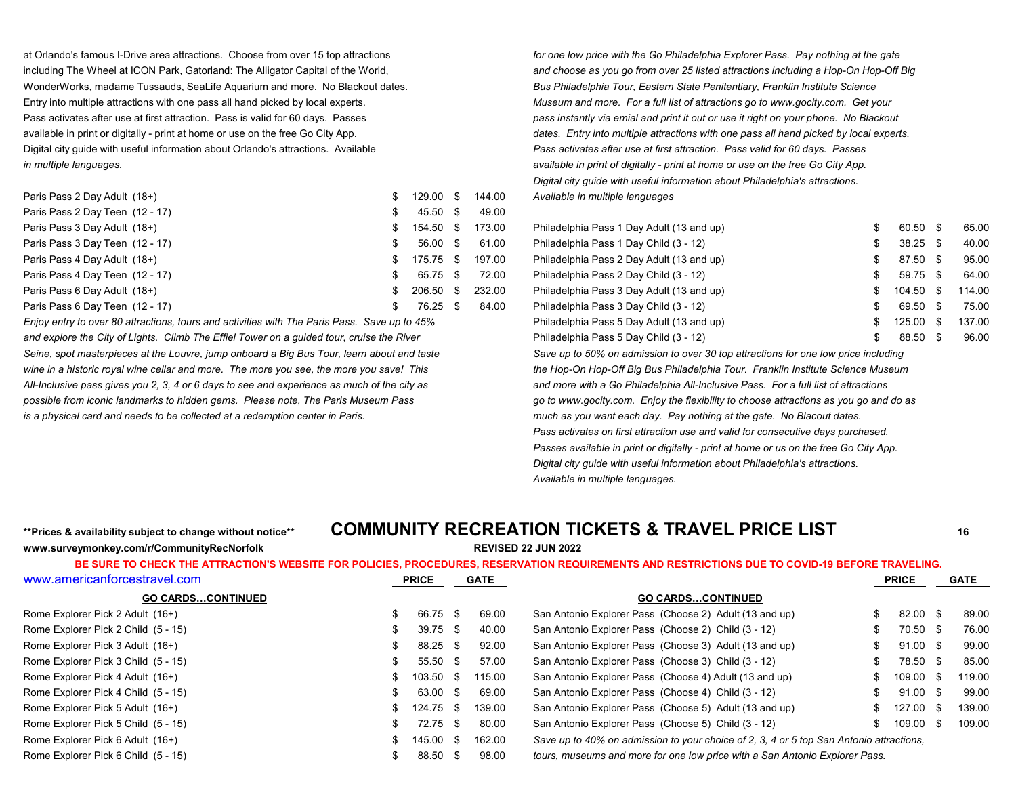WonderWorks, madame Tussauds, SeaLife Aquarium and more. No Blackout dates. *Bus Philadelphia Tour, Eastern State Penitentiary, Franklin Institute Science* Entry into multiple attractions with one pass all hand picked by local experts. *Museum and more. For a full list of attractions go to www.gocity.com. Get your* Pass activates after use at first attraction. Pass is valid for 60 days. Passes *pass instantly via emial and print it out or use it right on your phone. No Blackout**pass* **in the third of the standard of the standard of** available in print or digitally - print at home or use on the free Go City App. *definitions* dates. Entry into multiple attractions with one pass all hand picked by local experts. Digital city guide with useful information about Orlando's attractions. Available *Pass activates after use at first attraction. Pass valid for 60 days. Passes in multiple languages. available in print of digitally - print at home or use on the free Go City App.*

| Paris Pass 2 Day Adult (18+)    | 129.00    | - 56 | 144.00 | Available in multiple languages           |            |        |
|---------------------------------|-----------|------|--------|-------------------------------------------|------------|--------|
| Paris Pass 2 Day Teen (12 - 17) | 45.50 \$  |      | 49.00  |                                           |            |        |
| Paris Pass 3 Day Adult (18+)    | 154.50 \$ |      | 173.00 | Philadelphia Pass 1 Day Adult (13 and up) | 60.50 \$   | 65.00  |
| Paris Pass 3 Day Teen (12 - 17) | 56.00 \$  |      | 61.00  | Philadelphia Pass 1 Day Child (3 - 12)    | $38.25$ \$ | 40.00  |
| Paris Pass 4 Day Adult (18+)    | 175.75 \$ |      | 197.00 | Philadelphia Pass 2 Day Adult (13 and up) | 87.50 \$   | 95.00  |
| Paris Pass 4 Day Teen (12 - 17) | 65.75 \$  |      | 72.00  | Philadelphia Pass 2 Day Child (3 - 12)    | 59.75 \$   | 64.00  |
| Paris Pass 6 Day Adult (18+)    | 206.50 \$ |      | 232.00 | Philadelphia Pass 3 Day Adult (13 and up) | 104.50 \$  | 114.00 |
| Paris Pass 6 Day Teen (12 - 17) | 76.25 \$  |      | 84.00  | Philadelphia Pass 3 Day Child (3 - 12)    | 69.50 \$   | 75.00  |

*Enjoy entry to over 80 attractions, tours and activities with The Paris Pass. Save up to 45%* and explore the City of Lights. Climb The Effiel Tower on a quided tour, cruise the River *Seine, spot masterpieces at the Louvre, jump onboard a Big Bus Tour, learn about and taste Save up to 50% on admission to over 30 top attractions for one low price including* wine in a historic royal wine cellar and more. The more you see, the more you save! This the Hop-On Hop-On Hop-Off Big Bus Philadelphia Tour. Franklin Institute Science Museum *All-Inclusive pass gives you 2, 3, 4 or 6 days to see and experience as much of the city as and more with a Go Philadelphia All-Inclusive Pass. For a full list of attractions possible from iconic landmarks to hidden gems. Please note, The Paris Museum Pass go to www.gocity.com. Enjoy the flexibility to choose attractions as you go and do as is a physical card and needs to be collected at a redemption center in Paris. much as you want each day. Pay nothing at the gate. No Blacout dates.*

at Orlando's famous I-Drive area attractions. Choose from over 15 top attractions *for one low price with the Go Philadelphia Explorer Pass. Pay nothing at the gate* including The Wheel at ICON Park, Gatorland: The Alligator Capital of the World, *and choose as you go from over 25 listed attractions including a Hop-On Hop-Off Big Digital city guide with useful information about Philadelphia's attractions.* Paris Pass 2 Day Adult (18+) \$ 129.00 \$ 144.00 *Available in multiple languages*

| Philadelphia Pass 1 Day Adult (13 and up) | S  | 60.50  | - \$ | 65.00  |
|-------------------------------------------|----|--------|------|--------|
| Philadelphia Pass 1 Day Child (3 - 12)    | \$ | 38.25  | - \$ | 40.00  |
| Philadelphia Pass 2 Day Adult (13 and up) | S  | 87.50  | - \$ | 95.00  |
| Philadelphia Pass 2 Day Child (3 - 12)    | S  | 59.75  | - \$ | 64.00  |
| Philadelphia Pass 3 Day Adult (13 and up) | S  | 104.50 | \$.  | 114.00 |
| Philadelphia Pass 3 Day Child (3 - 12)    | S  | 69.50  | \$   | 75.00  |
| Philadelphia Pass 5 Day Adult (13 and up) | \$ | 125.00 | \$   | 137.00 |
| Philadelphia Pass 5 Day Child (3 - 12)    | S  | 88.50  | \$   | 96.00  |

*Pass activates on first attraction use and valid for consecutive days purchased. Passes available in print or digitally - print at home or us on the free Go City App. Digital city guide with useful information about Philadelphia's attractions. Available in multiple languages.*

### **www.surveymonkey.com/r/CommunityRecNorfolk REVISED 22 JUN 2022**

## **\*\*Prices & availability subject to change without notice\*\* COMMUNITY RECREATION TICKETS & TRAVEL PRICE LIST <sup>16</sup>**

| www.americanforcestravel.com        | <b>PRICE</b> |  | <b>GATE</b> |                                                                                         |  | <b>PRICE</b> |  | <b>GATE</b> |
|-------------------------------------|--------------|--|-------------|-----------------------------------------------------------------------------------------|--|--------------|--|-------------|
| <b>GO CARDSCONTINUED</b>            |              |  |             | <b>GO CARDSCONTINUED</b>                                                                |  |              |  |             |
| Rome Explorer Pick 2 Adult (16+)    | 66.75 \$     |  | 69.00       | San Antonio Explorer Pass (Choose 2) Adult (13 and up)                                  |  | 82.00 \$     |  | 89.00       |
| Rome Explorer Pick 2 Child (5 - 15) | $39.75$ \$   |  | 40.00       | San Antonio Explorer Pass (Choose 2) Child (3 - 12)                                     |  | 70.50 \$     |  | 76.00       |
| Rome Explorer Pick 3 Adult (16+)    | 88.25 \$     |  | 92.00       | San Antonio Explorer Pass (Choose 3) Adult (13 and up)                                  |  | $91.00$ \$   |  | 99.00       |
| Rome Explorer Pick 3 Child (5 - 15) | $55.50$ \$   |  | 57.00       | San Antonio Explorer Pass (Choose 3) Child (3 - 12)                                     |  | 78.50 \$     |  | 85.00       |
| Rome Explorer Pick 4 Adult (16+)    | 103.50 \$    |  | 115.00      | San Antonio Explorer Pass (Choose 4) Adult (13 and up)                                  |  | 109.00 \$    |  | 119.00      |
| Rome Explorer Pick 4 Child (5 - 15) | 63.00 \$     |  | 69.00       | San Antonio Explorer Pass (Choose 4) Child (3 - 12)                                     |  | 91.00 \$     |  | 99.00       |
| Rome Explorer Pick 5 Adult (16+)    | 124.75 \$    |  | 139.00      | San Antonio Explorer Pass (Choose 5) Adult (13 and up)                                  |  | 127.00 \$    |  | 139.00      |
| Rome Explorer Pick 5 Child (5 - 15) | 72.75 \$     |  | 80.00       | San Antonio Explorer Pass (Choose 5) Child (3 - 12)                                     |  | 109.00 \$    |  | 109.00      |
| Rome Explorer Pick 6 Adult (16+)    | 145.00 \$    |  | 162.00      | Save up to 40% on admission to your choice of 2, 3, 4 or 5 top San Antonio attractions. |  |              |  |             |
| Rome Explorer Pick 6 Child (5 - 15) | 88.50 \$     |  | 98.00       | tours, museums and more for one low price with a San Antonio Explorer Pass.             |  |              |  |             |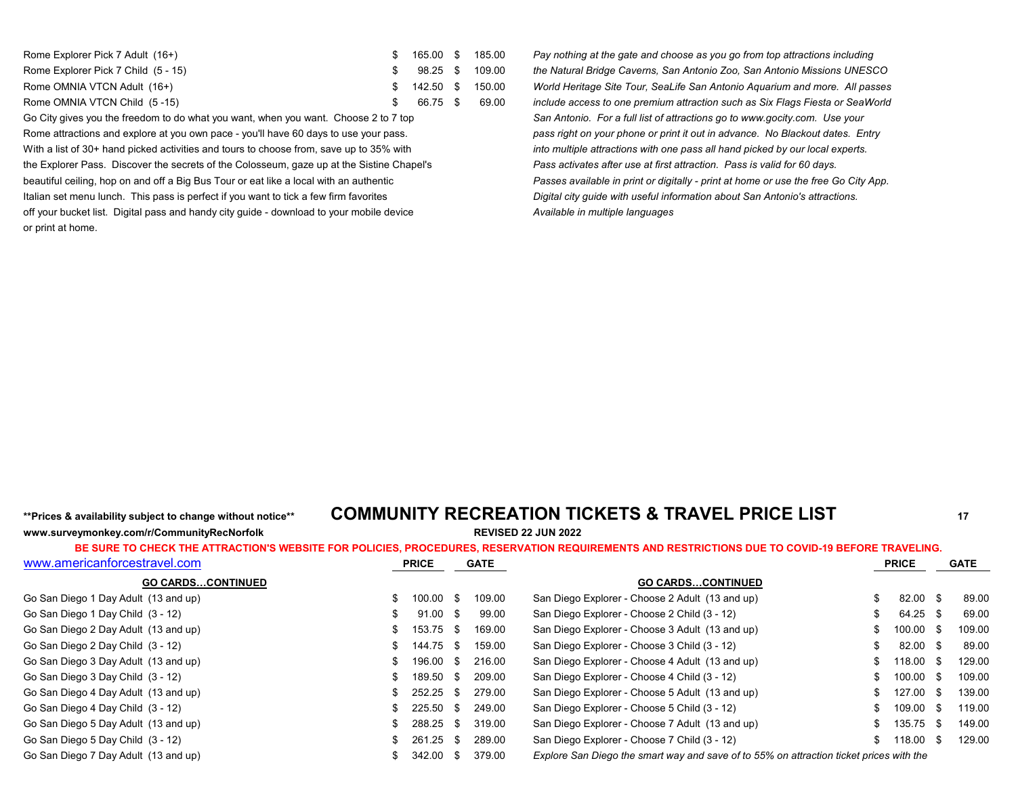| Rome Explorer Pick 7 Adult (16+)    | \$ 165.00 \$ 185.00 |  |
|-------------------------------------|---------------------|--|
| Rome Explorer Pick 7 Child (5 - 15) | \$ 98.25 \$ 109.00  |  |
| Rome OMNIA VTCN Adult (16+)         | \$ 142.50 \$ 150.00 |  |
| Rome OMNIA VTCN Child (5-15)        | \$ 66.75 \$ 69.00   |  |

Rome attractions and explore at you own pace - you'll have 60 days to use your pass. *pass right on your phone or print it out in advance. No Blackout dates. Entry* With a list of 30+ hand picked activities and tours to choose from, save up to 35% with *into multiple attractions with one pass all hand picked by our local experts.* the Explorer Pass. Discover the secrets of the Colosseum, gaze up at the Sistine Chapel's *Pass activates after use at first attraction. Pass is valid for 60 days.* beautiful ceiling, hop on and off a Big Bus Tour or eat like a local with an authentic *Passes available in print or digitally - print at home or use the free Go City App.* Italian set menu lunch. This pass is perfect if you want to tick a few firm favorites *Digital city guide with useful information about San Antonio's attractions.* off your bucket list. Digital pass and handy city guide - download to your mobile device *Available in multiple languages* or print at home.

Pay nothing at the gate and choose as you go from top attractions including the Natural Bridge Caverns, San Antonio Zoo, San Antonio Missions UNESCO World Heritage Site Tour, SeaLife San Antonio Aquarium and more. All passes include access to one premium attraction such as Six Flags Fiesta or SeaWorld Go City gives you the freedom to do what you want, when you want. Choose 2 to 7 top **San Antonio.** For a full list of attractions go to www.gocity.com. Use your

# **www.surveymonkey.com/r/CommunityRecNorfolk REVISED 22 JUN 2022**

## **\*\*Prices & availability subject to change without notice\*\* COMMUNITY RECREATION TICKETS & TRAVEL PRICE LIST <sup>17</sup>**

| www.americanforcestravel.com         | <b>PRICE</b>  | <b>GATE</b>           |                                                                                         | <b>PRICE</b> | <b>GATE</b> |
|--------------------------------------|---------------|-----------------------|-----------------------------------------------------------------------------------------|--------------|-------------|
| <b>GO CARDSCONTINUED</b>             |               |                       | <b>GO CARDSCONTINUED</b>                                                                |              |             |
| Go San Diego 1 Day Adult (13 and up) | 100.00<br>SS. | 109.00<br>- \$        | San Diego Explorer - Choose 2 Adult (13 and up)                                         | 82.00 \$     | 89.00       |
| Go San Diego 1 Day Child (3 - 12)    |               | $91.00$ \$<br>99.00   | San Diego Explorer - Choose 2 Child (3 - 12)                                            | 64.25 \$     | 69.00       |
| Go San Diego 2 Day Adult (13 and up) | 153.75        | 169.00<br>- S         | San Diego Explorer - Choose 3 Adult (13 and up)                                         | 100.00 \$    | 109.00      |
| Go San Diego 2 Day Child (3 - 12)    | SS.           | 144.75 \$<br>159.00   | San Diego Explorer - Choose 3 Child (3 - 12)                                            | 82.00 \$     | 89.00       |
| Go San Diego 3 Day Adult (13 and up) | 196.00        | 216.00<br>- \$        | San Diego Explorer - Choose 4 Adult (13 and up)                                         | 118.00 \$    | 129.00      |
| Go San Diego 3 Day Child (3 - 12)    |               | 209.00<br>189.50 \$   | San Diego Explorer - Choose 4 Child (3 - 12)                                            | 100.00 \$    | 109.00      |
| Go San Diego 4 Day Adult (13 and up) | 252.25<br>SS. | 279.00<br>- 35        | San Diego Explorer - Choose 5 Adult (13 and up)                                         | 127.00 \$    | 139.00      |
| Go San Diego 4 Day Child (3 - 12)    |               | $225.50$ \$<br>249.00 | San Diego Explorer - Choose 5 Child (3 - 12)                                            | 109.00 \$    | 119.00      |
| Go San Diego 5 Day Adult (13 and up) | 288.25        | 319.00<br>- \$        | San Diego Explorer - Choose 7 Adult (13 and up)                                         | 135.75 \$    | 149.00      |
| Go San Diego 5 Day Child (3 - 12)    | 261.25 \$     | 289.00                | San Diego Explorer - Choose 7 Child (3 - 12)                                            | 118.00 \$    | 129.00      |
| Go San Diego 7 Day Adult (13 and up) | 342.00 \$     | 379.00                | Explore San Diego the smart way and save of to 55% on attraction ticket prices with the |              |             |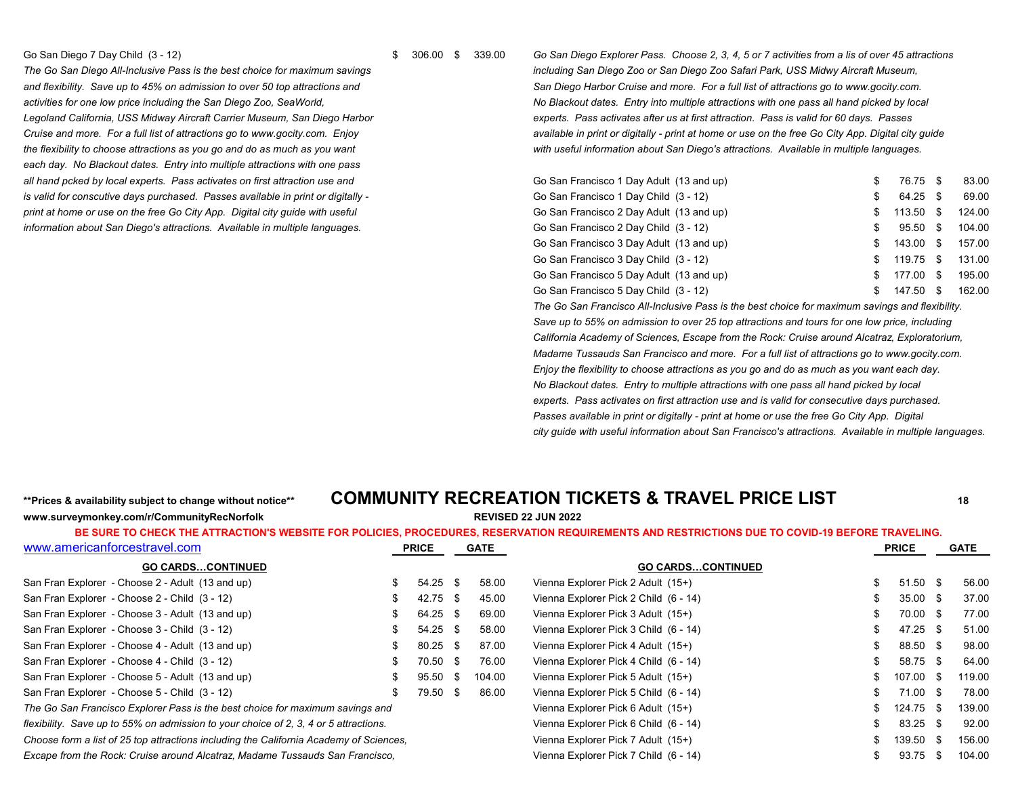*each day. No Blackout dates. Entry into multiple attractions with one pass* all hand pcked by local experts. Pass activates on first attraction use and *is valid for conscutive days purchased. Passes available in print or digitally print at home or use on the free Go City App. Digital city guide with useful information about San Diego's attractions. Available in multiple languages.* 

Go San Diego 7 Day Child (3 - 12) **Shareh 2006 10 Stan Diego Explorer Pass**. Choose 2, 3, 4, 5 or 7 activities from a lis of over 45 attractions **Shareh 2006 10 Stan Diego Explorer Pass.** Choose 2, 3, 4, 5 or 7 activities *The Go San Diego All-Inclusive Pass is the best choice for maximum savings including San Diego Zoo or San Diego Zoo Safari Park, USS Midwy Aircraft Museum, and flexibility. Save up to 45% on admission to over 50 top attractions and San Diego Harbor Cruise and more. For a full list of attractions go to www.gocity.com.* activities for one low price including the San Diego Zoo, SeaWorld, **Activity and the San Diego Zoo, SeaWorld**, **No Blackout dates.** Entry into multiple attractions with one pass all hand picked by local Legoland California, USS Midway Aircraft Carrier Museum, San Diego Harbor **experts and a seculates after us at first attraction**. Pass is valid for 60 days. Passes *Cruise and more. For a full list of attractions go to www.gocity.com. Enjoy available in print or digitally - print at home or use on the free Go City App. Digital city guide the flexibility to choose attractions as you go and do as much as you want with useful information about San Diego's attractions. Available in multiple languages.*

| Go San Francisco 1 Day Adult (13 and up) | S   | 76.75 \$ |      | 83.00  |
|------------------------------------------|-----|----------|------|--------|
| Go San Francisco 1 Day Child (3 - 12)    | S   | 64.25 \$ |      | 69.00  |
| Go San Francisco 2 Day Adult (13 and up) | S   | 113.50   | - \$ | 124.00 |
| Go San Francisco 2 Day Child (3 - 12)    | \$. | 95.50    | - \$ | 104.00 |
| Go San Francisco 3 Day Adult (13 and up) | S   | 143.00   | - \$ | 157.00 |
| Go San Francisco 3 Day Child (3 - 12)    | S   | 119.75   | - \$ | 131.00 |
| Go San Francisco 5 Day Adult (13 and up) | \$. | 177.00   | - \$ | 195.00 |
| Go San Francisco 5 Day Child (3 - 12)    | S   | 147.50   | \$.  | 162.00 |

*The Go San Francisco All-Inclusive Pass is the best choice for maximum savings and flexibility. Save up to 55% on admission to over 25 top attractions and tours for one low price, including California Academy of Sciences, Escape from the Rock: Cruise around Alcatraz, Exploratorium, Madame Tussauds San Francisco and more. For a full list of attractions go to www.gocity.com. Enjoy the flexibility to choose attractions as you go and do as much as you want each day. No Blackout dates. Entry to multiple attractions with one pass all hand picked by local experts. Pass activates on first attraction use and is valid for consecutive days purchased. Passes available in print or digitally - print at home or use the free Go City App. Digital city guide with useful information about San Francisco's attractions. Available in multiple languages.*

**www.surveymonkey.com/r/CommunityRecNorfolk REVISED 22 JUN 2022**

## **\*\*Prices & availability subject to change without notice\*\* COMMUNITY RECREATION TICKETS & TRAVEL PRICE LIST <sup>18</sup>**

| www.americanforcestravel.com                                                           | <b>PRICE</b> |  | <b>GATE</b> |                                       | <b>PRICE</b>        |      | <b>GATE</b> |
|----------------------------------------------------------------------------------------|--------------|--|-------------|---------------------------------------|---------------------|------|-------------|
| <b>GO CARDSCONTINUED</b>                                                               |              |  |             | <b>GO CARDSCONTINUED</b>              |                     |      |             |
| San Fran Explorer - Choose 2 - Adult (13 and up)                                       | $54.25$ \$   |  | 58.00       | Vienna Explorer Pick 2 Adult (15+)    | $51.50$ \$          |      | 56.00       |
| San Fran Explorer - Choose 2 - Child (3 - 12)                                          | 42.75 \$     |  | 45.00       | Vienna Explorer Pick 2 Child (6 - 14) | $35.00 \text{ }$ \$ |      | 37.00       |
| San Fran Explorer - Choose 3 - Adult (13 and up)                                       | 64.25 \$     |  | 69.00       | Vienna Explorer Pick 3 Adult (15+)    | 70.00 \$            |      | 77.00       |
| San Fran Explorer - Choose 3 - Child (3 - 12)                                          | $54.25$ \$   |  | 58.00       | Vienna Explorer Pick 3 Child (6 - 14) | 47.25 \$            |      | 51.00       |
| San Fran Explorer - Choose 4 - Adult (13 and up)                                       | 80.25 \$     |  | 87.00       | Vienna Explorer Pick 4 Adult (15+)    | 88.50 \$            |      | 98.00       |
| San Fran Explorer - Choose 4 - Child (3 - 12)                                          | 70.50 \$     |  | 76.00       | Vienna Explorer Pick 4 Child (6 - 14) | 58.75 \$            |      | 64.00       |
| San Fran Explorer - Choose 5 - Adult (13 and up)                                       | 95.50 \$     |  | 104.00      | Vienna Explorer Pick 5 Adult (15+)    | 107.00 \$           |      | 119.00      |
| San Fran Explorer - Choose 5 - Child (3 - 12)                                          | 79.50 \$     |  | 86.00       | Vienna Explorer Pick 5 Child (6 - 14) | 71.00 \$            |      | 78.00       |
| The Go San Francisco Explorer Pass is the best choice for maximum savings and          |              |  |             | Vienna Explorer Pick 6 Adult (15+)    | 124.75 \$           |      | 139.00      |
| flexibility. Save up to 55% on admission to your choice of 2, 3, 4 or 5 attractions.   |              |  |             | Vienna Explorer Pick 6 Child (6 - 14) | 83.25 \$            |      | 92.00       |
| Choose form a list of 25 top attractions including the California Academy of Sciences. |              |  |             | Vienna Explorer Pick 7 Adult (15+)    | 139.50 \$           |      | 156.00      |
| Excape from the Rock: Cruise around Alcatraz, Madame Tussauds San Francisco,           |              |  |             | Vienna Explorer Pick 7 Child (6 - 14) | 93.75               | - \$ | 104.00      |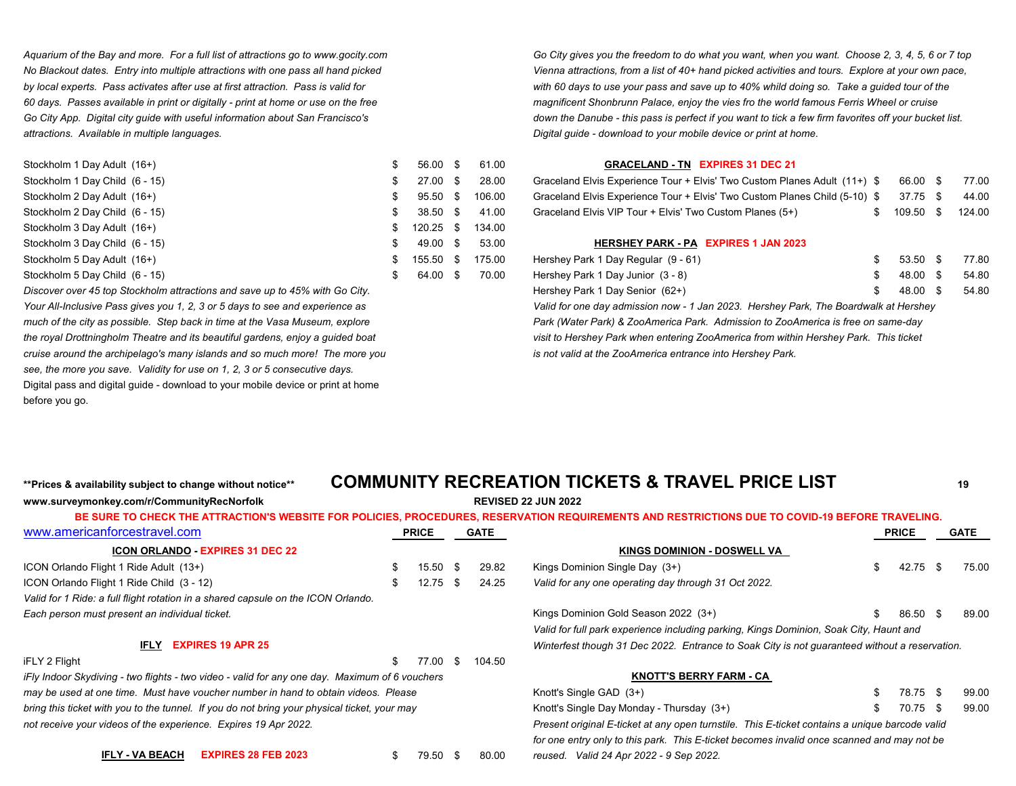*attractions. Available in multiple languages. Digital guide - download to your mobile device or print at home.*

| Stockholm 1 Day Adult (16+)    | 56.00 \$   | 61.00  | <b>GRACELAND - TN EXPIRES 31 DEC 21</b>                                    |           |        |
|--------------------------------|------------|--------|----------------------------------------------------------------------------|-----------|--------|
| Stockholm 1 Day Child (6 - 15) | $27.00$ \$ | 28.00  | Graceland Elvis Experience Tour + Elvis' Two Custom Planes Adult (11+) \$  | 66.00 \$  | 77.00  |
| Stockholm 2 Day Adult (16+)    | $95.50$ \$ | 106.00 | Graceland Elvis Experience Tour + Elvis' Two Custom Planes Child (5-10) \$ | 37.75 \$  | 44.00  |
| Stockholm 2 Day Child (6 - 15) | $38.50$ \$ | 41.00  | Graceland Elvis VIP Tour + Elvis' Two Custom Planes (5+)                   | 109.50 \$ | 124.00 |
| Stockholm 3 Day Adult (16+)    | 120.25 \$  | 134.00 |                                                                            |           |        |
| Stockholm 3 Day Child (6 - 15) | 49.00 \$   | 53.00  | HERSHEY PARK - PA EXPIRES 1 JAN 2023                                       |           |        |
| Stockholm 5 Day Adult (16+)    | 155.50 \$  | 175.00 | Hershey Park 1 Day Regular (9 - 61)                                        | 53.50 \$  | 77.80  |
| Stockholm 5 Day Child (6 - 15) | 64.00 \$   | 70.00  | Hershey Park 1 Day Junior (3 - 8)                                          | 48.00     | 54.80  |

*Discover over 45 top Stockholm attractions and save up to 45% with Go City. Your All-Inclusive Pass gives you 1, 2, 3 or 5 days to see and experience as much of the city as possible. Step back in time at the Vasa Museum, explore the royal Drottningholm Theatre and its beautiful gardens, enjoy a guided boat cruise around the archipelago's many islands and so much more! The more you see, the more you save. Validity for use on 1, 2, 3 or 5 consecutive days.* Digital pass and digital guide - download to your mobile device or print at home before you go.

*Aquarium of the Bay and more. For a full list of attractions go to www.gocity.com Go City gives you the freedom to do what you want, when you want. Choose 2, 3, 4, 5, 6 or 7 top No Blackout dates. Entry into multiple attractions with one pass all hand picked Vienna attractions, from a list of 40+ hand picked activities and tours. Explore at your own pace, by local experts. Pass activates after use at first attraction. Pass is valid for with 60 days to use your pass and save up to 40% whild doing so. Take a guided tour of the 60 days. Passes available in print or digitally - print at home or use on the free magnificent Shonbrunn Palace, enjoy the vies fro the world famous Ferris Wheel or cruise* Go City App. Digital city quide with useful information about San Francisco's **the Cannube - this pass is perfect if you want to tick a few firm favorites off your bucket list.** 

### **GRACELAND - TN EXPIRES 31 DEC 21**

| Graceland Elvis Experience Tour + Elvis' Two Custom Planes Adult (11+) \$ 66.00 \$ 77.00  |                     |  |
|-------------------------------------------------------------------------------------------|---------------------|--|
| Graceland Elvis Experience Tour + Elvis' Two Custom Planes Child (5-10) \$ 37.75 \$ 44.00 |                     |  |
| Graceland Elvis VIP Tour + Elvis' Two Custom Planes (5+)                                  | \$ 109.50 \$ 124.00 |  |

#### **HERSHEY PARK - PA EXPIRES 1 JAN 2023**

| Stockholm 5 Day Adult (16+)                                                    | 155.50 \$ | 175.00 | Hershey Park 1 Day Regular (9 - 61)                                                  | 53.50 \$ | 77.80 |
|--------------------------------------------------------------------------------|-----------|--------|--------------------------------------------------------------------------------------|----------|-------|
| Stockholm 5 Day Child (6 - 15)                                                 | 64.00 \$  | 70.00  | Hershey Park 1 Day Junior (3 - 8)                                                    | 48.00 \$ | 54.80 |
| Discover over 45 top Stockholm attractions and save up to 45% with Go City.    |           |        | Hershey Park 1 Day Senior (62+)                                                      | 48.00 \$ | 54.80 |
| Your All-Inclusive Pass gives you 1, 2, 3 or 5 days to see and experience as   |           |        | Valid for one day admission now - 1 Jan 2023. Hershey Park, The Boardwalk at Hershey |          |       |
| much of the city as possible. Step back in time at the Vasa Museum, explore    |           |        | Park (Water Park) & ZooAmerica Park. Admission to ZooAmerica is free on same-day     |          |       |
| the royal Drottningholm Theatre and its beautiful gardens, enjoy a guided boat |           |        | visit to Hershey Park when entering ZooAmerica from within Hershey Park. This ticket |          |       |
| cruise around the archipelago's many islands and so much more! The more you    |           |        | is not valid at the ZooAmerica entrance into Hershey Park.                           |          |       |

## **\*\*Prices & availability subject to change without notice\*\* COMMUNITY RECREATION TICKETS & TRAVEL PRICE LIST <sup>19</sup>**

|                                                                                                |              |      |             | BE SURE TO CHECK THE ATTRACTION'S WEBSITE FOR POLICIES, PROCEDURES, RESERVATION REQUIREMENTS AND RESTRICTIONS DUE TO COVID-19 BEFORE TRAVELING. |     |              |  |             |
|------------------------------------------------------------------------------------------------|--------------|------|-------------|-------------------------------------------------------------------------------------------------------------------------------------------------|-----|--------------|--|-------------|
| www.americanforcestravel.com                                                                   | <b>PRICE</b> |      | <b>GATE</b> |                                                                                                                                                 |     | <b>PRICE</b> |  | <b>GATE</b> |
| <b>ICON ORLANDO EXPIRES 31 DEC 22</b>                                                          |              |      |             | <b>KINGS DOMINION - DOSWELL VA</b>                                                                                                              |     |              |  |             |
| ICON Orlando Flight 1 Ride Adult (13+)                                                         | \$<br>15.50  | -S   | 29.82       | Kings Dominion Single Day (3+)                                                                                                                  | \$. | 42.75 \$     |  | 75.00       |
| ICON Orlando Flight 1 Ride Child (3 - 12)                                                      | 12.75        | - 96 | 24.25       | Valid for any one operating day through 31 Oct 2022.                                                                                            |     |              |  |             |
| Valid for 1 Ride: a full flight rotation in a shared capsule on the ICON Orlando.              |              |      |             |                                                                                                                                                 |     |              |  |             |
| Each person must present an individual ticket.                                                 |              |      |             | Kings Dominion Gold Season 2022 (3+)                                                                                                            |     | 86.50 \$     |  | 89.00       |
|                                                                                                |              |      |             | Valid for full park experience including parking, Kings Dominion, Soak City, Haunt and                                                          |     |              |  |             |
| <b>EXPIRES 19 APR 25</b><br>IFLY                                                               |              |      |             | Winterfest though 31 Dec 2022. Entrance to Soak City is not guaranteed without a reservation.                                                   |     |              |  |             |
| iFLY 2 Flight                                                                                  | 77.00        | £.   | 104.50      |                                                                                                                                                 |     |              |  |             |
| iFly Indoor Skydiving - two flights - two video - valid for any one day. Maximum of 6 vouchers |              |      |             | <b>KNOTT'S BERRY FARM - CA</b>                                                                                                                  |     |              |  |             |
| may be used at one time. Must have voucher number in hand to obtain videos. Please             |              |      |             | Knott's Single GAD (3+)                                                                                                                         |     | 78.75 \$     |  | 99.00       |
| bring this ticket with you to the tunnel. If you do not bring your physical ticket, your may   |              |      |             | Knott's Single Day Monday - Thursday (3+)                                                                                                       | S.  | 70.75 \$     |  | 99.00       |
| not receive your videos of the experience. Expires 19 Apr 2022.                                |              |      |             | Present original E-ticket at any open turnstile. This E-ticket contains a unique barcode valid                                                  |     |              |  |             |
|                                                                                                |              |      |             | for one entry only to this park. This E-ticket becomes invalid once scanned and may not be                                                      |     |              |  |             |

**IFLY - VA BEACH EXPIRES 28 FEB 2023** \$ 79.50 \$ 80.00 *reused. Valid 24 Apr 2022 - 9 Sep 2022.*

**www.surveymonkey.com/r/CommunityRecNorfolk REVISED 22 JUN 2022**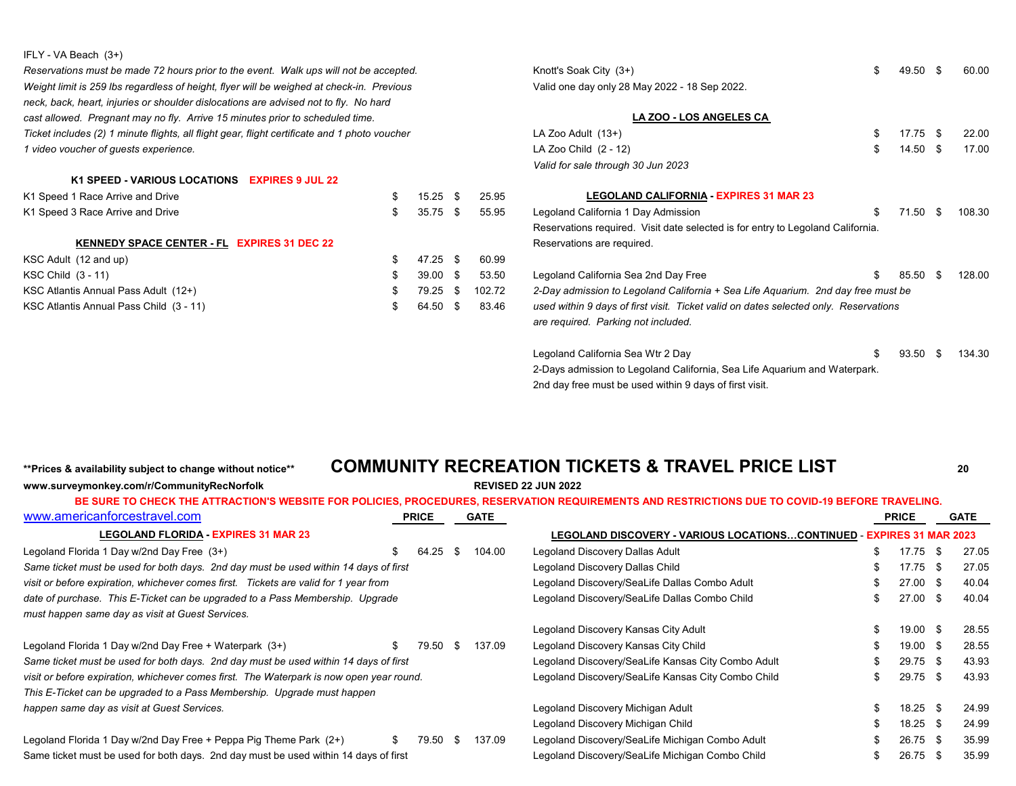### IFLY - VA Beach (3+)

*Reservations must be made 72 hours prior to the event. Walk ups will not be accepted.* And Company 3 44.50 \$ 60.000 K *Weight limit is 259 lbs regardless of height, flyer will be weighed at check-in. Previous* **Canada Area 2022** - 2022. *neck, back, heart, injuries or shoulder dislocations are advised not to fly. No hard cast allowed. Pregnant may no fly. Arrive 15 minutes prior to scheduled time. Ticket includes (2) 1 minute flights, all flight gear, flight certificate and 1 photo voucher* L *1* video voucher of guests experience. LA Zoo Child (2 - 12)  $\Box$ 

### **K1 SPEED - VARIOUS LOCATIONS EXPIRES 9 JUL 22**

|  | 25.95                                                                          | <b>LEGOLAND CALIFORNIA - EXPIRES 31 MAR 23</b>                                       |  |                                                                                                                                                                     |  |                      |
|--|--------------------------------------------------------------------------------|--------------------------------------------------------------------------------------|--|---------------------------------------------------------------------------------------------------------------------------------------------------------------------|--|----------------------|
|  | 55.95                                                                          | Legoland California 1 Day Admission                                                  |  |                                                                                                                                                                     |  | 108.30               |
|  |                                                                                |                                                                                      |  |                                                                                                                                                                     |  |                      |
|  |                                                                                | Reservations are required.                                                           |  |                                                                                                                                                                     |  |                      |
|  | 60.99                                                                          |                                                                                      |  |                                                                                                                                                                     |  |                      |
|  | 53.50                                                                          | Legoland California Sea 2nd Day Free                                                 |  |                                                                                                                                                                     |  | 128 00               |
|  | 102.72                                                                         |                                                                                      |  |                                                                                                                                                                     |  |                      |
|  | 83.46                                                                          | used within 9 days of first visit. Ticket valid on dates selected only. Reservations |  |                                                                                                                                                                     |  |                      |
|  | $15.25$ \$<br>$35.75$ \$<br>$47.25$ \$<br>$39.00$ \$<br>$79.25$ \$<br>64.50 \$ |                                                                                      |  | Reservations required. Visit date selected is for entry to Legoland California.<br>2-Day admission to Legoland California + Sea Life Aguarium. 2nd day free must be |  | 71.50 \$<br>85.50 \$ |

**www.surveymonkey.com/r/CommunityRecNorfolk REVISED 22 JUN 2022**

| Knott's Soak City (3+)                                                               | \$<br>49.50      | \$. | 60.00  |
|--------------------------------------------------------------------------------------|------------------|-----|--------|
| Valid one day only 28 May 2022 - 18 Sep 2022.                                        |                  |     |        |
|                                                                                      |                  |     |        |
| LA ZOO - LOS ANGELES CA                                                              |                  |     |        |
| LA Zoo Adult (13+)                                                                   | \$<br>17.75 \$   |     | 22.00  |
| LA Zoo Child (2 - 12)                                                                | \$<br>$14.50$ \$ |     | 17.00  |
| Valid for sale through 30 Jun 2023                                                   |                  |     |        |
| <b>LEGOLAND CALIFORNIA - EXPIRES 31 MAR 23</b>                                       |                  |     |        |
| Legoland California 1 Day Admission                                                  | \$<br>71.50 \$   |     | 108.30 |
| Reservations required. Visit date selected is for entry to Legoland California.      |                  |     |        |
| Reservations are required.                                                           |                  |     |        |
| Legoland California Sea 2nd Day Free                                                 | \$<br>85.50      | \$  | 128.00 |
| 2-Day admission to Legoland California + Sea Life Aquarium. 2nd day free must be     |                  |     |        |
| used within 9 days of first visit. Ticket valid on dates selected only. Reservations |                  |     |        |
| are required. Parking not included.                                                  |                  |     |        |
| Legoland California Sea Wtr 2 Day                                                    | \$<br>93.50      | \$  | 134.30 |
| 2-Days admission to Legoland California, Sea Life Aquarium and Waterpark.            |                  |     |        |
|                                                                                      |                  |     |        |

2nd day free must be used within 9 days of first visit.

## **\*\*Prices & availability subject to change without notice\*\* COMMUNITY RECREATION TICKETS & TRAVEL PRICE LIST <sup>20</sup>**

## [www.americanforcestravel.com](http://www.americanforcestravel.com/) **PRICE GATE PRICE GATE BE SURE TO CHECK THE ATTRACTION'S WEBSITE FOR POLICIES, PROCEDURES, RESERVATION REQUIREMENTS AND RESTRICTIONS DUE TO COVID-19 BEFORE TRAVELING.**

| <b>LEGOLAND FLORIDA - EXPIRES 31 MAR 23</b>                                              |    |          |      |        | LEGOLAND DISCOVERY - VARIOUS LOCATIONSCONTINUED - EXPIRES 31 MAR 2023 |                     |      |       |
|------------------------------------------------------------------------------------------|----|----------|------|--------|-----------------------------------------------------------------------|---------------------|------|-------|
| Legoland Florida 1 Day w/2nd Day Free (3+)                                               | \$ | 64.25    | - \$ | 104.00 | Legoland Discovery Dallas Adult                                       | 17.75 \$            |      | 27.05 |
| Same ticket must be used for both days. 2nd day must be used within 14 days of first     |    |          |      |        | Legoland Discovery Dallas Child                                       | 17.75 \$            |      | 27.05 |
| visit or before expiration, whichever comes first. Tickets are valid for 1 year from     |    |          |      |        | Legoland Discovery/SeaLife Dallas Combo Adult                         | 27.00 \$            |      | 40.04 |
| date of purchase. This E-Ticket can be upgraded to a Pass Membership. Upgrade            |    |          |      |        | Legoland Discovery/SeaLife Dallas Combo Child                         | $27.00 \text{ }$ \$ |      | 40.04 |
| must happen same day as visit at Guest Services.                                         |    |          |      |        |                                                                       |                     |      |       |
|                                                                                          |    |          |      |        | Legoland Discovery Kansas City Adult                                  | 19.00 \$            |      | 28.55 |
| Legoland Florida 1 Day w/2nd Day Free + Waterpark (3+)                                   | S. | 79.50    | - \$ | 137.09 | Legoland Discovery Kansas City Child                                  | 19.00 \$            |      | 28.55 |
| Same ticket must be used for both days. 2nd day must be used within 14 days of first     |    |          |      |        | Legoland Discovery/SeaLife Kansas City Combo Adult                    | $29.75$ \$          |      | 43.93 |
| visit or before expiration, whichever comes first. The Waterpark is now open year round. |    |          |      |        | Legoland Discovery/SeaLife Kansas City Combo Child                    | $29.75$ \$          |      | 43.93 |
| This E-Ticket can be upgraded to a Pass Membership. Upgrade must happen                  |    |          |      |        |                                                                       |                     |      |       |
| happen same day as visit at Guest Services.                                              |    |          |      |        | Legoland Discovery Michigan Adult                                     | $18.25$ \$          |      | 24.99 |
|                                                                                          |    |          |      |        | Legoland Discovery Michigan Child                                     | $18.25$ \$          |      | 24.99 |
| Legoland Florida 1 Day w/2nd Day Free + Peppa Pig Theme Park (2+)                        | S. | 79.50 \$ |      | 137.09 | Legoland Discovery/SeaLife Michigan Combo Adult                       | $26.75$ \$          |      | 35.99 |
| Same ticket must be used for both days. 2nd day must be used within 14 days of first     |    |          |      |        | Legoland Discovery/SeaLife Michigan Combo Child                       | 26.75               | - \$ | 35.99 |
|                                                                                          |    |          |      |        |                                                                       |                     |      |       |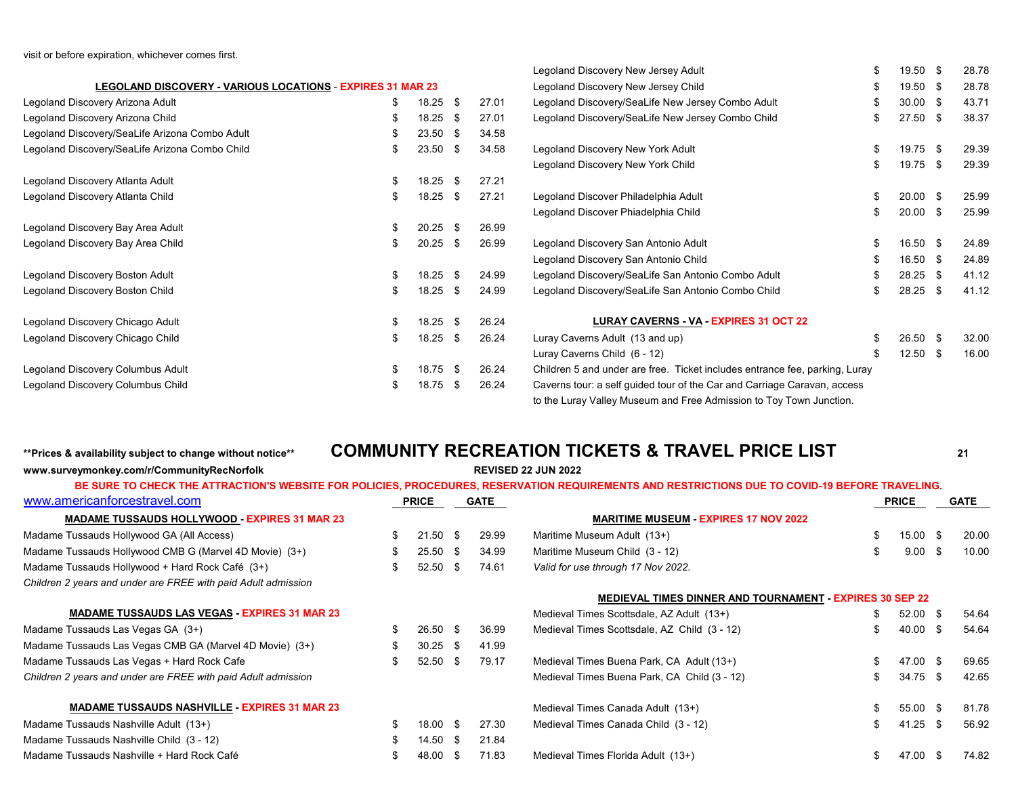visit or before expiration, whichever comes first.

|                                                            |    |            |      |       | Legoland Discovery New Jersey Adult                                         | 19.50 \$   | 28.78 |
|------------------------------------------------------------|----|------------|------|-------|-----------------------------------------------------------------------------|------------|-------|
| LEGOLAND DISCOVERY - VARIOUS LOCATIONS - EXPIRES 31 MAR 23 |    |            |      |       | Legoland Discovery New Jersey Child                                         | 19.50 \$   | 28.78 |
| Legoland Discovery Arizona Adult                           | \$ | $18.25$ \$ |      | 27.01 | Legoland Discovery/SeaLife New Jersey Combo Adult                           | $30.00$ \$ | 43.71 |
| Legoland Discovery Arizona Child                           | S. | 18.25 \$   |      | 27.01 | Legoland Discovery/SeaLife New Jersey Combo Child                           | $27.50$ \$ | 38.37 |
| Legoland Discovery/SeaLife Arizona Combo Adult             |    | 23.50      | - \$ | 34.58 |                                                                             |            |       |
| Legoland Discovery/SeaLife Arizona Combo Child             | S  | 23.50      | - \$ | 34.58 | Legoland Discovery New York Adult                                           | 19.75 \$   | 29.39 |
|                                                            |    |            |      |       | Legoland Discovery New York Child                                           | 19.75 \$   | 29.39 |
| Legoland Discovery Atlanta Adult                           | \$ | 18.25      | - \$ | 27.21 |                                                                             |            |       |
| Legoland Discovery Atlanta Child                           | S  | 18.25      | - \$ | 27.21 | Legoland Discover Philadelphia Adult                                        | $20.00$ \$ | 25.99 |
|                                                            |    |            |      |       | Legoland Discover Phiadelphia Child                                         | $20.00$ \$ | 25.99 |
| Legoland Discovery Bay Area Adult                          | \$ | $20.25$ \$ |      | 26.99 |                                                                             |            |       |
| Legoland Discovery Bay Area Child                          |    | 20.25      | - \$ | 26.99 | Legoland Discovery San Antonio Adult                                        | 16.50 \$   | 24.89 |
|                                                            |    |            |      |       | Legoland Discovery San Antonio Child                                        | 16.50 \$   | 24.89 |
| Legoland Discovery Boston Adult                            | \$ | $18.25$ \$ |      | 24.99 | Legoland Discovery/SeaLife San Antonio Combo Adult                          | $28.25$ \$ | 41.12 |
| Legoland Discovery Boston Child                            | S. | 18.25      | -\$  | 24.99 | Legoland Discovery/SeaLife San Antonio Combo Child                          | $28.25$ \$ | 41.12 |
| Legoland Discovery Chicago Adult                           | £. | $18.25$ \$ |      | 26.24 | LURAY CAVERNS - VA - EXPIRES 31 OCT 22                                      |            |       |
| Legoland Discovery Chicago Child                           | S  | 18.25      | - \$ | 26.24 | Luray Caverns Adult (13 and up)                                             | 26.50 \$   | 32.00 |
|                                                            |    |            |      |       | Luray Caverns Child (6 - 12)                                                | $12.50$ \$ | 16.00 |
| Legoland Discovery Columbus Adult                          | \$ | 18.75 \$   |      | 26.24 | Children 5 and under are free. Ticket includes entrance fee, parking, Luray |            |       |
| Legoland Discovery Columbus Child                          | S. | 18.75      | - \$ | 26.24 | Caverns tour: a self guided tour of the Car and Carriage Caravan, access    |            |       |
|                                                            |    |            |      |       | to the Luray Valley Museum and Free Admission to Toy Town Junction.         |            |       |

**www.surveymonkey.com/r/CommunityRecNorfolk REVISED 22 JUN 2022**

## **\*\*Prices & availability subject to change without notice\*\* COMMUNITY RECREATION TICKETS & TRAVEL PRICE LIST <sup>21</sup>**

| www.americanforcestravel.com                                  |     | <b>PRICE</b> |      | <b>GATE</b> |                                                                 | <b>PRICE</b>       | <b>GATE</b> |  |
|---------------------------------------------------------------|-----|--------------|------|-------------|-----------------------------------------------------------------|--------------------|-------------|--|
| <b>MADAME TUSSAUDS HOLLYWOOD - EXPIRES 31 MAR 23</b>          |     |              |      |             | <b>MARITIME MUSEUM - EXPIRES 17 NOV 2022</b>                    |                    |             |  |
| Madame Tussauds Hollywood GA (All Access)                     | \$  | $21.50$ \$   |      | 29.99       | Maritime Museum Adult (13+)                                     | 15.00 \$           | 20.00       |  |
| Madame Tussauds Hollywood CMB G (Marvel 4D Movie) (3+)        | S.  | 25.50        | - S  | 34.99       | Maritime Museum Child (3 - 12)                                  | $9.00 \text{ }$ \$ | 10.00       |  |
| Madame Tussauds Hollywood + Hard Rock Café (3+)               | \$  | $52.50$ \$   |      | 74.61       | Valid for use through 17 Nov 2022.                              |                    |             |  |
| Children 2 years and under are FREE with paid Adult admission |     |              |      |             |                                                                 |                    |             |  |
|                                                               |     |              |      |             | <b>MEDIEVAL TIMES DINNER AND TOURNAMENT - EXPIRES 30 SEP 22</b> |                    |             |  |
| <b>MADAME TUSSAUDS LAS VEGAS EXPIRES 31 MAR 23</b>            |     |              |      |             | Medieval Times Scottsdale, AZ Adult (13+)                       | 52.00 \$           | 54.64       |  |
| Madame Tussauds Las Vegas GA (3+)                             |     | $26.50$ \$   |      | 36.99       | Medieval Times Scottsdale, AZ Child (3 - 12)                    | 40.00 \$           | 54.64       |  |
| Madame Tussauds Las Vegas CMB GA (Marvel 4D Movie) (3+)       | \$. | $30.25$ \$   |      | 41.99       |                                                                 |                    |             |  |
| Madame Tussauds Las Vegas + Hard Rock Cafe                    | \$  | $52.50$ \$   |      | 79.17       | Medieval Times Buena Park, CA Adult (13+)                       | 47.00 \$           | 69.65       |  |
| Children 2 years and under are FREE with paid Adult admission |     |              |      |             | Medieval Times Buena Park, CA Child (3 - 12)                    | 34.75 \$           | 42.65       |  |
| <b>MADAME TUSSAUDS NASHVILLE EXPIRES 31 MAR 23</b>            |     |              |      |             | Medieval Times Canada Adult (13+)                               | 55.00 \$           | 81.78       |  |
| Madame Tussauds Nashville Adult (13+)                         |     | 18.00 \$     |      | 27.30       | Medieval Times Canada Child (3 - 12)                            | 41.25 \$           | 56.92       |  |
| Madame Tussauds Nashville Child (3 - 12)                      | S   | $14.50$ \$   |      | 21.84       |                                                                 |                    |             |  |
| Madame Tussauds Nashville + Hard Rock Café                    |     | 48.00        | - 35 | 71.83       | Medieval Times Florida Adult (13+)                              | 47.00              | 74.82       |  |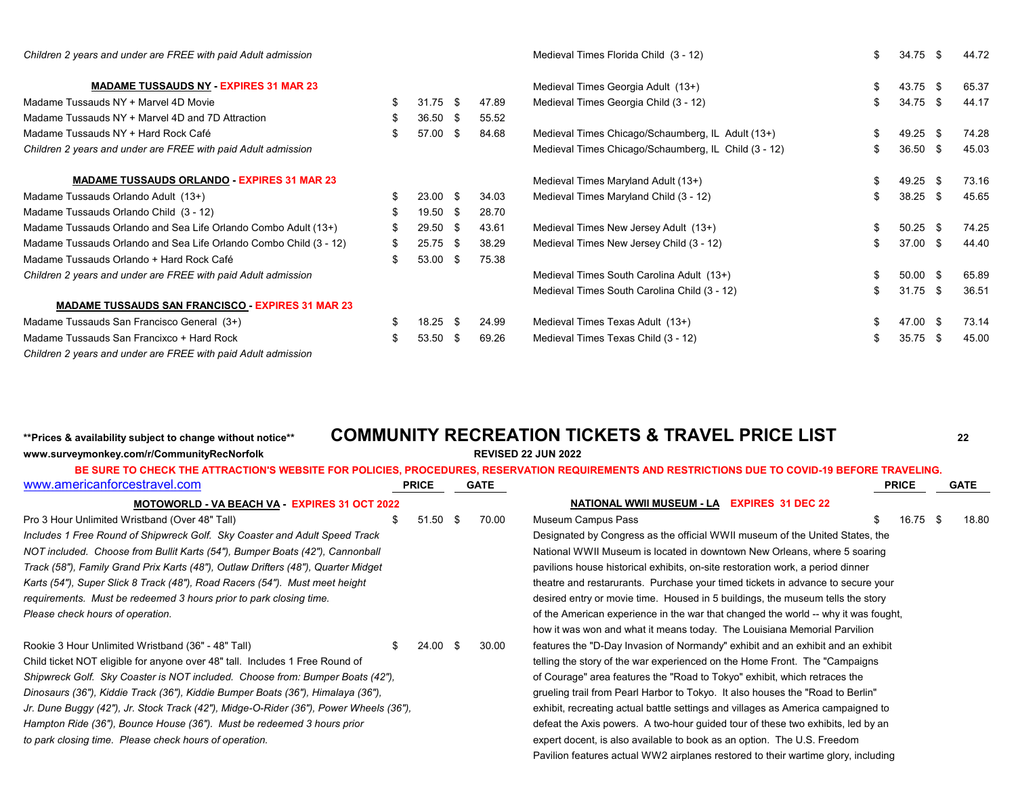| Children 2 years and under are FREE with paid Adult admission     |    |                     |      |       | Medieval Times Florida Child (3 - 12)                |     | $34.75$ \$ |          | 44.72 |
|-------------------------------------------------------------------|----|---------------------|------|-------|------------------------------------------------------|-----|------------|----------|-------|
| <b>MADAME TUSSAUDS NY EXPIRES 31 MAR 23</b>                       |    |                     |      |       | Medieval Times Georgia Adult (13+)                   |     | 43.75      | <b>S</b> | 65.37 |
| Madame Tussauds NY + Marvel 4D Movie                              | \$ | $31.75$ \$          |      | 47.89 | Medieval Times Georgia Child (3 - 12)                |     | 34.75 \$   |          | 44.17 |
| Madame Tussauds NY + Marvel 4D and 7D Attraction                  | \$ | $36.50$ \$          |      | 55.52 |                                                      |     |            |          |       |
| Madame Tussauds NY + Hard Rock Café                               | \$ | 57.00 \$            |      | 84.68 | Medieval Times Chicago/Schaumberg, IL Adult (13+)    |     | $49.25$ \$ |          | 74.28 |
| Children 2 years and under are FREE with paid Adult admission     |    |                     |      |       | Medieval Times Chicago/Schaumberg, IL Child (3 - 12) | \$  | $36.50$ \$ |          | 45.03 |
| <b>MADAME TUSSAUDS ORLANDO EXPIRES 31 MAR 23</b>                  |    |                     |      |       | Medieval Times Maryland Adult (13+)                  |     | 49.25 \$   |          | 73.16 |
| Madame Tussauds Orlando Adult (13+)                               | S. | $23.00 \text{ }$ \$ |      | 34.03 | Medieval Times Maryland Child (3 - 12)               | \$  | $38.25$ \$ |          | 45.65 |
| Madame Tussauds Orlando Child (3 - 12)                            | \$ | 19.50 \$            |      | 28.70 |                                                      |     |            |          |       |
| Madame Tussauds Orlando and Sea Life Orlando Combo Adult (13+)    | \$ | 29.50 \$            |      | 43.61 | Medieval Times New Jersey Adult (13+)                |     | $50.25$ \$ |          | 74.25 |
| Madame Tussauds Orlando and Sea Life Orlando Combo Child (3 - 12) | \$ | $25.75$ \$          |      | 38.29 | Medieval Times New Jersey Child (3 - 12)             |     | 37.00 \$   |          | 44.40 |
| Madame Tussauds Orlando + Hard Rock Café                          | \$ | $53.00$ \$          |      | 75.38 |                                                      |     |            |          |       |
| Children 2 years and under are FREE with paid Adult admission     |    |                     |      |       | Medieval Times South Carolina Adult (13+)            |     | $50.00$ \$ |          | 65.89 |
|                                                                   |    |                     |      |       | Medieval Times South Carolina Child (3 - 12)         | \$. | $31.75$ \$ |          | 36.51 |
| <b>MADAME TUSSAUDS SAN FRANCISCO - EXPIRES 31 MAR 23</b>          |    |                     |      |       |                                                      |     |            |          |       |
| Madame Tussauds San Francisco General (3+)                        |    | 18.25               | - \$ | 24.99 | Medieval Times Texas Adult (13+)                     |     | 47.00 \$   |          | 73.14 |
| Madame Tussauds San Francixco + Hard Rock                         | \$ | 53.50               | - \$ | 69.26 | Medieval Times Texas Child (3 - 12)                  | \$  | 35.75      | - \$     | 45.00 |
| Children 2 years and under are FREE with paid Adult admission     |    |                     |      |       |                                                      |     |            |          |       |

## **\*\*Prices & availability subject to change without notice\*\* COMMUNITY RECREATION TICKETS & TRAVEL PRICE LIST <sup>22</sup> www.surveymonkey.com/r/CommunityRecNorfolk REVISED 22 JUN 2022**

|                                                                                       |                     |             | BE SURE TO CHECK THE ATTRACTION'S WEBSITE FOR POLICIES, PROCEDURES, RESERVATION REQUIREMENTS AND RESTRICTIONS DUE TO COVID-19 BEFORE TRAVELING. |       |
|---------------------------------------------------------------------------------------|---------------------|-------------|-------------------------------------------------------------------------------------------------------------------------------------------------|-------|
| www.americanforcestravel.com                                                          | <b>PRICE</b>        | <b>GATE</b> | <b>PRICE</b>                                                                                                                                    | GATE  |
| MOTOWORLD - VA BEACH VA - EXPIRES 31 OCT 2022                                         |                     |             | <b>NATIONAL WWII MUSEUM - LA</b><br><b>EXPIRES 31 DEC 22</b>                                                                                    |       |
| Pro 3 Hour Unlimited Wristband (Over 48" Tall)                                        | $51.50$ \$          | 70.00       | $16.75$ \$<br>Museum Campus Pass                                                                                                                | 18.80 |
| Includes 1 Free Round of Shipwreck Golf. Sky Coaster and Adult Speed Track            |                     |             | Designated by Congress as the official WWII museum of the United States, the                                                                    |       |
| NOT included. Choose from Bullit Karts (54"), Bumper Boats (42"), Cannonball          |                     |             | National WWII Museum is located in downtown New Orleans, where 5 soaring                                                                        |       |
| Track (58"), Family Grand Prix Karts (48"), Outlaw Drifters (48"), Quarter Midget     |                     |             | pavilions house historical exhibits, on-site restoration work, a period dinner                                                                  |       |
| Karts (54"), Super Slick 8 Track (48"), Road Racers (54"). Must meet height           |                     |             | theatre and restarurants. Purchase your timed tickets in advance to secure your                                                                 |       |
| requirements. Must be redeemed 3 hours prior to park closing time.                    |                     |             | desired entry or movie time. Housed in 5 buildings, the museum tells the story                                                                  |       |
| Please check hours of operation.                                                      |                     |             | of the American experience in the war that changed the world -- why it was fought,                                                              |       |
|                                                                                       |                     |             | how it was won and what it means today. The Louisiana Memorial Parvilion                                                                        |       |
| Rookie 3 Hour Unlimited Wristband (36" - 48" Tall)<br>\$.                             | $24.00 \text{ }$ \$ | 30.00       | features the "D-Day Invasion of Normandy" exhibit and an exhibit and an exhibit                                                                 |       |
| Child ticket NOT eligible for anyone over 48" tall. Includes 1 Free Round of          |                     |             | telling the story of the war experienced on the Home Front. The "Campaigns"                                                                     |       |
| Shipwreck Golf. Sky Coaster is NOT included. Choose from: Bumper Boats (42"),         |                     |             | of Courage" area features the "Road to Tokyo" exhibit, which retraces the                                                                       |       |
| Dinosaurs (36"), Kiddie Track (36"), Kiddie Bumper Boats (36"), Himalaya (36"),       |                     |             | grueling trail from Pearl Harbor to Tokyo. It also houses the "Road to Berlin"                                                                  |       |
| Jr. Dune Buggy (42"), Jr. Stock Track (42"), Midge-O-Rider (36"), Power Wheels (36"), |                     |             | exhibit, recreating actual battle settings and villages as America campaigned to                                                                |       |
| Hampton Ride (36"), Bounce House (36"). Must be redeemed 3 hours prior                |                     |             | defeat the Axis powers. A two-hour guided tour of these two exhibits, led by an                                                                 |       |
| to park closing time. Please check hours of operation.                                |                     |             | expert docent, is also available to book as an option. The U.S. Freedom                                                                         |       |
|                                                                                       |                     |             | Pavilion features actual WW2 airplanes restored to their wartime glory, including                                                               |       |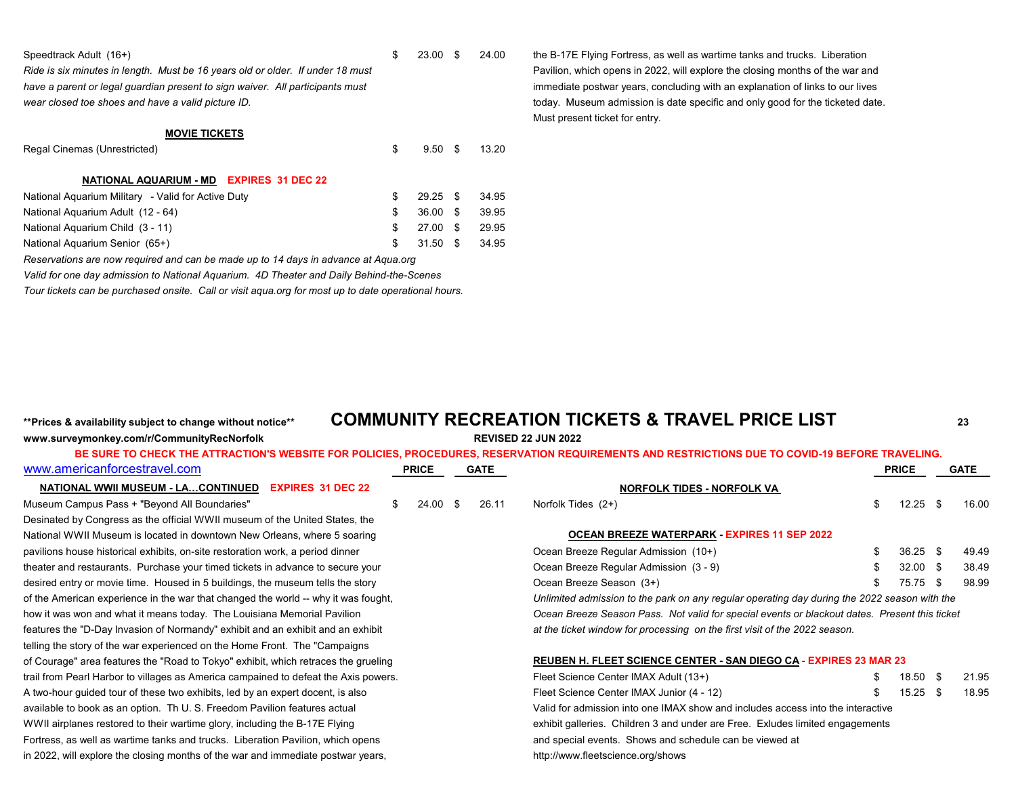| Speedtrack Adult (16+) |  |  |
|------------------------|--|--|
|                        |  |  |

have a parent or legal guardian present to sign waiver. All participants must<br> **identify and the contract of the contract of the contract of links to our lives** in the contract of links to our lives

#### **MOVIE TICKETS**

Regal Cinemas (Unrestricted) and the set of the set of the set of the set of the set of the set of the set of the set of the set of the set of the set of the set of the set of the set of the set of the set of the set of th

#### **NATIONAL AQUARIUM - MD EXPIRES 31 DEC 22**

| National Aguarium Military - Valid for Active Duty |    | 29.25 \$          | 34.95 |
|----------------------------------------------------|----|-------------------|-------|
| National Aguarium Adult (12 - 64)                  | S. | 36.00 \$ 39.95    |       |
| National Aguarium Child (3 - 11)                   |    | \$ 27.00 \$       | 29.95 |
| National Aguarium Senior (65+)                     |    | \$ 31.50 \$ 34.95 |       |

*Reservations are now required and can be made up to 14 days in advance at Aqua.org*

*Valid for one day admission to National Aquarium. 4D Theater and Daily Behind-the-Scenes*

*Tour tickets can be purchased onsite. Call or visit aqua.org for most up to date operational hours.*

Speedtrack Adult (16+) **1992** 13.00 \$ 23.00 \$ 24.00 the B-17E Flying Fortress, as well as wartime tanks and trucks. Liberation *Ride is six minutes in length. Must be 16 years old or older. If under 18 must* Pavilion, which opens in 2022, will explore the closing months of the war and wear closed toe shoes and have a valid picture ID. **the state specific and only good for the ticketed date.** The ticketed date. Must present ticket for entry.

## **\*\*Prices & availability subject to change without notice\*\* COMMUNITY RECREATION TICKETS & TRAVEL PRICE LIST <sup>23</sup> www.surveymonkey.com/r/CommunityRecNorfolk REVISED 22 JUN 2022**

| www.americanforcestravel.com                                                        | <b>PRICE</b> | <b>GATE</b> |                                                                                               | <b>PRICE</b> | <b>GATE</b> |
|-------------------------------------------------------------------------------------|--------------|-------------|-----------------------------------------------------------------------------------------------|--------------|-------------|
| <b>NATIONAL WWII MUSEUM - LACONTINUED EXPIRES 31 DEC 22</b>                         |              |             | <u>NORFOLK TIDES - NORFOLK VA</u>                                                             |              |             |
| Museum Campus Pass + "Beyond All Boundaries"                                        | $24.00$ \$   | 26.11       | Norfolk Tides (2+)                                                                            | $12.25$ \$   | 16.00       |
| Desinated by Congress as the official WWII museum of the United States, the         |              |             |                                                                                               |              |             |
| National WWII Museum is located in downtown New Orleans, where 5 soaring            |              |             | <b>OCEAN BREEZE WATERPARK EXPIRES 11 SEP 2022</b>                                             |              |             |
| pavilions house historical exhibits, on-site restoration work, a period dinner      |              |             | Ocean Breeze Regular Admission (10+)                                                          | $36.25$ \$   | 49.49       |
| theater and restaurants. Purchase your timed tickets in advance to secure your      |              |             | Ocean Breeze Regular Admission (3 - 9)                                                        | $32.00$ \$   | 38.49       |
| desired entry or movie time. Housed in 5 buildings, the museum tells the story      |              |             | Ocean Breeze Season (3+)                                                                      | 75.75 \$     | 98.99       |
| of the American experience in the war that changed the world -- why it was fought,  |              |             | Unlimited admission to the park on any regular operating day during the 2022 season with the  |              |             |
| how it was won and what it means today. The Louisiana Memorial Pavilion             |              |             | Ocean Breeze Season Pass. Not valid for special events or blackout dates. Present this ticket |              |             |
| features the "D-Day Invasion of Normandy" exhibit and an exhibit and an exhibit     |              |             | at the ticket window for processing on the first visit of the 2022 season.                    |              |             |
| telling the story of the war experienced on the Home Front. The "Campaigns"         |              |             |                                                                                               |              |             |
| of Courage" area features the "Road to Tokyo" exhibit, which retraces the grueling  |              |             | REUBEN H. FLEET SCIENCE CENTER - SAN DIEGO CA - EXPIRES 23 MAR 23                             |              |             |
| trail from Pearl Harbor to villages as America campained to defeat the Axis powers. |              |             | Fleet Science Center IMAX Adult (13+)                                                         | 18.50 \$     | 21.95       |
| A two-hour guided tour of these two exhibits, led by an expert docent, is also      |              |             | Fleet Science Center IMAX Junior (4 - 12)                                                     | $15.25$ \$   | 18.95       |
| available to book as an option. Th U.S. Freedom Pavilion features actual            |              |             | Valid for admission into one IMAX show and includes access into the interactive               |              |             |
| WWII airplanes restored to their wartime glory, including the B-17E Flying          |              |             | exhibit galleries. Children 3 and under are Free. Exludes limited engagements                 |              |             |
| Fortress, as well as wartime tanks and trucks. Liberation Pavilion, which opens     |              |             | and special events. Shows and schedule can be viewed at                                       |              |             |
| in 2022, will explore the closing months of the war and immediate postwar years,    |              |             | http://www.fleetscience.org/shows                                                             |              |             |
|                                                                                     |              |             |                                                                                               |              |             |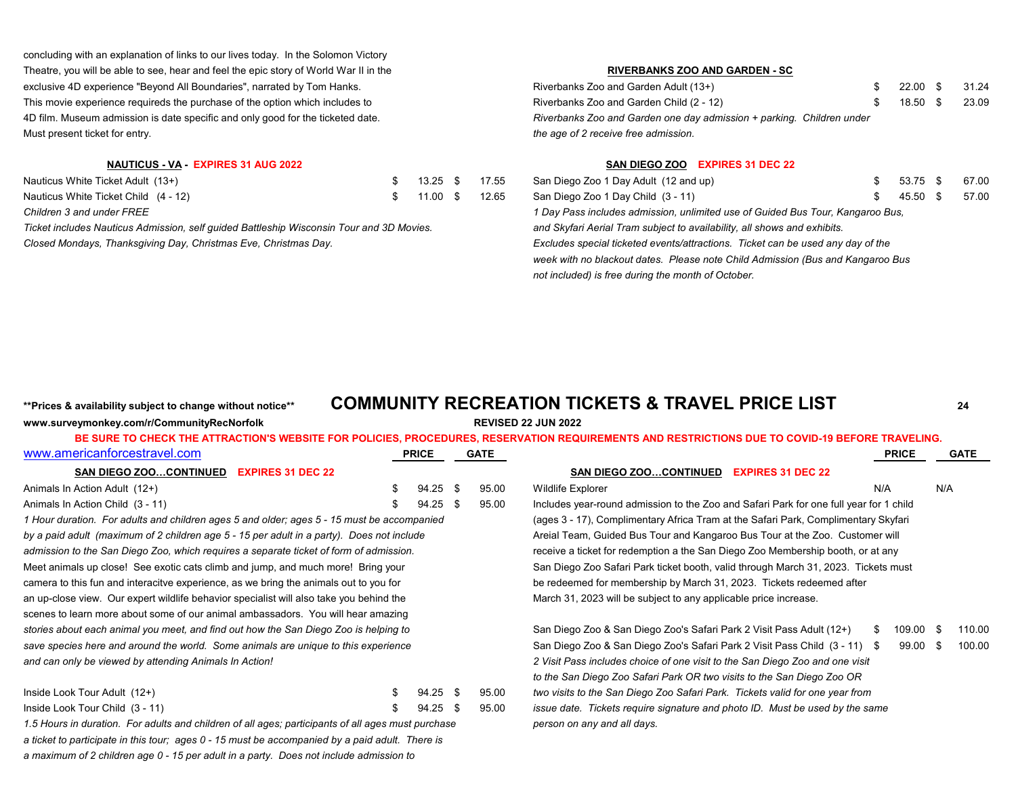concluding with an explanation of links to our lives today. In the Solomon Victory Theatre, you will be able to see, hear and feel the epic story of World War II in the **RIVERBANKS ZOO AND GARDEN - SC** exclusive 4D experience "Beyond All Boundaries", narrated by Tom Hanks. This movie experience requireds the purchase of the option which includes to 4D film. Museum admission is date specific and only good for the ticketed date. Must present ticket for entry.

| Nauticus White Ticket Adult (13+)    |  |  | $$ 13.25$ $$ 17.55$ San Diego Zoo 1 Day Adult (12 and up)                     | 53.75 \$       | 67.00 |
|--------------------------------------|--|--|-------------------------------------------------------------------------------|----------------|-------|
| Nauticus White Ticket Child (4 - 12) |  |  | \$ 11.00 \$ 12.65 San Diego Zoo 1 Day Child (3 - 11)                          | 45.50 \$ 57.00 |       |
| Children 3 and under FRFF            |  |  | 1 Day Pass includes admission, unlimited use of Guided Bus Tour, Kangaroo Bus |                |       |

*Ticket includes Nauticus Admission, self guided Battleship Wisconsin Tour and 3D Movies. and Skyfari Aerial Tram subject to availability, all shows and exhibits. Closed Mondays, Thanksgiving Day, Christmas Eve, Christmas Day.* 

| Riverbanks Zoo and Garden Adult (13+)                                 | 22.00 \$ 31.24 |  |
|-----------------------------------------------------------------------|----------------|--|
| Riverbanks Zoo and Garden Child (2 - 12)                              | 18.50 \$ 23.09 |  |
| Riverbanks Zoo and Garden one day admission + parking. Children under |                |  |
| the age of 2 receive free admission.                                  |                |  |

### **NAUTICUS - VA - EXPIRES 31 AUG 2022 SAN DIEGO ZOO EXPIRES 31 DEC 22**

| San Diego Zoo 1 Day Adult (12 and up)                                           | 53.75 \$ | 67.0 |
|---------------------------------------------------------------------------------|----------|------|
| San Diego Zoo 1 Day Child (3 - 11)                                              | 45.50 \$ | 57.0 |
| 1 Day Pass includes admission, unlimited use of Guided Bus Tour, Kangaroo Bus,  |          |      |
| and Skyfari Aerial Tram subject to availability, all shows and exhibits.        |          |      |
| Excludes special ticketed events/attractions. Ticket can be used any day of the |          |      |
| week with no blackout dates. Please note Child Admission (Bus and Kangaroo Bus  |          |      |
| not included) is free during the month of October.                              |          |      |

## **\*\*Prices & availability subject to change without notice\*\* COMMUNITY RECREATION TICKETS & TRAVEL PRICE LIST <sup>24</sup>**

### **www.surveymonkey.com/r/CommunityRecNorfolk REVISED 22 JUN 2022**

| www.americanforcestravel.com                                                                       |    | <b>PRICE</b> |      | GATE  | <b>PRICE</b>                                                                           |      | <b>GATE</b> |
|----------------------------------------------------------------------------------------------------|----|--------------|------|-------|----------------------------------------------------------------------------------------|------|-------------|
| <b>SAN DIEGO ZOOCONTINUED</b><br><b>EXPIRES 31 DEC 22</b>                                          |    |              |      |       | SAN DIEGO ZOOCONTINUED EXPIRES 31 DEC 22                                               |      |             |
| Animals In Action Adult (12+)                                                                      |    | $94.25$ \$   |      | 95.00 | N/A<br>Wildlife Explorer                                                               | N/A  |             |
| Animals In Action Child (3 - 11)                                                                   |    | 94.25        | - \$ | 95.00 | Includes year-round admission to the Zoo and Safari Park for one full year for 1 child |      |             |
| 1 Hour duration. For adults and children ages 5 and older; ages 5 - 15 must be accompanied         |    |              |      |       | (ages 3 - 17), Complimentary Africa Tram at the Safari Park, Complimentary Skyfari     |      |             |
| by a paid adult (maximum of 2 children age 5 - 15 per adult in a party). Does not include          |    |              |      |       | Areial Team, Guided Bus Tour and Kangaroo Bus Tour at the Zoo. Customer will           |      |             |
| admission to the San Diego Zoo, which requires a separate ticket of form of admission.             |    |              |      |       | receive a ticket for redemption a the San Diego Zoo Membership booth, or at any        |      |             |
| Meet animals up close! See exotic cats climb and jump, and much more! Bring your                   |    |              |      |       | San Diego Zoo Safari Park ticket booth, valid through March 31, 2023. Tickets must     |      |             |
| camera to this fun and interacitve experience, as we bring the animals out to you for              |    |              |      |       | be redeemed for membership by March 31, 2023. Tickets redeemed after                   |      |             |
| an up-close view. Our expert wildlife behavior specialist will also take you behind the            |    |              |      |       | March 31, 2023 will be subject to any applicable price increase.                       |      |             |
| scenes to learn more about some of our animal ambassadors. You will hear amazing                   |    |              |      |       |                                                                                        |      |             |
| stories about each animal you meet, and find out how the San Diego Zoo is helping to               |    |              |      |       | San Diego Zoo & San Diego Zoo's Safari Park 2 Visit Pass Adult (12+)<br>109.00         | - \$ | 110.00      |
| save species here and around the world. Some animals are unique to this experience                 |    |              |      |       | 99.00<br>San Diego Zoo & San Diego Zoo's Safari Park 2 Visit Pass Child (3 - 11) \$    | - \$ | 100.00      |
| and can only be viewed by attending Animals In Action!                                             |    |              |      |       | 2 Visit Pass includes choice of one visit to the San Diego Zoo and one visit           |      |             |
|                                                                                                    |    |              |      |       | to the San Diego Zoo Safari Park OR two visits to the San Diego Zoo OR                 |      |             |
| Inside Look Tour Adult (12+)                                                                       | S. | $94.25$ \$   |      | 95.00 | two visits to the San Diego Zoo Safari Park. Tickets valid for one year from           |      |             |
| Inside Look Tour Child (3 - 11)                                                                    |    | $94.25$ \$   |      | 95.00 | issue date. Tickets require signature and photo ID. Must be used by the same           |      |             |
| 1.5 Hours in duration. For adults and children of all ages; participants of all ages must purchase |    |              |      |       | person on any and all days.                                                            |      |             |
| a ticket to participate in this tour; ages 0 - 15 must be accompanied by a paid adult. There is    |    |              |      |       |                                                                                        |      |             |

*a maximum of 2 children age 0 - 15 per adult in a party. Does not include admission to*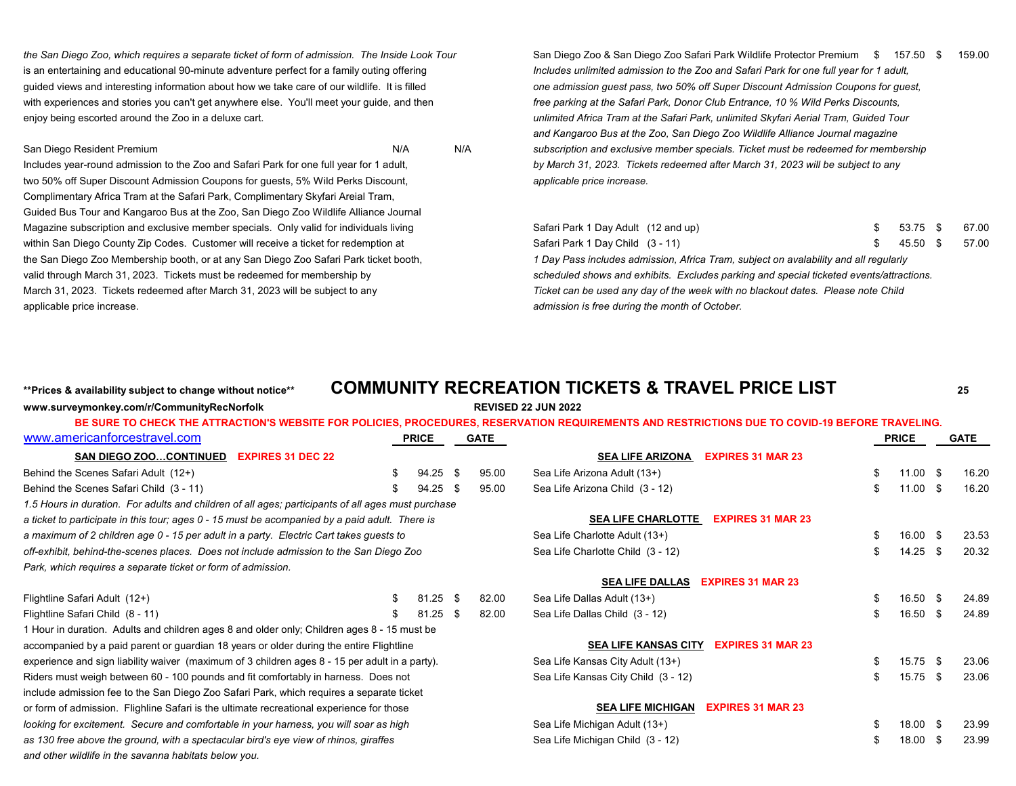is an entertaining and educational 90-minute adventure perfect for a family outing offering *Includes unlimited admission to the Zoo and Safari Park for one full year for 1 adult,* guided views and interesting information about how we take care of our wildlife. It is filled **one admission guest pass, two 50% off Super Discount Admission Coupons for guest**, with experiences and stories you can't get anywhere else. You'll meet your guide, and then *free parking at the Safari Park, Donor Club Entrance, 10 % Wild Perks Discounts*, enjoy being escorted around the Zoo in a deluxe cart. *unimited Africa Tram at the Safari Park, unlimited Skyfari Aerial Tram, Guided Tour* 

Includes year-round admission to the Zoo and Safari Park for one full year for 1 adult, *by March 31, 2023. Tickets redeemed after March 31, 2023 will be subject to any* two 50% off Super Discount Admission Coupons for guests, 5% Wild Perks Discount, *applicable price increase.* Complimentary Africa Tram at the Safari Park, Complimentary Skyfari Areial Tram, Guided Bus Tour and Kangaroo Bus at the Zoo, San Diego Zoo Wildlife Alliance Journal Magazine subscription and exclusive member specials. Only valid for individuals living within San Diego County Zip Codes. Customer will receive a ticket for redemption at the San Diego Zoo Membership booth, or at any San Diego Zoo Safari Park ticket booth, valid through March 31, 2023. Tickets must be redeemed for membership by March 31, 2023. Tickets redeemed after March 31, 2023 will be subject to any applicable price increase. *admission is free during the month of October.* 

**www.surveymonkey.com/r/CommunityRecNorfolk REVISED 22 JUN 2022**

*the San Diego Zoo, which requires a separate ticket of form of admission. The Inside Look Tour* San Diego Zoo & San Diego Zoo Safari Park Wildlife Protector Premium \$ 157.50 \$ 159.00 *and Kangaroo Bus at the Zoo, San Diego Zoo Wildlife Alliance Journal magazine*  San Diego Resident Premium **Nickell and** *Subscription and exclusive member specials. Ticket must be redeemed for membership* 

| Safari Park 1 Day Adult (12 and up)                                                     | 53.75 \$ | 67.00 |
|-----------------------------------------------------------------------------------------|----------|-------|
| Safari Park 1 Day Child (3 - 11)                                                        | 45.50 \$ | 57.00 |
| 1 Day Pass includes admission, Africa Tram, subject on avalability and all regularly    |          |       |
| scheduled shows and exhibits. Excludes parking and special ticketed events/attractions. |          |       |
| Ticket can be used any day of the week with no blackout dates.  Please note Child       |          |       |
| admission is free during the month of October.                                          |          |       |

## **\*\*Prices & availability subject to change without notice\*\* COMMUNITY RECREATION TICKETS & TRAVEL PRICE LIST <sup>25</sup>**

|                                                                                                    |    |              |       | BE SURE TO CHECK THE ATTRACTION'S WEBSITE FOR POLICIES, PROCEDURES, RESERVATION REQUIREMENTS AND RESTRICTIONS DUE TO COVID-19 BEFORE TRAVELING. |    |              |       |
|----------------------------------------------------------------------------------------------------|----|--------------|-------|-------------------------------------------------------------------------------------------------------------------------------------------------|----|--------------|-------|
| www.americanforcestravel.com                                                                       |    | <b>PRICE</b> | GATE  |                                                                                                                                                 |    | <b>PRICE</b> | GATE  |
| <b>SAN DIEGO ZOOCONTINUED</b><br><b>EXPIRES 31 DEC 22</b>                                          |    |              |       | <b>EXPIRES 31 MAR 23</b><br><b>SEA LIFE ARIZONA</b>                                                                                             |    |              |       |
| Behind the Scenes Safari Adult (12+)                                                               | \$ | 94.25 \$     | 95.00 | Sea Life Arizona Adult (13+)                                                                                                                    | \$ | $11.00$ \$   | 16.20 |
| Behind the Scenes Safari Child (3 - 11)                                                            |    | $94.25$ \$   | 95.00 | Sea Life Arizona Child (3 - 12)                                                                                                                 | \$ | $11.00$ \$   | 16.20 |
| 1.5 Hours in duration. For adults and children of all ages; participants of all ages must purchase |    |              |       |                                                                                                                                                 |    |              |       |
| a ticket to participate in this tour; ages 0 - 15 must be acompanied by a paid adult. There is     |    |              |       | <b>SEA LIFE CHARLOTTE</b><br><b>EXPIRES 31 MAR 23</b>                                                                                           |    |              |       |
| a maximum of 2 children age 0 - 15 per adult in a party. Electric Cart takes guests to             |    |              |       | Sea Life Charlotte Adult (13+)                                                                                                                  | £. | $16.00$ \$   | 23.53 |
| off-exhibit, behind-the-scenes places. Does not include admission to the San Diego Zoo             |    |              |       | Sea Life Charlotte Child (3 - 12)                                                                                                               | £. | $14.25$ \$   | 20.32 |
| Park, which requires a separate ticket or form of admission.                                       |    |              |       |                                                                                                                                                 |    |              |       |
|                                                                                                    |    |              |       | <b>SEA LIFE DALLAS</b><br><b>EXPIRES 31 MAR 23</b>                                                                                              |    |              |       |
| Flightline Safari Adult (12+)                                                                      | S  | $81.25$ \$   | 82.00 | Sea Life Dallas Adult (13+)                                                                                                                     | S  | 16.50 \$     | 24.89 |
| Flightline Safari Child (8 - 11)                                                                   |    | $81.25$ \$   | 82.00 | Sea Life Dallas Child (3 - 12)                                                                                                                  | \$ | 16.50 \$     | 24.89 |
| 1 Hour in duration. Adults and children ages 8 and older only; Children ages 8 - 15 must be        |    |              |       |                                                                                                                                                 |    |              |       |
| accompanied by a paid parent or guardian 18 years or older during the entire Flightline            |    |              |       | <b>SEA LIFE KANSAS CITY</b><br><b>EXPIRES 31 MAR 23</b>                                                                                         |    |              |       |
| experience and sign liability waiver (maximum of 3 children ages 8 - 15 per adult in a party).     |    |              |       | Sea Life Kansas City Adult (13+)                                                                                                                |    | 15.75 \$     | 23.06 |
| Riders must weigh between 60 - 100 pounds and fit comfortably in harness. Does not                 |    |              |       | Sea Life Kansas City Child (3 - 12)                                                                                                             |    | 15.75 \$     | 23.06 |
| include admission fee to the San Diego Zoo Safari Park, which requires a separate ticket           |    |              |       |                                                                                                                                                 |    |              |       |
| or form of admission. Flighline Safari is the ultimate recreational experience for those           |    |              |       | <b>EXPIRES 31 MAR 23</b><br><b>SEA LIFE MICHIGAN</b>                                                                                            |    |              |       |
| looking for excitement. Secure and comfortable in your harness, you will soar as high              |    |              |       | Sea Life Michigan Adult (13+)                                                                                                                   |    | 18.00 \$     | 23.99 |
| as 130 free above the ground, with a spectacular bird's eye view of rhinos, giraffes               |    |              |       | Sea Life Michigan Child (3 - 12)                                                                                                                |    | 18.00 \$     | 23.99 |
| and other wildlife in the savanna habitats below you.                                              |    |              |       |                                                                                                                                                 |    |              |       |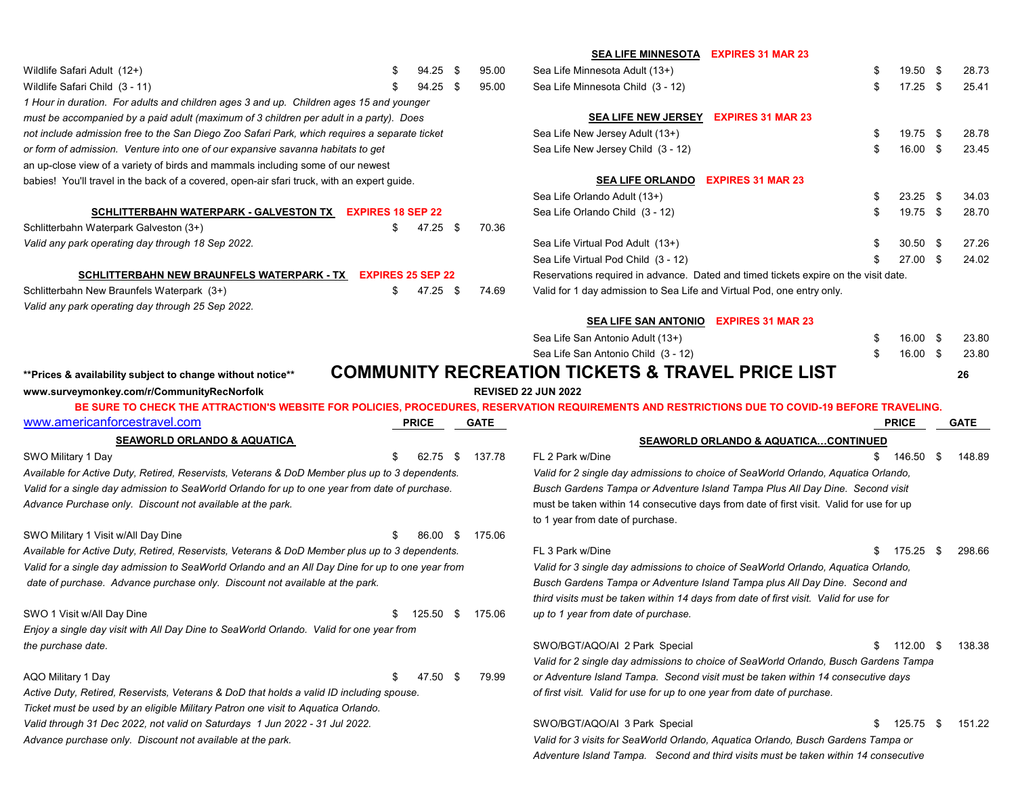|                                                                                                  |                        |      |             | SEA LIFE MINNESOTA EXPIRES 31 MAR 23                                                                                                            |    |                     |      |             |
|--------------------------------------------------------------------------------------------------|------------------------|------|-------------|-------------------------------------------------------------------------------------------------------------------------------------------------|----|---------------------|------|-------------|
| Wildlife Safari Adult (12+)                                                                      | 94.25                  | - \$ | 95.00       | Sea Life Minnesota Adult (13+)                                                                                                                  |    | 19.50 \$            |      | 28.73       |
| Wildlife Safari Child (3 - 11)                                                                   | 94.25 \$               |      | 95.00       | Sea Life Minnesota Child (3 - 12)                                                                                                               |    | $17.25$ \$          |      | 25.41       |
| 1 Hour in duration. For adults and children ages 3 and up. Children ages 15 and younger          |                        |      |             |                                                                                                                                                 |    |                     |      |             |
| must be accompanied by a paid adult (maximum of 3 children per adult in a party). Does           |                        |      |             | SEA LIFE NEW JERSEY EXPIRES 31 MAR 23                                                                                                           |    |                     |      |             |
| not include admission free to the San Diego Zoo Safari Park, which requires a separate ticket    |                        |      |             | Sea Life New Jersey Adult (13+)                                                                                                                 | S  | 19.75 \$            |      | 28.78       |
| or form of admission. Venture into one of our expansive savanna habitats to get                  |                        |      |             | Sea Life New Jersey Child (3 - 12)                                                                                                              |    | 16.00 \$            |      | 23.45       |
| an up-close view of a variety of birds and mammals including some of our newest                  |                        |      |             |                                                                                                                                                 |    |                     |      |             |
| babies! You'll travel in the back of a covered, open-air sfari truck, with an expert guide.      |                        |      |             | <b>EXPIRES 31 MAR 23</b><br><b>SEA LIFE ORLANDO</b>                                                                                             |    |                     |      |             |
|                                                                                                  |                        |      |             | Sea Life Orlando Adult (13+)                                                                                                                    |    | $23.25$ \$          |      | 34.03       |
| SCHLITTERBAHN WATERPARK - GALVESTON TX EXPIRES 18 SEP 22                                         |                        |      |             | Sea Life Orlando Child (3 - 12)                                                                                                                 |    | 19.75 \$            |      | 28.70       |
| Schlitterbahn Waterpark Galveston (3+)                                                           | \$<br>47.25 \$         |      | 70.36       |                                                                                                                                                 |    |                     |      |             |
| Valid any park operating day through 18 Sep 2022.                                                |                        |      |             | Sea Life Virtual Pod Adult (13+)                                                                                                                |    | $30.50$ \$          |      | 27.26       |
|                                                                                                  |                        |      |             | Sea Life Virtual Pod Child (3 - 12)                                                                                                             |    | 27.00 \$            |      | 24.02       |
| SCHLITTERBAHN NEW BRAUNFELS WATERPARK - TX EXPIRES 25 SEP 22                                     |                        |      |             | Reservations required in advance. Dated and timed tickets expire on the visit date.                                                             |    |                     |      |             |
| Schlitterbahn New Braunfels Waterpark (3+)                                                       | \$<br>47.25 \$         |      | 74.69       | Valid for 1 day admission to Sea Life and Virtual Pod, one entry only.                                                                          |    |                     |      |             |
| Valid any park operating day through 25 Sep 2022.                                                |                        |      |             |                                                                                                                                                 |    |                     |      |             |
|                                                                                                  |                        |      |             | <b>SEA LIFE SAN ANTONIO</b><br><b>EXPIRES 31 MAR 23</b>                                                                                         |    |                     |      |             |
|                                                                                                  |                        |      |             | Sea Life San Antonio Adult (13+)                                                                                                                |    | $16.00 \text{ }$ \$ |      | 23.80       |
|                                                                                                  |                        |      |             | Sea Life San Antonio Child (3 - 12)                                                                                                             | \$ | 16.00 \$            |      | 23.80       |
| ** Prices & availability subject to change without notice**                                      |                        |      |             | <b>COMMUNITY RECREATION TICKETS &amp; TRAVEL PRICE LIST</b>                                                                                     |    |                     |      | 26          |
| www.surveymonkey.com/r/CommunityRecNorfolk                                                       |                        |      |             | <b>REVISED 22 JUN 2022</b>                                                                                                                      |    |                     |      |             |
|                                                                                                  |                        |      |             |                                                                                                                                                 |    |                     |      |             |
|                                                                                                  |                        |      |             | BE SURE TO CHECK THE ATTRACTION'S WEBSITE FOR POLICIES, PROCEDURES, RESERVATION REQUIREMENTS AND RESTRICTIONS DUE TO COVID-19 BEFORE TRAVELING. |    |                     |      |             |
| www.americanforcestravel.com                                                                     | <b>PRICE</b>           |      | <b>GATE</b> |                                                                                                                                                 |    | <b>PRICE</b>        |      | <b>GATE</b> |
| <b>SEAWORLD ORLANDO &amp; AQUATICA</b>                                                           |                        |      |             | <b>SEAWORLD ORLANDO &amp; AQUATICACONTINUED</b>                                                                                                 |    |                     |      |             |
| SWO Military 1 Day                                                                               | 62.75                  | - \$ | 137.78      | FL 2 Park w/Dine                                                                                                                                |    | $$146.50$ \$        |      | 148.89      |
| Available for Active Duty, Retired, Reservists, Veterans & DoD Member plus up to 3 dependents.   |                        |      |             | Valid for 2 single day admissions to choice of SeaWorld Orlando, Aquatica Orlando,                                                              |    |                     |      |             |
| Valid for a single day admission to SeaWorld Orlando for up to one year from date of purchase.   |                        |      |             | Busch Gardens Tampa or Adventure Island Tampa Plus All Day Dine. Second visit                                                                   |    |                     |      |             |
| Advance Purchase only. Discount not available at the park.                                       |                        |      |             | must be taken within 14 consecutive days from date of first visit. Valid for use for up                                                         |    |                     |      |             |
|                                                                                                  |                        |      |             | to 1 year from date of purchase.                                                                                                                |    |                     |      |             |
| SWO Military 1 Visit w/All Day Dine                                                              | 86.00 \$               |      | 175.06      |                                                                                                                                                 |    |                     |      |             |
| Available for Active Duty, Retired, Reservists, Veterans & DoD Member plus up to 3 dependents.   |                        |      |             | FL 3 Park w/Dine                                                                                                                                |    | 175.25              | - \$ | 298.66      |
| Valid for a single day admission to SeaWorld Orlando and an All Day Dine for up to one year from |                        |      |             | Valid for 3 single day admissions to choice of SeaWorld Orlando, Aquatica Orlando,                                                              |    |                     |      |             |
| date of purchase. Advance purchase only. Discount not available at the park.                     |                        |      |             | Busch Gardens Tampa or Adventure Island Tampa plus All Day Dine. Second and                                                                     |    |                     |      |             |
|                                                                                                  |                        |      |             | third visits must be taken within 14 days from date of first visit. Valid for use for                                                           |    |                     |      |             |
| SWO 1 Visit w/All Day Dine                                                                       | \$<br>125.50 \$ 175.06 |      |             | up to 1 year from date of purchase.                                                                                                             |    |                     |      |             |
| Enjoy a single day visit with All Day Dine to SeaWorld Orlando. Valid for one year from          |                        |      |             |                                                                                                                                                 |    |                     |      |             |
| the purchase date.                                                                               |                        |      |             | SWO/BGT/AQO/AI 2 Park Special                                                                                                                   | S. | 112.00              | - \$ | 138.38      |
|                                                                                                  |                        |      |             | Valid for 2 single day admissions to choice of SeaWorld Orlando, Busch Gardens Tampa                                                            |    |                     |      |             |
| AQO Military 1 Day                                                                               | \$<br>47.50 \$         |      | 79.99       | or Adventure Island Tampa. Second visit must be taken within 14 consecutive days                                                                |    |                     |      |             |
| Active Duty, Retired, Reservists, Veterans & DoD that holds a valid ID including spouse.         |                        |      |             | of first visit. Valid for use for up to one year from date of purchase.                                                                         |    |                     |      |             |
| Ticket must be used by an eligible Military Patron one visit to Aquatica Orlando.                |                        |      |             |                                                                                                                                                 |    |                     |      |             |
| Valid through 31 Dec 2022, not valid on Saturdays 1 Jun 2022 - 31 Jul 2022.                      |                        |      |             | SWO/BGT/AQO/AI 3 Park Special                                                                                                                   |    | 125.75 \$           |      | 151.22      |
| Advance purchase only. Discount not available at the park.                                       |                        |      |             | Valid for 3 visits for SeaWorld Orlando, Aquatica Orlando, Busch Gardens Tampa or                                                               |    |                     |      |             |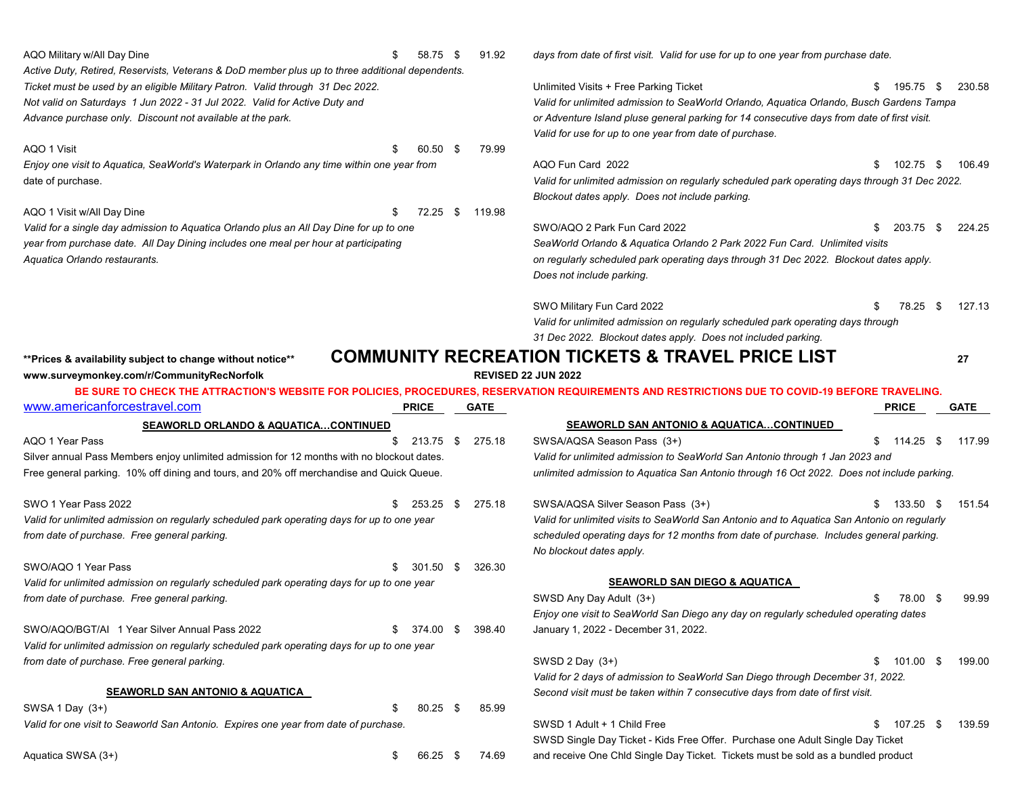| AQO Military w/All Day Dine<br>58.75<br>- \$                                                    | 91.92<br>days from date of first visit. Valid for use for up to one year from purchase date.                                                    |
|-------------------------------------------------------------------------------------------------|-------------------------------------------------------------------------------------------------------------------------------------------------|
| Active Duty, Retired, Reservists, Veterans & DoD member plus up to three additional dependents. |                                                                                                                                                 |
| Ticket must be used by an eligible Military Patron. Valid through 31 Dec 2022.                  | Unlimited Visits + Free Parking Ticket<br>\$<br>195.75 \$<br>230.58                                                                             |
| Not valid on Saturdays 1 Jun 2022 - 31 Jul 2022. Valid for Active Duty and                      | Valid for unlimited admission to SeaWorld Orlando, Aquatica Orlando, Busch Gardens Tampa                                                        |
| Advance purchase only. Discount not available at the park.                                      | or Adventure Island pluse general parking for 14 consecutive days from date of first visit.                                                     |
|                                                                                                 | Valid for use for up to one year from date of purchase.                                                                                         |
| AQO 1 Visit<br>60.50 \$                                                                         | 79.99                                                                                                                                           |
| Enjoy one visit to Aquatica, SeaWorld's Waterpark in Orlando any time within one year from      | AQO Fun Card 2022<br>\$<br>102.75 \$<br>106.49                                                                                                  |
| date of purchase.                                                                               | Valid for unlimited admission on regularly scheduled park operating days through 31 Dec 2022.                                                   |
|                                                                                                 | Blockout dates apply. Does not include parking.                                                                                                 |
| AQO 1 Visit w/All Day Dine<br>72.25<br>- \$                                                     | 119.98                                                                                                                                          |
| Valid for a single day admission to Aquatica Orlando plus an All Day Dine for up to one         | SWO/AQO 2 Park Fun Card 2022<br>\$<br>203.75 \$<br>224.25                                                                                       |
| year from purchase date. All Day Dining includes one meal per hour at participating             | SeaWorld Orlando & Aquatica Orlando 2 Park 2022 Fun Card. Unlimited visits                                                                      |
| Aquatica Orlando restaurants.                                                                   | on regularly scheduled park operating days through 31 Dec 2022. Blockout dates apply.                                                           |
|                                                                                                 | Does not include parking.                                                                                                                       |
|                                                                                                 | 127.13<br>SWO Military Fun Card 2022<br>\$<br>78.25 \$                                                                                          |
|                                                                                                 | Valid for unlimited admission on regularly scheduled park operating days through                                                                |
|                                                                                                 | 31 Dec 2022. Blockout dates apply. Does not included parking.                                                                                   |
|                                                                                                 | <b>COMMUNITY RECREATION TICKETS &amp; TRAVEL PRICE LIST</b>                                                                                     |
| ** Prices & availability subject to change without notice**                                     | 27<br><b>REVISED 22 JUN 2022</b>                                                                                                                |
| www.surveymonkey.com/r/CommunityRecNorfolk                                                      | BE SURE TO CHECK THE ATTRACTION'S WEBSITE FOR POLICIES, PROCEDURES, RESERVATION REQUIREMENTS AND RESTRICTIONS DUE TO COVID-19 BEFORE TRAVELING. |
| www.americanforcestravel.com<br><b>PRICE</b>                                                    | <b>GATE</b><br><b>PRICE</b><br><b>GATE</b>                                                                                                      |
|                                                                                                 |                                                                                                                                                 |
|                                                                                                 |                                                                                                                                                 |
| SEAWORLD ORLANDO & AQUATICACONTINUED                                                            | SEAWORLD SAN ANTONIO & AQUATICACONTINUED                                                                                                        |
| AQO 1 Year Pass<br>213.75 \$<br>\$                                                              | SWSA/AQSA Season Pass (3+)<br>275.18<br>\$<br>114.25<br>117.99<br>- \$                                                                          |
| Silver annual Pass Members enjoy unlimited admission for 12 months with no blockout dates.      | Valid for unlimited admission to SeaWorld San Antonio through 1 Jan 2023 and                                                                    |
| Free general parking. 10% off dining and tours, and 20% off merchandise and Quick Queue.        | unlimited admission to Aquatica San Antonio through 16 Oct 2022. Does not include parking.                                                      |
| SWO 1 Year Pass 2022<br>253.25<br>- \$                                                          | 275.18<br>SWSA/AQSA Silver Season Pass (3+)<br>133.50<br>151.54<br>- \$                                                                         |
| Valid for unlimited admission on regularly scheduled park operating days for up to one year     | Valid for unlimited visits to SeaWorld San Antonio and to Aquatica San Antonio on regularly                                                     |
| from date of purchase. Free general parking.                                                    | scheduled operating days for 12 months from date of purchase. Includes general parking.                                                         |
|                                                                                                 | No blockout dates apply.                                                                                                                        |
| SWO/AQO 1 Year Pass<br>$301.50$ \$                                                              | 326.30                                                                                                                                          |
| Valid for unlimited admission on regularly scheduled park operating days for up to one year     | <b>SEAWORLD SAN DIEGO &amp; AQUATICA</b>                                                                                                        |
| from date of purchase. Free general parking.                                                    | SWSD Any Day Adult (3+)<br>\$.<br>78.00<br>99.99<br>- \$                                                                                        |
|                                                                                                 | Enjoy one visit to SeaWorld San Diego any day on regularly scheduled operating dates                                                            |
| SWO/AQO/BGT/AI 1 Year Silver Annual Pass 2022<br>374.00 \$<br>S.                                | 398.40<br>January 1, 2022 - December 31, 2022.                                                                                                  |
| Valid for unlimited admission on regularly scheduled park operating days for up to one year     |                                                                                                                                                 |
| from date of purchase. Free general parking.                                                    | SWSD 2 Day (3+)<br>\$<br>101.00 \$<br>199.00                                                                                                    |
|                                                                                                 | Valid for 2 days of admission to SeaWorld San Diego through December 31, 2022.                                                                  |
| <b>SEAWORLD SAN ANTONIO &amp; AQUATICA</b>                                                      | Second visit must be taken within 7 consecutive days from date of first visit.                                                                  |
| SWSA 1 Day (3+)<br>$80.25$ \$                                                                   | 85.99                                                                                                                                           |
| Valid for one visit to Seaworld San Antonio. Expires one year from date of purchase.            | SWSD 1 Adult + 1 Child Free<br>\$<br>139.59<br>107.25<br>-S                                                                                     |
|                                                                                                 | SWSD Single Day Ticket - Kids Free Offer. Purchase one Adult Single Day Ticket                                                                  |
| Aquatica SWSA (3+)<br>66.25 \$<br>\$                                                            | and receive One Chld Single Day Ticket. Tickets must be sold as a bundled product<br>74.69                                                      |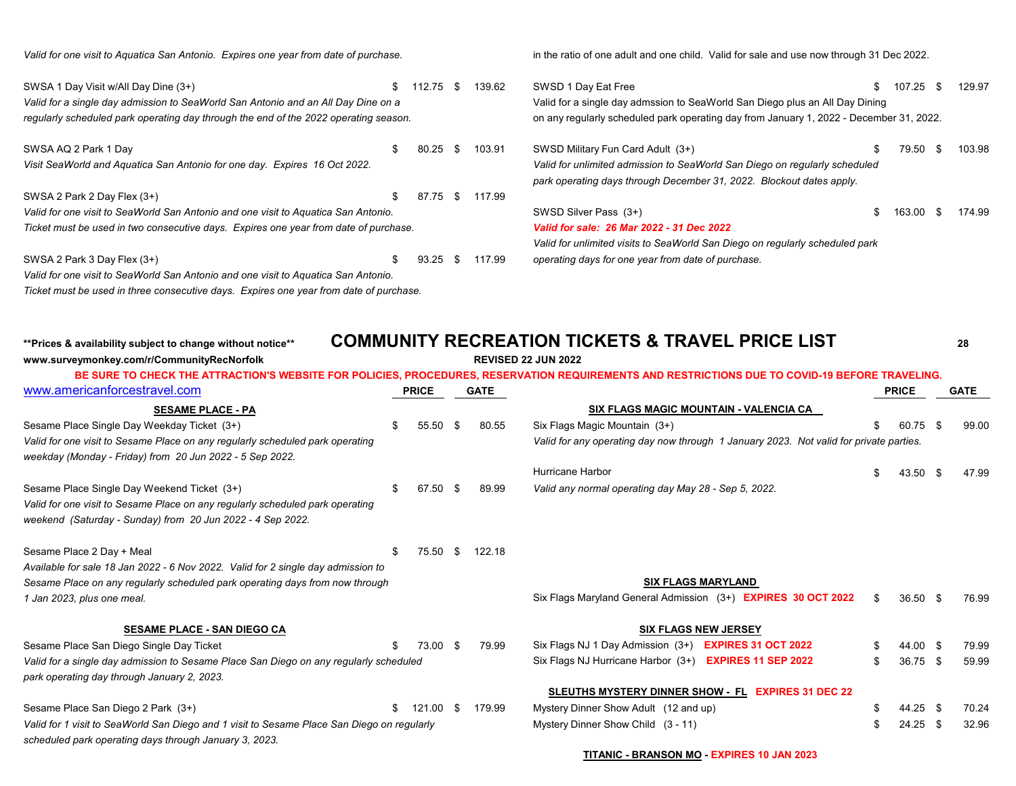*Valid for one visit to Aquatica San Antonio. Expires one year from date of purchase.* in the ratio of one adult and one child. Valid for sale and use now through 31 Dec 2022.

| SWSA 1 Day Visit w/All Day Dine (3+)                                                   |    | 112.75                                                                       | - \$                                                                                    | 139.62 | SWSD 1 Day Eat Free                                                          |  | 107.25 |     | 129.97 |  |
|----------------------------------------------------------------------------------------|----|------------------------------------------------------------------------------|-----------------------------------------------------------------------------------------|--------|------------------------------------------------------------------------------|--|--------|-----|--------|--|
| Valid for a single day admission to SeaWorld San Antonio and an All Day Dine on a      |    | Valid for a single day admssion to SeaWorld San Diego plus an All Day Dining |                                                                                         |        |                                                                              |  |        |     |        |  |
| regularly scheduled park operating day through the end of the 2022 operating season.   |    |                                                                              | on any regularly scheduled park operating day from January 1, 2022 - December 31, 2022. |        |                                                                              |  |        |     |        |  |
| SWSA AQ 2 Park 1 Day                                                                   | £. | 80.25                                                                        | - \$                                                                                    | 103.91 | SWSD Military Fun Card Adult (3+)                                            |  | 79.50  | \$. | 103.98 |  |
| Visit SeaWorld and Aquatica San Antonio for one day. Expires 16 Oct 2022.              |    |                                                                              |                                                                                         |        | Valid for unlimited admission to SeaWorld San Diego on regularly scheduled   |  |        |     |        |  |
|                                                                                        |    |                                                                              |                                                                                         |        | park operating days through December 31, 2022. Blockout dates apply.         |  |        |     |        |  |
| SWSA 2 Park 2 Day Flex (3+)                                                            | £. | 87.75                                                                        | - S                                                                                     | 117.99 |                                                                              |  |        |     |        |  |
| Valid for one visit to SeaWorld San Antonio and one visit to Aquatica San Antonio.     |    |                                                                              |                                                                                         |        | SWSD Silver Pass (3+)                                                        |  | 163.00 | -86 | 174.99 |  |
| Ticket must be used in two consecutive days. Expires one year from date of purchase.   |    |                                                                              |                                                                                         |        | Valid for sale: 26 Mar 2022 - 31 Dec 2022                                    |  |        |     |        |  |
|                                                                                        |    |                                                                              |                                                                                         |        | Valid for unlimited visits to SeaWorld San Diego on regularly scheduled park |  |        |     |        |  |
| SWSA 2 Park 3 Day Flex (3+)                                                            | \$ | 93.25                                                                        | - \$                                                                                    | 117.99 | operating days for one year from date of purchase.                           |  |        |     |        |  |
| Valid for one visit to SeaWorld San Antonio and one visit to Aguatica San Antonio.     |    |                                                                              |                                                                                         |        |                                                                              |  |        |     |        |  |
| Ticket must be used in three consecutive days. Expires one year from date of purchase. |    |                                                                              |                                                                                         |        |                                                                              |  |        |     |        |  |

**\*\*Prices & availability subject to change without notice\*\* COMMUNITY RECREATION TICKETS & TRAVEL PRICE LIST <sup>28</sup>**

| www.surveymonkey.com/r/CommunityRecNorfolk                                                 |    |              |             |        | <b>REVISED 22 JUN 2022</b>                                                                                                                      |              |      |             |
|--------------------------------------------------------------------------------------------|----|--------------|-------------|--------|-------------------------------------------------------------------------------------------------------------------------------------------------|--------------|------|-------------|
|                                                                                            |    |              |             |        | BE SURE TO CHECK THE ATTRACTION'S WEBSITE FOR POLICIES, PROCEDURES, RESERVATION REQUIREMENTS AND RESTRICTIONS DUE TO COVID-19 BEFORE TRAVELING. |              |      |             |
| www.americanforcestravel.com                                                               |    | <b>PRICE</b> | <b>GATE</b> |        |                                                                                                                                                 | <b>PRICE</b> |      | <b>GATE</b> |
| <b>SESAME PLACE - PA</b>                                                                   |    |              |             |        | SIX FLAGS MAGIC MOUNTAIN - VALENCIA CA                                                                                                          |              |      |             |
| Sesame Place Single Day Weekday Ticket (3+)                                                | £. | 55.50        | -86         | 80.55  | Six Flags Magic Mountain (3+)                                                                                                                   | 60.75        | -\$  | 99.00       |
| Valid for one visit to Sesame Place on any regularly scheduled park operating              |    |              |             |        | Valid for any operating day now through 1 January 2023. Not valid for private parties.                                                          |              |      |             |
| weekday (Monday - Friday) from 20 Jun 2022 - 5 Sep 2022.                                   |    |              |             |        |                                                                                                                                                 |              |      |             |
|                                                                                            |    |              |             |        | Hurricane Harbor                                                                                                                                | 43.50        | - \$ | 47.99       |
| Sesame Place Single Day Weekend Ticket (3+)                                                |    | 67.50        | - \$        | 89.99  | Valid any normal operating day May 28 - Sep 5, 2022.                                                                                            |              |      |             |
| Valid for one visit to Sesame Place on any regularly scheduled park operating              |    |              |             |        |                                                                                                                                                 |              |      |             |
| weekend (Saturday - Sunday) from 20 Jun 2022 - 4 Sep 2022.                                 |    |              |             |        |                                                                                                                                                 |              |      |             |
| Sesame Place 2 Day + Meal                                                                  |    | 75.50        | -S          | 122.18 |                                                                                                                                                 |              |      |             |
| Available for sale 18 Jan 2022 - 6 Nov 2022. Valid for 2 single day admission to           |    |              |             |        |                                                                                                                                                 |              |      |             |
| Sesame Place on any regularly scheduled park operating days from now through               |    |              |             |        | <b>SIX FLAGS MARYLAND</b>                                                                                                                       |              |      |             |
| 1 Jan 2023, plus one meal.                                                                 |    |              |             |        | Six Flags Maryland General Admission (3+) EXPIRES 30 OCT 2022                                                                                   | $36.50$ \$   |      | 76.99       |
| <b>SESAME PLACE - SAN DIEGO CA</b>                                                         |    |              |             |        | <b>SIX FLAGS NEW JERSEY</b>                                                                                                                     |              |      |             |
| Sesame Place San Diego Single Day Ticket                                                   |    | 73.00 \$     |             | 79.99  | Six Flags NJ 1 Day Admission (3+) EXPIRES 31 OCT 2022                                                                                           | 44.00 \$     |      | 79.99       |
| Valid for a single day admission to Sesame Place San Diego on any regularly scheduled      |    |              |             |        | Six Flags NJ Hurricane Harbor (3+)<br><b>EXPIRES 11 SEP 2022</b>                                                                                | 36.75        | - \$ | 59.99       |
| park operating day through January 2, 2023.                                                |    |              |             |        |                                                                                                                                                 |              |      |             |
|                                                                                            |    |              |             |        | SLEUTHS MYSTERY DINNER SHOW - FL EXPIRES 31 DEC 22                                                                                              |              |      |             |
| Sesame Place San Diego 2 Park (3+)                                                         |    | 121.00 \$    |             | 179.99 | Mystery Dinner Show Adult (12 and up)                                                                                                           | 44.25 \$     |      | 70.24       |
| Valid for 1 visit to SeaWorld San Diego and 1 visit to Sesame Place San Diego on regularly |    |              |             |        | Mystery Dinner Show Child (3 - 11)                                                                                                              | 24.25        | -\$  | 32.96       |
| scheduled park operating days through January 3, 2023.                                     |    |              |             |        |                                                                                                                                                 |              |      |             |
|                                                                                            |    |              |             |        | <b>TITANIC - BRANSON MO - EXPIRES 10 JAN 2023</b>                                                                                               |              |      |             |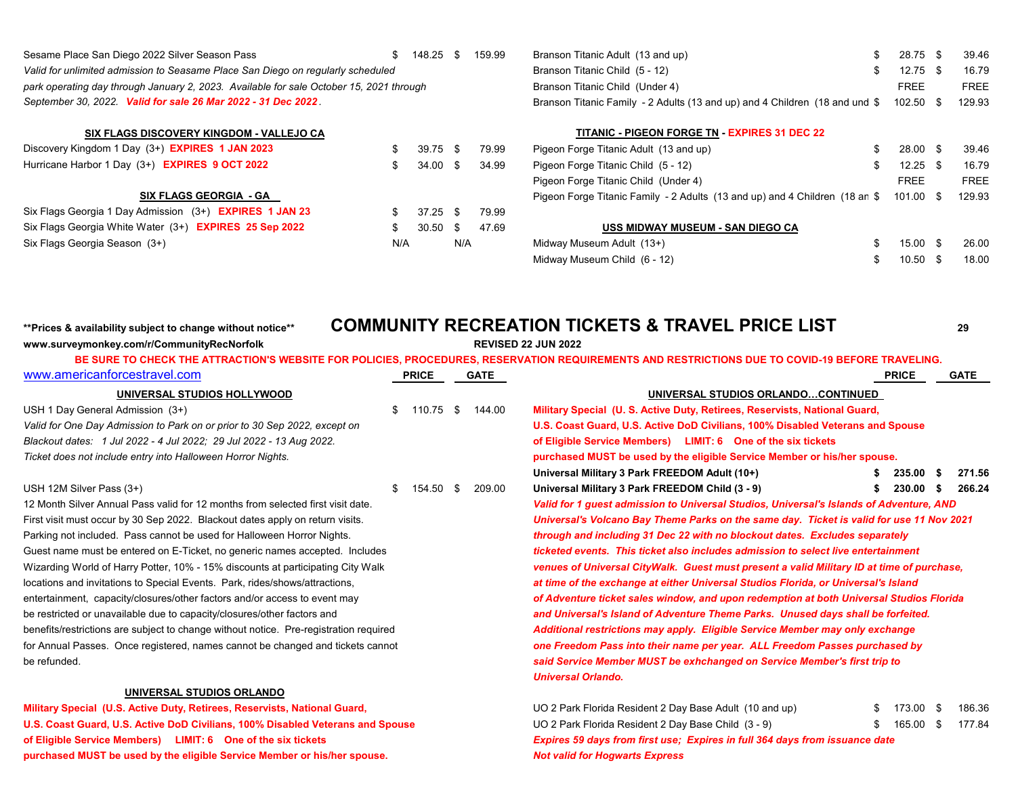| Sesame Place San Diego 2022 Silver Season Pass                                          | 148.25 |  | 159.99 | Branson Titanic Adult (13 and up)                                           | 28.75       | 39.46       |
|-----------------------------------------------------------------------------------------|--------|--|--------|-----------------------------------------------------------------------------|-------------|-------------|
| Valid for unlimited admission to Seasame Place San Diego on regularly scheduled         |        |  |        | Branson Titanic Child (5 - 12)                                              | 12.75       | 16.79       |
| park operating day through January 2, 2023. Available for sale October 15, 2021 through |        |  |        | Branson Titanic Child (Under 4)                                             | <b>FREE</b> | <b>FREE</b> |
| September 30, 2022. Valid for sale 26 Mar 2022 - 31 Dec 2022.                           |        |  |        | Branson Titanic Family - 2 Adults (13 and up) and 4 Children (18 and und \$ | 102.50      | 129.93      |

| Branson Titanic Adult (13 and up)                                                            | - SS |                   | 28.75 \$ 39.46 |
|----------------------------------------------------------------------------------------------|------|-------------------|----------------|
| Branson Titanic Child (5 - 12)                                                               |      | \$ 12.75 \$ 16.79 |                |
| Branson Titanic Child (Under 4)                                                              |      | FRFF              | <b>FREE</b>    |
| Branson Titanic Family - 2 Adults (13 and up) and 4 Children (18 and und \$ 102.50 \$ 129.93 |      |                   |                |

| SIX FLAGS DISCOVERY KINGDOM - VALLEJO CA                       |     |            |     |       | <b>TITANIC - PIGEON FORGE TN - EXPIRES 31 DEC 22</b>                        |                     |             |
|----------------------------------------------------------------|-----|------------|-----|-------|-----------------------------------------------------------------------------|---------------------|-------------|
| Discovery Kingdom 1 Day (3+) <b>EXPIRES 1 JAN 2023</b>         |     | $39.75$ \$ |     | 79.99 | Pigeon Forge Titanic Adult (13 and up)                                      | $28.00$ \$          | 39.46       |
| Hurricane Harbor 1 Day (3+) EXPIRES 9 OCT 2022                 |     | $34.00$ \$ |     | 34.99 | Pigeon Forge Titanic Child (5 - 12)                                         | $12.25$ \$          | 16.79       |
|                                                                |     |            |     |       | Pigeon Forge Titanic Child (Under 4)                                        | <b>FREE</b>         | <b>FREE</b> |
| <b>SIX FLAGS GEORGIA - GA</b>                                  |     |            |     |       | Pigeon Forge Titanic Family - 2 Adults (13 and up) and 4 Children (18 an \$ | 101.00 \$           | 129.93      |
| Six Flags Georgia 1 Day Admission (3+) <b>EXPIRES 1 JAN 23</b> |     | $37.25$ \$ |     | 79.99 |                                                                             |                     |             |
| Six Flags Georgia White Water (3+) EXPIRES 25 Sep 2022         |     | $30.50$ \$ |     | 47.69 | USS MIDWAY MUSEUM - SAN DIEGO CA                                            |                     |             |
| Six Flags Georgia Season (3+)                                  | N/A |            | N/A |       | Midway Museum Adult (13+)                                                   | $15.00 \text{ }$ \$ | 26.00       |

### **SIX FLAGS DISCOVERY KINGDOM - VALLEJO CA TITANIC - PIGEON FORGE TN - EXPIRES 31 DEC 22**

| (3+) <b>EXPIRES 1 JAN 2023</b> | 39.75 \$ | 79.99 | Pigeon Forge Titanic Adult (13 and up)                                                       | 28.00 \$ | 39.46       |
|--------------------------------|----------|-------|----------------------------------------------------------------------------------------------|----------|-------------|
| 3+) <b>EXPIRES 9 OCT 2022</b>  | 34.00 \$ | 34.99 | Pigeon Forge Titanic Child (5 - 12)                                                          | 12.25 \$ | 16.79       |
|                                |          |       | Pigeon Forge Titanic Child (Under 4)                                                         | FREE     | <b>FREE</b> |
| SIX FLAGS GEORGIA  - GA        |          |       | Pigeon Forge Titanic Family - 2 Adults (13 and up) and 4 Children (18 an \$ 101.00 \$ 129.93 |          |             |

| USS MIDWAY MUSEUM - SAN DIEGO CA |  |                |
|----------------------------------|--|----------------|
| Midway Museum Adult (13+)        |  | 15.00 \$ 26.00 |
| Midway Museum Child (6 - 12)     |  | 10.50 \$ 18.00 |

# **\*\*Prices & availability subject to change without notice\*\* COMMUNITY RECREATION TICKETS & TRAVEL PRICE LIST <sup>29</sup>**

| www.surveymonkey.com/r/CommunityRecNorfolk                                            |    |              |             | <b>REVISED 22 JUN 2022</b>                                                                                                                      |   |              |      |             |
|---------------------------------------------------------------------------------------|----|--------------|-------------|-------------------------------------------------------------------------------------------------------------------------------------------------|---|--------------|------|-------------|
|                                                                                       |    |              |             | BE SURE TO CHECK THE ATTRACTION'S WEBSITE FOR POLICIES, PROCEDURES, RESERVATION REQUIREMENTS AND RESTRICTIONS DUE TO COVID-19 BEFORE TRAVELING. |   |              |      |             |
| www.americanforcestravel.com                                                          |    | <b>PRICE</b> | <b>GATE</b> |                                                                                                                                                 |   | <b>PRICE</b> |      | <b>GATE</b> |
| UNIVERSAL STUDIOS HOLLYWOOD                                                           |    |              |             | UNIVERSAL STUDIOS ORLANDOCONTINUED                                                                                                              |   |              |      |             |
| USH 1 Day General Admission (3+)                                                      |    | 110.75 \$    | 144.00      | Military Special (U. S. Active Duty, Retirees, Reservists, National Guard,                                                                      |   |              |      |             |
| Valid for One Day Admission to Park on or prior to 30 Sep 2022, except on             |    |              |             | U.S. Coast Guard, U.S. Active DoD Civilians, 100% Disabled Veterans and Spouse                                                                  |   |              |      |             |
| Blackout dates: 1 Jul 2022 - 4 Jul 2022; 29 Jul 2022 - 13 Aug 2022.                   |    |              |             | of Eligible Service Members) LIMIT: 6 One of the six tickets                                                                                    |   |              |      |             |
| Ticket does not include entry into Halloween Horror Nights.                           |    |              |             | purchased MUST be used by the eligible Service Member or his/her spouse.                                                                        |   |              |      |             |
|                                                                                       |    |              |             | Universal Military 3 Park FREEDOM Adult (10+)                                                                                                   |   | 235.00       | - \$ | 271.56      |
| USH 12M Silver Pass (3+)                                                              | S. | 154.50 \$    | 209.00      | Universal Military 3 Park FREEDOM Child (3 - 9)                                                                                                 |   | 230.00       |      | 266.24      |
| 12 Month Silver Annual Pass valid for 12 months from selected first visit date.       |    |              |             | Valid for 1 guest admission to Universal Studios, Universal's Islands of Adventure, AND                                                         |   |              |      |             |
| First visit must occur by 30 Sep 2022. Blackout dates apply on return visits.         |    |              |             | Universal's Volcano Bay Theme Parks on the same day. Ticket is valid for use 11 Nov 2021                                                        |   |              |      |             |
| Parking not included. Pass cannot be used for Halloween Horror Nights.                |    |              |             | through and including 31 Dec 22 with no blockout dates. Excludes separately                                                                     |   |              |      |             |
| Guest name must be entered on E-Ticket, no generic names accepted. Includes           |    |              |             | ticketed events. This ticket also includes admission to select live entertainment                                                               |   |              |      |             |
| Wizarding World of Harry Potter, 10% - 15% discounts at participating City Walk       |    |              |             | venues of Universal CityWalk. Guest must present a valid Military ID at time of purchase,                                                       |   |              |      |             |
| locations and invitations to Special Events. Park, rides/shows/attractions,           |    |              |             | at time of the exchange at either Universal Studios Florida, or Universal's Island                                                              |   |              |      |             |
| entertainment, capacity/closures/other factors and/or access to event may             |    |              |             | of Adventure ticket sales window, and upon redemption at both Universal Studios Florida                                                         |   |              |      |             |
| be restricted or unavailable due to capacity/closures/other factors and               |    |              |             | and Universal's Island of Adventure Theme Parks. Unused days shall be forfeited.                                                                |   |              |      |             |
| benefits/restrictions are subject to change without notice. Pre-registration required |    |              |             | Additional restrictions may apply. Eligible Service Member may only exchange                                                                    |   |              |      |             |
| for Annual Passes. Once registered, names cannot be changed and tickets cannot        |    |              |             | one Freedom Pass into their name per year. ALL Freedom Passes purchased by                                                                      |   |              |      |             |
| be refunded.                                                                          |    |              |             | said Service Member MUST be exhchanged on Service Member's first trip to                                                                        |   |              |      |             |
|                                                                                       |    |              |             | <b>Universal Orlando.</b>                                                                                                                       |   |              |      |             |
| UNIVERSAL STUDIOS ORLANDO                                                             |    |              |             |                                                                                                                                                 |   |              |      |             |
| Military Special (U.S. Active Duty, Retirees, Reservists, National Guard,             |    |              |             | UO 2 Park Florida Resident 2 Day Base Adult (10 and up)                                                                                         | S | 173.00       | - \$ | 186.36      |

## U.S. Coast Guard, U.S. Active DoD Civilians, 100% Disabled Veterans and Spouse UO 2 Park Florida Resident 2 Day Base Child (3 - 9) \$ 165.00 \$ 177.84 **of Eligible Service Members) LIMIT: 6 One of the six tickets** *Expires 59 days from first use; Expires in full 364 days from issuance date* **purchased MUST be used by the eligible Service Member or his/her spouse.** *Not valid for Hogwarts Express*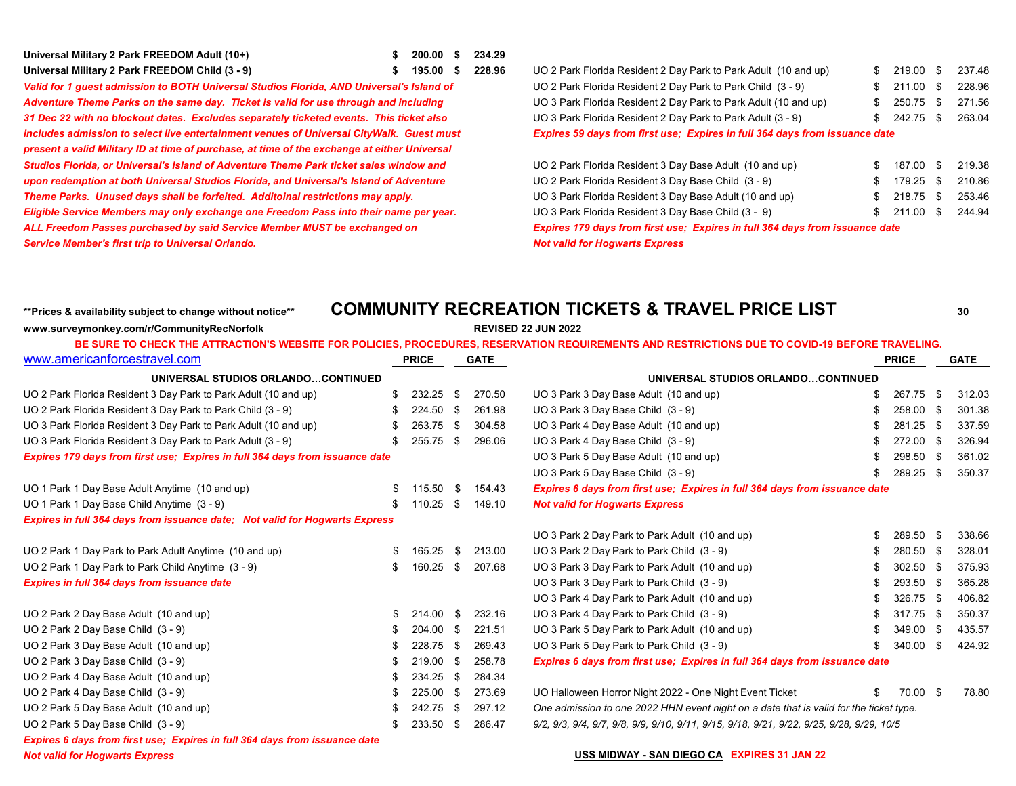| Universal Military 2 Park FREEDOM Adult (10+)   | \$ 200.00 \$ 234.29 |  |
|-------------------------------------------------|---------------------|--|
| Universal Military 2 Park FREEDOM Child (3 - 9) | \$ 195.00 \$ 228.96 |  |

*includes admission to select live entertainment venues of Universal CityWalk. Guest must Expires 59 days from first use; Expires in full 364 days from issuance date present a valid Military ID at time of purchase, at time of the exchange at either Universal Studios Florida, or Universal's Island of Adventure Theme Park ticket sales window and upon redemption at both Universal Studios Florida, and Universal's Island of Adventure Theme Parks. Unused days shall be forfeited. Additoinal restrictions may apply. Eligible Service Members may only exchange one Freedom Pass into their name per year.* ALL Freedom Passes purchased by said Service Member MUST be exchanged on *Service Member's first trip to Universal Orlando. Not valid for Hogwarts Express*

## **Universal Military 2 Park FREEDOM Child (3 - 9) \$ 195.00 \$ 228.96** UO 2 Park Florida Resident 2 Day Park to Park Adult (10 and up) \$ 219.00 \$ 237.48 Valid for 1 guest admission to BOTH Universal Studios Florida, AND Universal's Island of UO 2 Park Florida Resident 2 Day Park to Park Child (3 - 9) \$ 211.00 \$ 228.96 Adventure Theme Parks on the same day. Ticket is valid for use through and including UO 3 Park Florida Resident 2 Day Park to Park Adult (10 and up) \$ 250.75 \$ 271.56 31 Dec 22 with no blockout dates. Excludes separately ticketed events. This ticket also UO 3 Park Florida Resident 2 Day Park to Park Adult (3 - 9) \$ 242.75 \$ 263.04

| UO 2 Park Florida Resident 3 Day Base Adult (10 and up)                             | S. | 187.00 \$ 219.38 |  |        |  |  |  |  |  |  |
|-------------------------------------------------------------------------------------|----|------------------|--|--------|--|--|--|--|--|--|
| UO 2 Park Florida Resident 3 Day Base Child (3 - 9)                                 |    | $$179.25$ \$     |  | 210.86 |  |  |  |  |  |  |
| UO 3 Park Florida Resident 3 Day Base Adult (10 and up)                             |    | $$218.75$ \$     |  | 253.46 |  |  |  |  |  |  |
| UO 3 Park Florida Resident 3 Day Base Child (3 - 9)                                 |    | $$211.00$ \$     |  | 244.94 |  |  |  |  |  |  |
| <b>Expires 179 days from first use: Expires in full 364 days from issuance date</b> |    |                  |  |        |  |  |  |  |  |  |
| Alaksadid fan Hammanka Fonnaar                                                      |    |                  |  |        |  |  |  |  |  |  |

### **\*\*Prices & availability subject to change without notice\*\* COMMUNITY RECREATION TICKETS & TRAVEL PRICE LIST <sup>30</sup> www.surveymonkey.com/r/CommunityRecNorfolk REVISED 22 JUN 2022**

| www.americanforcestravel.com                                                        | <b>PRICE</b> |        | <b>GATE</b> |        |                                                                                          | <b>PRICE</b> |           | <b>GATE</b> |        |
|-------------------------------------------------------------------------------------|--------------|--------|-------------|--------|------------------------------------------------------------------------------------------|--------------|-----------|-------------|--------|
| UNIVERSAL STUDIOS ORLANDOCONTINUED                                                  |              |        |             |        | UNIVERSAL STUDIOS ORLANDOCONTINUED                                                       |              |           |             |        |
| UO 2 Park Florida Resident 3 Day Park to Park Adult (10 and up)                     |              | 232.25 | \$          | 270.50 | UO 3 Park 3 Day Base Adult (10 and up)                                                   |              | 267.75    | -\$         | 312.03 |
| UO 2 Park Florida Resident 3 Day Park to Park Child (3 - 9)                         |              | 224.50 | -\$         | 261.98 | UO 3 Park 3 Day Base Child (3 - 9)                                                       |              | 258.00    | -\$         | 301.38 |
| UO 3 Park Florida Resident 3 Day Park to Park Adult (10 and up)                     | -96          | 263.75 | \$          | 304.58 | UO 3 Park 4 Day Base Adult (10 and up)                                                   |              | 281.25    | -\$         | 337.59 |
| UO 3 Park Florida Resident 3 Day Park to Park Adult (3 - 9)                         |              | 255.75 | -\$         | 296.06 | UO 3 Park 4 Day Base Child (3 - 9)                                                       |              | 272.00 \$ |             | 326.94 |
| <b>Expires 179 days from first use; Expires in full 364 days from issuance date</b> |              |        |             |        | UO 3 Park 5 Day Base Adult (10 and up)                                                   |              | 298.50 \$ |             | 361.02 |
|                                                                                     |              |        |             |        | UO 3 Park 5 Day Base Child (3 - 9)                                                       |              | 289.25 \$ |             | 350.37 |
| UO 1 Park 1 Day Base Adult Anytime (10 and up)                                      |              | 115.50 | -\$         | 154.43 | Expires 6 days from first use; Expires in full 364 days from issuance date               |              |           |             |        |
| UO 1 Park 1 Day Base Child Anytime (3 - 9)                                          |              | 110.25 | - \$        | 149.10 | <b>Not valid for Hogwarts Express</b>                                                    |              |           |             |        |
| Expires in full 364 days from issuance date; Not valid for Hogwarts Express         |              |        |             |        |                                                                                          |              |           |             |        |
|                                                                                     |              |        |             |        | UO 3 Park 2 Day Park to Park Adult (10 and up)                                           |              | 289.50    | -\$         | 338.66 |
| UO 2 Park 1 Day Park to Park Adult Anytime (10 and up)                              |              | 165.25 | \$          | 213.00 | UO 3 Park 2 Day Park to Park Child (3 - 9)                                               |              | 280.50    | - \$        | 328.01 |
| UO 2 Park 1 Day Park to Park Child Anytime (3 - 9)                                  | S            | 160.25 | -\$         | 207.68 | UO 3 Park 3 Day Park to Park Adult (10 and up)                                           |              | 302.50    | - \$        | 375.93 |
| <b>Expires in full 364 days from issuance date</b>                                  |              |        |             |        | UO 3 Park 3 Day Park to Park Child (3 - 9)                                               |              | 293.50 \$ |             | 365.28 |
|                                                                                     |              |        |             |        | UO 3 Park 4 Day Park to Park Adult (10 and up)                                           |              | 326.75    | - \$        | 406.82 |
| UO 2 Park 2 Day Base Adult (10 and up)                                              | \$.          | 214.00 | -\$         | 232.16 | UO 3 Park 4 Day Park to Park Child (3 - 9)                                               |              | 317.75    | - \$        | 350.37 |
| UO 2 Park 2 Day Base Child (3 - 9)                                                  |              | 204.00 | \$          | 221.51 | UO 3 Park 5 Day Park to Park Adult (10 and up)                                           |              | 349.00    | - \$        | 435.57 |
| UO 2 Park 3 Day Base Adult (10 and up)                                              | -96          | 228.75 | - \$        | 269.43 | UO 3 Park 5 Day Park to Park Child (3 - 9)                                               |              | 340.00    | -\$         | 424.92 |
| UO 2 Park 3 Day Base Child (3 - 9)                                                  |              | 219.00 | - \$        | 258.78 | Expires 6 days from first use; Expires in full 364 days from issuance date               |              |           |             |        |
| UO 2 Park 4 Day Base Adult (10 and up)                                              |              | 234.25 | - \$        | 284.34 |                                                                                          |              |           |             |        |
| UO 2 Park 4 Day Base Child (3 - 9)                                                  |              | 225.00 | - \$        | 273.69 | UO Halloween Horror Night 2022 - One Night Event Ticket                                  |              | 70.00 \$  |             | 78.80  |
| UO 2 Park 5 Day Base Adult (10 and up)                                              |              | 242.75 | - \$        | 297.12 | One admission to one 2022 HHN event night on a date that is valid for the ticket type.   |              |           |             |        |
| UO 2 Park 5 Day Base Child (3 - 9)                                                  |              | 233.50 | - \$        | 286.47 | 9/2, 9/3, 9/4, 9/7, 9/8, 9/9, 9/10, 9/11, 9/15, 9/18, 9/21, 9/22, 9/25, 9/28, 9/29, 10/5 |              |           |             |        |
| Expires 6 days from first use; Expires in full 364 days from issuance date          |              |        |             |        |                                                                                          |              |           |             |        |

#### *Not valid for Hogwarts Express* **USS MIDWAY - SAN DIEGO CA EXPIRES 31 JAN 22**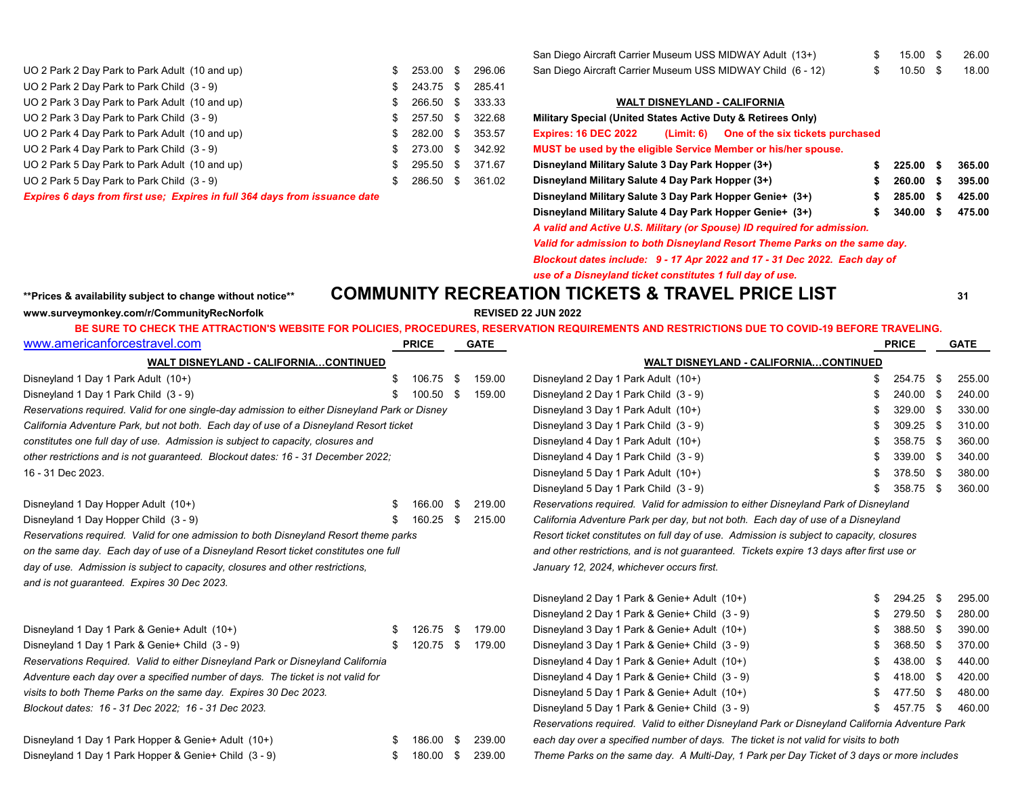| UO 2 Park 2 Day Park to Park Adult (10 and up) | San Diego Aircraft Carrier Museum USS MIDWAY Child (6 - 12)<br>296.06<br>$$253.00$ \$    |                                             | $10.50$ \$ | 18.00  |
|------------------------------------------------|------------------------------------------------------------------------------------------|---------------------------------------------|------------|--------|
| UO 2 Park 2 Day Park to Park Child (3 - 9)     | $$243.75$ \$<br>285.41                                                                   |                                             |            |        |
| UO 2 Park 3 Day Park to Park Adult (10 and up) | <b>WALT DISNEYLAND - CALIFORNIA</b><br>333.33<br>266.50 \$                               |                                             |            |        |
| UO 2 Park 3 Day Park to Park Child (3 - 9)     | Military Special (United States Active Duty & Retirees Only)<br>322.68<br>$$257.50$ \$   |                                             |            |        |
| UO 2 Park 4 Day Park to Park Adult (10 and up) | <b>Expires: 16 DEC 2022</b><br>353.57<br>$$282.00$ \$                                    | (Limit: 6) One of the six tickets purchased |            |        |
| UO 2 Park 4 Day Park to Park Child (3 - 9)     | MUST be used by the eligible Service Member or his/her spouse.<br>342.92<br>$$273.00$ \$ |                                             |            |        |
| UO 2 Park 5 Day Park to Park Adult (10 and up) | Disneyland Military Salute 3 Day Park Hopper (3+)<br>371.67<br>295.50 \$                 |                                             | 225.00     | 365.00 |
| UO 2 Park 5 Day Park to Park Child (3 - 9)     | Disneyland Military Salute 4 Day Park Hopper (3+)<br>361.02<br>286.50 \$                 |                                             | 260.00     | 395.00 |
|                                                |                                                                                          |                                             |            |        |

*Expires 6 days from first use; Expires in full 364 days from issuance date* **Alternate 3 A. 285.000 E.** 

| San Diego Aircraft Carrier Museum USS MIDWAY Adult (13+)    | 15.00 \$ | 26.00 |
|-------------------------------------------------------------|----------|-------|
| San Diego Aircraft Carrier Museum USS MIDWAY Child (6 - 12) | 10.50 \$ | 18.00 |

### **WALT DISNEYLAND - CALIFORNIA**

| Military Special (United States Active Duty & Retirees Only) |                                                                            |   |        |   |        |  |
|--------------------------------------------------------------|----------------------------------------------------------------------------|---|--------|---|--------|--|
| <b>Expires: 16 DEC 2022</b>                                  | (Limit: 6) One of the six tickets purchased                                |   |        |   |        |  |
|                                                              | MUST be used by the eligible Service Member or his/her spouse.             |   |        |   |        |  |
| Disneyland Military Salute 3 Day Park Hopper (3+)            |                                                                            | S | 225.00 | S | 365.00 |  |
| Disneyland Military Salute 4 Day Park Hopper (3+)            |                                                                            | S | 260.00 | S | 395.00 |  |
| Disneyland Military Salute 3 Day Park Hopper Genie+ (3+)     |                                                                            | S | 285.00 | S | 425.00 |  |
| Disneyland Military Salute 4 Day Park Hopper Genie+ (3+)     |                                                                            |   | 340.00 | S | 475.00 |  |
|                                                              | A valid and Active U.S. Military (or Spouse) ID required for admission.    |   |        |   |        |  |
|                                                              | Valid for admission to both Disneyland Resort Theme Parks on the same day. |   |        |   |        |  |
|                                                              | Blockout dates include: 9 - 17 Apr 2022 and 17 - 31 Dec 2022. Each day of  |   |        |   |        |  |

*use of a Disneyland ticket constitutes 1 full day of use.*

## **\*\*Prices & availability subject to change without notice\*\* COMMUNITY RECREATION TICKETS & TRAVEL PRICE LIST <sup>31</sup>**

**www.surveymonkey.com/r/CommunityRecNorfolk REVISED 22 JUN 2022**

|                                                                                               |                                       |              |                                                                                          |        | BE SURE TO CHECK THE ATTRACTION'S WEBSITE FOR POLICIES, PROCEDURES, RESERVATION REQUIREMENTS AND RESTRICTIONS DUE TO COVID-19 BEFORE TRAVELING. |     |              |      |        |
|-----------------------------------------------------------------------------------------------|---------------------------------------|--------------|------------------------------------------------------------------------------------------|--------|-------------------------------------------------------------------------------------------------------------------------------------------------|-----|--------------|------|--------|
| www.americanforcestravel.com                                                                  |                                       | <b>PRICE</b> |                                                                                          | GATE   |                                                                                                                                                 |     | <b>PRICE</b> |      | GATE   |
| <b>WALT DISNEYLAND - CALIFORNIACONTINUED</b>                                                  |                                       |              |                                                                                          |        | <b>WALT DISNEYLAND - CALIFORNIACONTINUED</b>                                                                                                    |     |              |      |        |
| Disneyland 1 Day 1 Park Adult (10+)                                                           | S.                                    | 106.75 \$    |                                                                                          | 159.00 | Disneyland 2 Day 1 Park Adult (10+)                                                                                                             | SS. | 254.75 \$    |      | 255.00 |
| Disneyland 1 Day 1 Park Child (3 - 9)                                                         |                                       | 100.50       | - \$                                                                                     | 159.00 | Disneyland 2 Day 1 Park Child (3 - 9)                                                                                                           | \$. | 240.00 \$    |      | 240.00 |
| Reservations required. Valid for one single-day admission to either Disneyland Park or Disney |                                       |              |                                                                                          |        | Disneyland 3 Day 1 Park Adult (10+)                                                                                                             | S.  | 329.00       | - \$ | 330.00 |
| California Adventure Park, but not both. Each day of use of a Disneyland Resort ticket        | Disneyland 3 Day 1 Park Child (3 - 9) | £.           | 309.25                                                                                   | - \$   | 310.00                                                                                                                                          |     |              |      |        |
| constitutes one full day of use. Admission is subject to capacity, closures and               |                                       |              |                                                                                          |        | Disneyland 4 Day 1 Park Adult (10+)                                                                                                             |     | 358.75 \$    |      | 360.00 |
| other restrictions and is not quaranteed. Blockout dates: 16 - 31 December 2022;              |                                       |              |                                                                                          |        | Disneyland 4 Day 1 Park Child (3 - 9)                                                                                                           | \$. | 339.00 \$    |      | 340.00 |
| 16 - 31 Dec 2023.                                                                             |                                       |              |                                                                                          |        | Disneyland 5 Day 1 Park Adult (10+)                                                                                                             | SS. | 378.50 \$    |      | 380.00 |
|                                                                                               |                                       |              |                                                                                          |        | Disneyland 5 Day 1 Park Child (3 - 9)                                                                                                           | SS. | 358.75 \$    |      | 360.00 |
| Disneyland 1 Day Hopper Adult (10+)                                                           |                                       | 166.00       | - \$                                                                                     | 219.00 | Reservations required. Valid for admission to either Disneyland Park of Disneyland                                                              |     |              |      |        |
| Disneyland 1 Day Hopper Child (3 - 9)                                                         | S.                                    | 160.25       | -S                                                                                       | 215.00 | California Adventure Park per day, but not both. Each day of use of a Disneyland                                                                |     |              |      |        |
| Reservations required. Valid for one admission to both Disnevland Resort theme parks          |                                       |              | Resort ticket constitutes on full day of use. Admission is subject to capacity, closures |        |                                                                                                                                                 |     |              |      |        |

*on the same day. Each day of use of a Disneyland Resort ticket constitutes one full and other restrictions, and is not guaranteed. Tickets expire 13 days after first use or* day of use. Admission is subject to capacity, closures and other restrictions, and the strictions of the strict of the strict of the strict of the strict occurs first.

*and is not guaranteed. Expires 30 Dec 2023.*

| Disneyland 1 Day 1 Park & Genie + Adult (10+)                                   | S. | 126.75 \$ | 179.00           |
|---------------------------------------------------------------------------------|----|-----------|------------------|
| Disneyland 1 Day 1 Park & Genie + Child (3 - 9)                                 | S  | 120.75 \$ | 179.00           |
| Reservations Required. Valid to either Disneyland Park or Disneyland California |    |           |                  |
| Adventure each day over a specified number of days. The ticket is not valid for |    |           |                  |
| visits to both Theme Parks on the same day. Expires 30 Dec 2023.                |    |           |                  |
| Blockout dates: 16 - 31 Dec 2022; 16 - 31 Dec 2023.                             |    |           |                  |
|                                                                                 |    |           |                  |
| Disneyland 1 Day 1 Park Honner & Genie+ Adult (10+)                             |    |           | 186.00 \$ 239.00 |

Disneyland 2 Day 1 Park & Genie+ Adult (10+) \$ 294.25 \$ 295.00 Disneyland 2 Day 1 Park & Genie+ Child (3 - 9) \$ 279.50 \$ 280.00 Disneyland 1 Day 1 Park & Genie+ Adult (10+) \$ 126.75 \$ 179.00 Disneyland 3 Day 1 Park & Genie+ Adult (10+) \$ 388.50 \$ 390.00 Disneyland 1 Day 1 Park & Genie+ Child (3 - 9) \$ 120.75 \$ 179.00 Disneyland 3 Day 1 Park & Genie+ Child (3 - 9) \$ 368.50 \$ 370.00 *Reservations Required. Valid to either Disneyland Park or Disneyland California* Disneyland 4 Day 1 Park & Genie+ Adult (10+) \$ 438.00 \$ 440.00 *Adventure each day over a specified number of days. The ticket is not valid for* Disneyland 4 Day 1 Park & Genie+ Child (3 - 9) \$ 418.00 \$ 420.00 *visits to both Theme Parks on the same day. Expires 30 Dec 2023.* Disneyland 5 Day 1 Park & Genie+ Adult (10+) \$ 477.50 \$ 480.00 *Blockout dates: 16 - 31 Dec 2022; 16 - 31 Dec 2023.* Disneyland 5 Day 1 Park & Genie+ Child (3 - 9) \$ 457.75 \$ 460.00 *Reservations required. Valid to either Disneyland Park or Disneyland California Adventure Park*

Disneyland 1 Day 1 Park Hopper & Genie+ Adult (10+) **\$** 186.00 \$ 239.00 *each day over a specified number of days. The ticket is not valid for visits to both* 

Disneyland 1 Day 1 Park Hopper & Genie+ Child (3 - 9) \$ 180.00 \$ 180.00 \$ 239.00 Theme Parks on the same day. A Multi-Day, 1 Park per Day Ticket of 3 days or more includes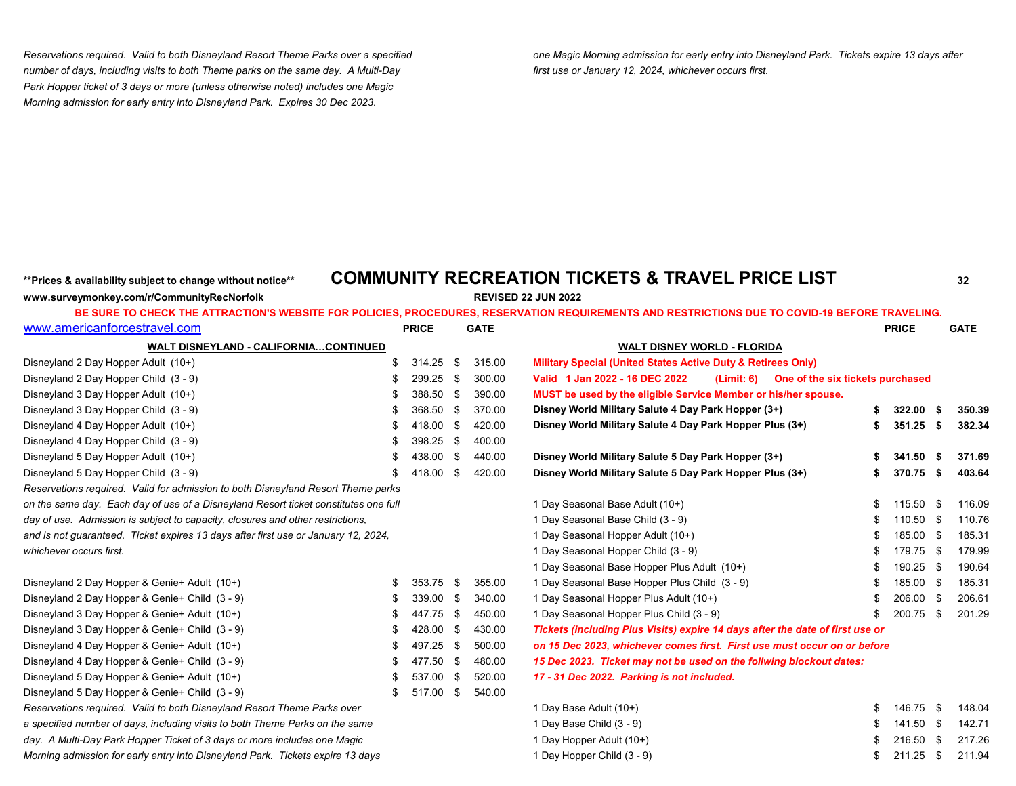*number of days, including visits to both Theme parks on the same day. A Multi-Day first use or January 12, 2024, whichever occurs first. Park Hopper ticket of 3 days or more (unless otherwise noted) includes one Magic Morning admission for early entry into Disneyland Park. Expires 30 Dec 2023.*

*Reservations required. Valid to both Disneyland Resort Theme Parks over a specified one Magic Morning admission for early entry into Disneyland Park. Tickets expire 13 days after*

# **\*\*Prices & availability subject to change without notice\*\* COMMUNITY RECREATION TICKETS & TRAVEL PRICE LIST <sup>32</sup>**

| www.surveymonkey.com/r/CommunityRecNorfolk |  |
|--------------------------------------------|--|
|                                            |  |

**REVISED 22 JUN 2022** 

| www.americanforcestravel.com                                                        |    | <b>PRICE</b> |      | <b>GATE</b> |                                                                               | <b>PRICE</b> |      | <b>GATE</b> |
|-------------------------------------------------------------------------------------|----|--------------|------|-------------|-------------------------------------------------------------------------------|--------------|------|-------------|
| <b>WALT DISNEYLAND - CALIFORNIACONTINUED</b>                                        |    |              |      |             | <b>WALT DISNEY WORLD - FLORIDA</b>                                            |              |      |             |
| Disneyland 2 Day Hopper Adult (10+)                                                 | \$ | 314.25       | \$   | 315.00      | <b>Military Special (United States Active Duty &amp; Retirees Only)</b>       |              |      |             |
| Disneyland 2 Day Hopper Child (3 - 9)                                               | S  | 299.25       | -\$  | 300.00      | Valid 1 Jan 2022 - 16 DEC 2022<br>(Limit: 6) One of the six tickets purchased |              |      |             |
| Disneyland 3 Day Hopper Adult (10+)                                                 |    | 388.50       | -\$  | 390.00      | MUST be used by the eligible Service Member or his/her spouse.                |              |      |             |
| Disneyland 3 Day Hopper Child (3 - 9)                                               |    | 368.50       | - \$ | 370.00      | Disney World Military Salute 4 Day Park Hopper (3+)                           | 322.00       | - \$ | 350.39      |
| Disneyland 4 Day Hopper Adult (10+)                                                 | S  | 418.00       | -\$  | 420.00      | Disney World Military Salute 4 Day Park Hopper Plus (3+)                      | 351.25       | - \$ | 382.34      |
| Disneyland 4 Day Hopper Child (3 - 9)                                               |    | 398.25       | -\$  | 400.00      |                                                                               |              |      |             |
| Disneyland 5 Day Hopper Adult (10+)                                                 |    | 438.00       | -\$  | 440.00      | Disney World Military Salute 5 Day Park Hopper (3+)                           | 341.50       | -\$  | 371.69      |
| Disneyland 5 Day Hopper Child (3 - 9)                                               |    | 418.00       | \$   | 420.00      | Disney World Military Salute 5 Day Park Hopper Plus (3+)                      | 370.75       | -\$  | 403.64      |
| Reservations required. Valid for admission to both Disneyland Resort Theme parks    |    |              |      |             |                                                                               |              |      |             |
| on the same day. Each day of use of a Disneyland Resort ticket constitutes one full |    |              |      |             | 1 Day Seasonal Base Adult (10+)                                               | 115.50       | - \$ | 116.09      |
| day of use. Admission is subject to capacity, closures and other restrictions,      |    |              |      |             | 1 Day Seasonal Base Child (3 - 9)                                             | 110.50       | -\$  | 110.76      |
| and is not guaranteed. Ticket expires 13 days after first use or January 12, 2024,  |    |              |      |             | 1 Day Seasonal Hopper Adult (10+)                                             | 185.00       | -\$  | 185.31      |
| whichever occurs first.                                                             |    |              |      |             | 1 Day Seasonal Hopper Child (3 - 9)                                           | 179.75       | - \$ | 179.99      |
|                                                                                     |    |              |      |             | 1 Day Seasonal Base Hopper Plus Adult (10+)                                   | 190.25       | - \$ | 190.64      |
| Disneyland 2 Day Hopper & Genie+ Adult (10+)                                        | \$ | 353.75       | -\$  | 355.00      | 1 Day Seasonal Base Hopper Plus Child (3 - 9)                                 | 185.00       | - \$ | 185.31      |
| Disneyland 2 Day Hopper & Genie+ Child (3 - 9)                                      | S  | 339.00       | - \$ | 340.00      | 1 Day Seasonal Hopper Plus Adult (10+)                                        | 206.00 \$    |      | 206.61      |
| Disneyland 3 Day Hopper & Genie+ Adult (10+)                                        | \$ | 447.75       | -\$  | 450.00      | 1 Day Seasonal Hopper Plus Child (3 - 9)                                      | 200.75       | - \$ | 201.29      |
| Disneyland 3 Day Hopper & Genie + Child (3 - 9)                                     | S  | 428.00       | -\$  | 430.00      | Tickets (including Plus Visits) expire 14 days after the date of first use or |              |      |             |
| Disneyland 4 Day Hopper & Genie+ Adult (10+)                                        | S  | 497.25       | -\$  | 500.00      | on 15 Dec 2023, whichever comes first. First use must occur on or before      |              |      |             |
| Disneyland 4 Day Hopper & Genie+ Child (3 - 9)                                      | \$ | 477.50       | - \$ | 480.00      | 15 Dec 2023. Ticket may not be used on the follwing blockout dates:           |              |      |             |
| Disneyland 5 Day Hopper & Genie+ Adult (10+)                                        |    | 537.00       | -\$  | 520.00      | 17 - 31 Dec 2022. Parking is not included.                                    |              |      |             |
| Disneyland 5 Day Hopper & Genie+ Child (3 - 9)                                      |    | 517.00       | -\$  | 540.00      |                                                                               |              |      |             |
| Reservations required. Valid to both Disneyland Resort Theme Parks over             |    |              |      |             | 1 Day Base Adult (10+)                                                        | 146.75       | - \$ | 148.04      |
| a specified number of days, including visits to both Theme Parks on the same        |    |              |      |             | 1 Day Base Child (3 - 9)                                                      | 141.50       | -\$  | 142.71      |
| day. A Multi-Day Park Hopper Ticket of 3 days or more includes one Magic            |    |              |      |             | 1 Day Hopper Adult (10+)                                                      | 216.50       | -\$  | 217.26      |
| Morning admission for early entry into Disneyland Park. Tickets expire 13 days      |    |              |      |             | 1 Day Hopper Child (3 - 9)                                                    | 211.25       | -\$  | 211.94      |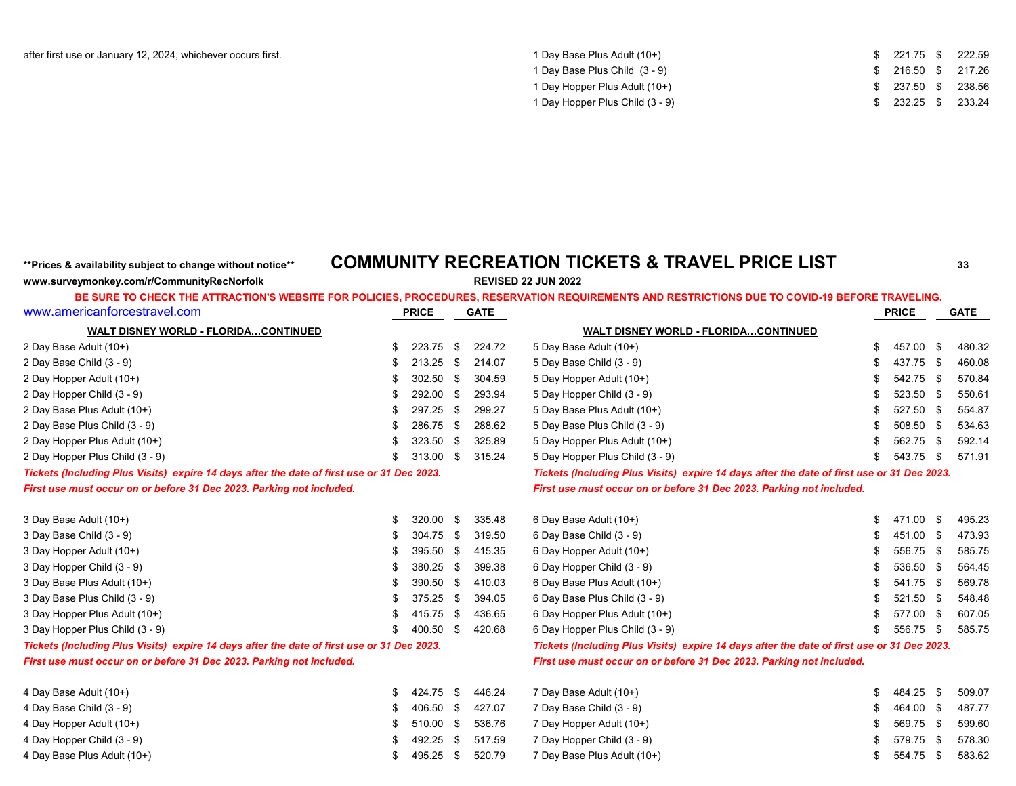| 1 Day Base Plus Adult (10+)     | $$221.75$ \$ 222.59 |  |
|---------------------------------|---------------------|--|
| 1 Day Base Plus Child (3 - 9)   | \$ 216.50 \$ 217.26 |  |
| 1 Day Hopper Plus Adult (10+)   | \$ 237.50 \$ 238.56 |  |
| 1 Day Hopper Plus Child (3 - 9) | $$232.25$ \$ 233.24 |  |

## **\*\*Prices & availability subject to change without notice\*\* COMMUNITY RECREATION TICKETS & TRAVEL PRICE LIST <sup>33</sup>**

**www.surveymonkey.com/r/CommunityRecNorfolk REVISED 22 JUN 2022**

| www.americanforcestravel.com                                                               |    | <b>PRICE</b> |      | <b>GATE</b> |                                                                                            |     | <b>PRICE</b> |      | <b>GATE</b> |
|--------------------------------------------------------------------------------------------|----|--------------|------|-------------|--------------------------------------------------------------------------------------------|-----|--------------|------|-------------|
| <b>WALT DISNEY WORLD - FLORIDACONTINUED</b>                                                |    |              |      |             | WALT DISNEY WORLD - FLORIDACONTINUED                                                       |     |              |      |             |
| 2 Day Base Adult (10+)                                                                     | \$ | 223.75       | -\$  | 224.72      | 5 Day Base Adult (10+)                                                                     | \$  | 457.00 \$    |      | 480.32      |
| 2 Day Base Child (3 - 9)                                                                   |    | 213.25       | - \$ | 214.07      | 5 Day Base Child (3 - 9)                                                                   |     | 437.75 \$    |      | 460.08      |
| 2 Day Hopper Adult (10+)                                                                   |    | 302.50       | -\$  | 304.59      | 5 Day Hopper Adult (10+)                                                                   |     | 542.75 \$    |      | 570.84      |
| 2 Day Hopper Child (3 - 9)                                                                 | S  | 292.00       | -\$  | 293.94      | 5 Day Hopper Child (3 - 9)                                                                 |     | 523.50 \$    |      | 550.61      |
| 2 Day Base Plus Adult (10+)                                                                |    | 297.25       | - \$ | 299.27      | 5 Day Base Plus Adult (10+)                                                                |     | 527.50 \$    |      | 554.87      |
| 2 Day Base Plus Child (3 - 9)                                                              |    | 286.75 \$    |      | 288.62      | 5 Day Base Plus Child (3 - 9)                                                              |     | 508.50 \$    |      | 534.63      |
| 2 Day Hopper Plus Adult (10+)                                                              |    | 323.50       | -\$  | 325.89      | 5 Day Hopper Plus Adult (10+)                                                              |     | 562.75 \$    |      | 592.14      |
| 2 Day Hopper Plus Child (3 - 9)                                                            |    | 313.00       | - \$ | 315.24      | 5 Day Hopper Plus Child (3 - 9)                                                            | \$  | 543.75 \$    |      | 571.91      |
| Tickets (Including Plus Visits) expire 14 days after the date of first use or 31 Dec 2023. |    |              |      |             | Tickets (Including Plus Visits) expire 14 days after the date of first use or 31 Dec 2023. |     |              |      |             |
| First use must occur on or before 31 Dec 2023. Parking not included.                       |    |              |      |             | First use must occur on or before 31 Dec 2023. Parking not included.                       |     |              |      |             |
| 3 Day Base Adult (10+)                                                                     | \$ | 320.00       | -\$  | 335.48      | 6 Day Base Adult (10+)                                                                     |     | 471.00 \$    |      | 495.23      |
| 3 Day Base Child (3 - 9)                                                                   |    | 304.75 \$    |      | 319.50      | 6 Day Base Child (3 - 9)                                                                   |     | 451.00 \$    |      | 473.93      |
| 3 Day Hopper Adult (10+)                                                                   |    | 395.50       | - \$ | 415.35      | 6 Day Hopper Adult (10+)                                                                   |     | 556.75 \$    |      | 585.75      |
| 3 Day Hopper Child (3 - 9)                                                                 |    | 380.25 \$    |      | 399.38      | 6 Day Hopper Child (3 - 9)                                                                 |     | 536.50 \$    |      | 564.45      |
| 3 Day Base Plus Adult (10+)                                                                |    | 390.50 \$    |      | 410.03      | 6 Day Base Plus Adult (10+)                                                                |     | 541.75 \$    |      | 569.78      |
| 3 Day Base Plus Child (3 - 9)                                                              |    | 375.25       | - \$ | 394.05      | 6 Day Base Plus Child (3 - 9)                                                              |     | 521.50 \$    |      | 548.48      |
| 3 Day Hopper Plus Adult (10+)                                                              |    | 415.75 \$    |      | 436.65      | 6 Day Hopper Plus Adult (10+)                                                              |     | 577.00 \$    |      | 607.05      |
| 3 Day Hopper Plus Child (3 - 9)                                                            |    | 400.50       | - \$ | 420.68      | 6 Day Hopper Plus Child (3 - 9)                                                            | \$. | 556.75 \$    |      | 585.75      |
| Tickets (Including Plus Visits) expire 14 days after the date of first use or 31 Dec 2023. |    |              |      |             | Tickets (Including Plus Visits) expire 14 days after the date of first use or 31 Dec 2023. |     |              |      |             |
| First use must occur on or before 31 Dec 2023. Parking not included.                       |    |              |      |             | First use must occur on or before 31 Dec 2023. Parking not included.                       |     |              |      |             |
| 4 Day Base Adult (10+)                                                                     | \$ | 424.75       | - \$ | 446.24      | 7 Day Base Adult (10+)                                                                     | \$. | 484.25       | - \$ | 509.07      |
| 4 Day Base Child (3 - 9)                                                                   |    | 406.50 \$    |      | 427.07      | 7 Day Base Child (3 - 9)                                                                   |     | 464.00 \$    |      | 487.77      |
| 4 Day Hopper Adult (10+)                                                                   |    | 510.00       | - \$ | 536.76      | 7 Day Hopper Adult (10+)                                                                   |     | 569.75 \$    |      | 599.60      |
| 4 Day Hopper Child (3 - 9)                                                                 |    | 492.25       | - \$ | 517.59      | 7 Day Hopper Child (3 - 9)                                                                 |     | 579.75 \$    |      | 578.30      |
| 4 Day Base Plus Adult (10+)                                                                |    | 495.25       | \$   | 520.79      | 7 Day Base Plus Adult (10+)                                                                | \$  | 554.75       | - \$ | 583.62      |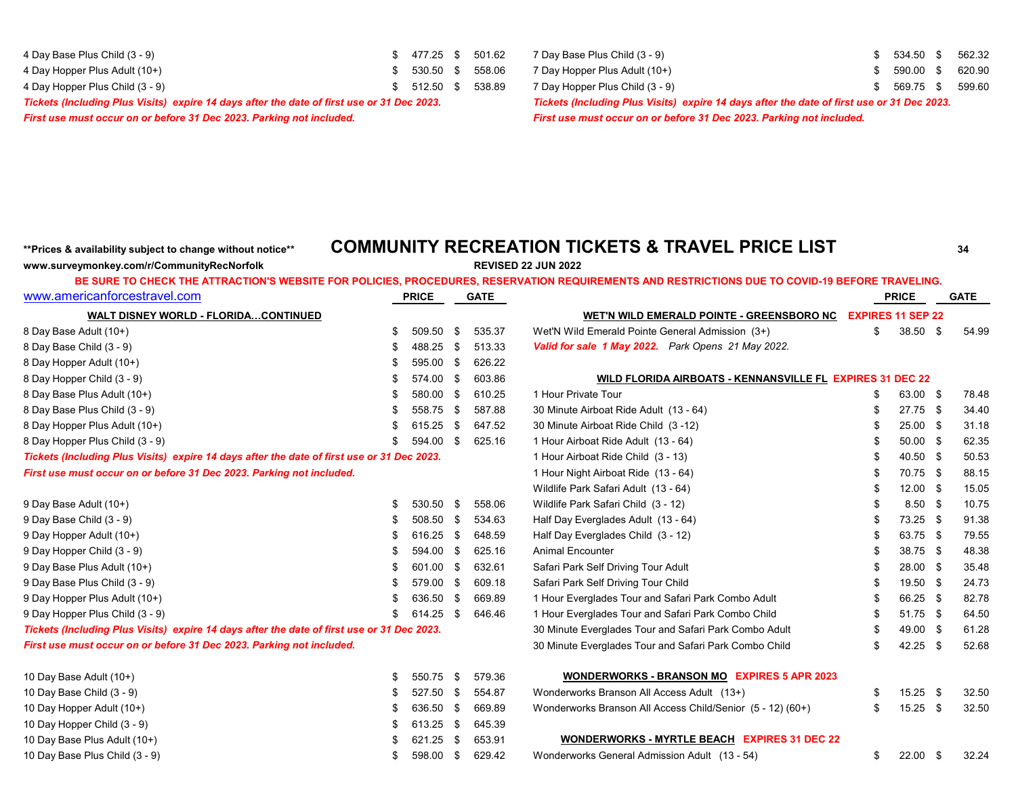| 4 Day Base Plus Child (3 - 9)                                                              | \$ 477.25 \$ 501.6 |  |
|--------------------------------------------------------------------------------------------|--------------------|--|
| 4 Day Hopper Plus Adult (10+)                                                              | \$ 530.50 \$ 558.0 |  |
| 4 Day Hopper Plus Child (3 - 9)                                                            | \$ 512.50 \$ 538.8 |  |
| Tickate (Including Plue Visite), avoira 14 days after the date of first use or 31 Dec 2023 |                    |  |

4 Day Base Plus Child (3 - 9) \$ 477.50 \$ 502.32 \$ 562.32 4 Day Hopper Plus Adult (10+) \$ 530.50 \$ 558.06 7 Day Hopper Plus Adult (10+) \$ 590.00 \$ 620.90 4 9 Day Hopper Plus Child (3 - 9) \$ 569.75 \$ 599.60 *Tickets (Including Plus Visits) expire 14 days after the date of first use or 31 Dec 2023. Tickets (Including Plus Visits) expire 14 days after the date of first use or 31 Dec 2023. First use must occur on or before 31 Dec 2023. Parking not included. First use must occur on or before 31 Dec 2023. Parking not included.*

## **\*\*Prices & availability subject to change without notice\*\* COMMUNITY RECREATION TICKETS & TRAVEL PRICE LIST <sup>34</sup>**

**www.surveymonkey.com/r/CommunityRecNorfolk REVISED 22 JUN 2022**

### **BE SURE TO CHECK THE ATTRACTION'S WEBSITE FOR POLICIES, PROCEDURES, RESERVATION REQUIREMENTS AND RESTRICTIONS DUE TO COVID-19 BEFORE TRAVELING.**

| www.americanforcestravel.com                                                               |    | <b>PRICE</b> |      | <b>GATE</b> |                                                            |                          | <b>PRICE</b> | <b>GATE</b> |
|--------------------------------------------------------------------------------------------|----|--------------|------|-------------|------------------------------------------------------------|--------------------------|--------------|-------------|
| <b>WALT DISNEY WORLD - FLORIDACONTINUED</b>                                                |    |              |      |             | <u>WET'N WILD EMERALD POINTE - GREENSBORO NC</u>           | <b>EXPIRES 11 SEP 22</b> |              |             |
| 8 Day Base Adult (10+)                                                                     | \$ | 509.50       | \$   | 535.37      | Wet'N Wild Emerald Pointe General Admission (3+)           | \$                       | 38.50 \$     | 54.99       |
| 8 Day Base Child (3 - 9)                                                                   | \$ | 488.25       | \$   | 513.33      | Valid for sale 1 May 2022. Park Opens 21 May 2022.         |                          |              |             |
| 8 Day Hopper Adult (10+)                                                                   | £  | 595.00       | \$   | 626.22      |                                                            |                          |              |             |
| 8 Day Hopper Child (3 - 9)                                                                 | \$ | 574.00       | \$   | 603.86      | WILD FLORIDA AIRBOATS - KENNANSVILLE FL EXPIRES 31 DEC 22  |                          |              |             |
| 8 Day Base Plus Adult (10+)                                                                | £  | 580.00 \$    |      | 610.25      | 1 Hour Private Tour                                        |                          | 63.00 \$     | 78.48       |
| 8 Day Base Plus Child (3 - 9)                                                              |    | 558.75       | - \$ | 587.88      | 30 Minute Airboat Ride Adult (13 - 64)                     |                          | 27.75 \$     | 34.40       |
| 8 Day Hopper Plus Adult (10+)                                                              |    | 615.25       | -\$  | 647.52      | 30 Minute Airboat Ride Child (3-12)                        |                          | $25.00$ \$   | 31.18       |
| 8 Day Hopper Plus Child (3 - 9)                                                            |    | 594.00       | - \$ | 625.16      | 1 Hour Airboat Ride Adult (13 - 64)                        |                          | $50.00$ \$   | 62.35       |
| Tickets (Including Plus Visits) expire 14 days after the date of first use or 31 Dec 2023. |    |              |      |             | 1 Hour Airboat Ride Child (3 - 13)                         |                          | 40.50 \$     | 50.53       |
| First use must occur on or before 31 Dec 2023. Parking not included.                       |    |              |      |             | 1 Hour Night Airboat Ride (13 - 64)                        |                          | 70.75 \$     | 88.15       |
|                                                                                            |    |              |      |             | Wildlife Park Safari Adult (13 - 64)                       |                          | $12.00$ \$   | 15.05       |
| 9 Day Base Adult (10+)                                                                     | \$ | 530.50       | - \$ | 558.06      | Wildlife Park Safari Child (3 - 12)                        |                          | $8.50$ \$    | 10.75       |
| 9 Day Base Child (3 - 9)                                                                   | £  | 508.50       | - \$ | 534.63      | Half Day Everglades Adult (13 - 64)                        |                          | 73.25 \$     | 91.38       |
| 9 Day Hopper Adult (10+)                                                                   | S  | 616.25       | - \$ | 648.59      | Half Day Everglades Child (3 - 12)                         |                          | 63.75 \$     | 79.55       |
| 9 Day Hopper Child (3 - 9)                                                                 | £  | 594.00       | - \$ | 625.16      | <b>Animal Encounter</b>                                    |                          | 38.75 \$     | 48.38       |
| 9 Day Base Plus Adult (10+)                                                                | -S | 601.00       | - \$ | 632.61      | Safari Park Self Driving Tour Adult                        |                          | 28.00 \$     | 35.48       |
| 9 Day Base Plus Child (3 - 9)                                                              | -S | 579.00       | - \$ | 609.18      | Safari Park Self Driving Tour Child                        |                          | 19.50 \$     | 24.73       |
| 9 Day Hopper Plus Adult (10+)                                                              |    | 636.50       | - \$ | 669.89      | 1 Hour Everglades Tour and Safari Park Combo Adult         |                          | 66.25 \$     | 82.78       |
| 9 Day Hopper Plus Child (3 - 9)                                                            | \$ | 614.25       | - \$ | 646.46      | 1 Hour Everglades Tour and Safari Park Combo Child         |                          | $51.75$ \$   | 64.50       |
| Tickets (Including Plus Visits) expire 14 days after the date of first use or 31 Dec 2023. |    |              |      |             | 30 Minute Everglades Tour and Safari Park Combo Adult      |                          | 49.00 \$     | 61.28       |
| First use must occur on or before 31 Dec 2023. Parking not included.                       |    |              |      |             | 30 Minute Everglades Tour and Safari Park Combo Child      |                          | $42.25$ \$   | 52.68       |
| 10 Day Base Adult (10+)                                                                    | \$ | 550.75       | -\$  | 579.36      | <b>WONDERWORKS - BRANSON MO EXPIRES 5 APR 2023</b>         |                          |              |             |
| 10 Day Base Child (3 - 9)                                                                  | S  | 527.50       | - \$ | 554.87      | Wonderworks Branson All Access Adult (13+)                 | \$                       | $15.25$ \$   | 32.50       |
| 10 Day Hopper Adult (10+)                                                                  |    | 636.50       | - \$ | 669.89      | Wonderworks Branson All Access Child/Senior (5 - 12) (60+) | S                        | $15.25$ \$   | 32.50       |
| 10 Day Hopper Child (3 - 9)                                                                |    | 613.25       | \$   | 645.39      |                                                            |                          |              |             |
| 10 Day Base Plus Adult (10+)                                                               | S  | 621.25       | -\$  | 653.91      | <b>WONDERWORKS - MYRTLE BEACH EXPIRES 31 DEC 22</b>        |                          |              |             |

10 Day Base Plus Child (3 - 9) \$ 598.00 \$ 629.42 Wonderworks General Admission Adult (13 - 54) \$ 22.00 \$ 32.24